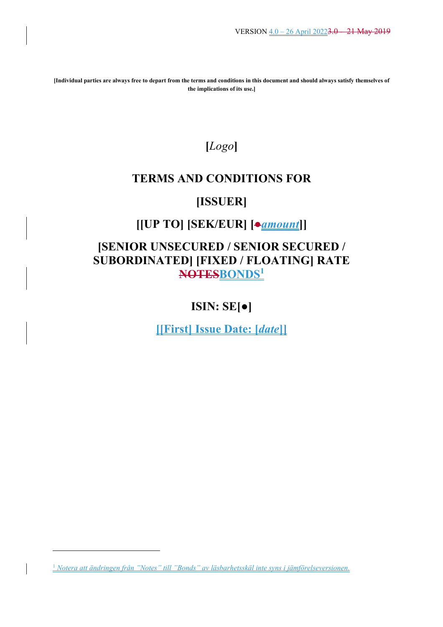**[Individual parties are always free to depart from the terms and conditions in this document and should always satisfy themselves of the implications of its use.]** 

# **[***Logo***]**

# **TERMS AND CONDITIONS FOR**

# **[ISSUER]**

# **[[UP TO] [SEK/EUR] [●***amount***]]**

# **[SENIOR UNSECURED / SENIOR SECURED / SUBORDINATED] [FIXED / FLOATING] RATE NOTESBONDS<sup>1</sup>**

# **ISIN: SE[●]**

**[[First] Issue Date: [***date***]]**

<sup>1</sup> *Notera att ändringen från "Notes" till "Bonds" av läsbarhetsskäl inte syns i jämförelseversionen.*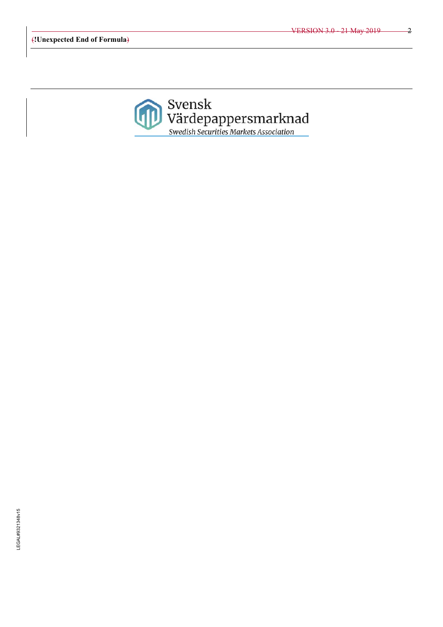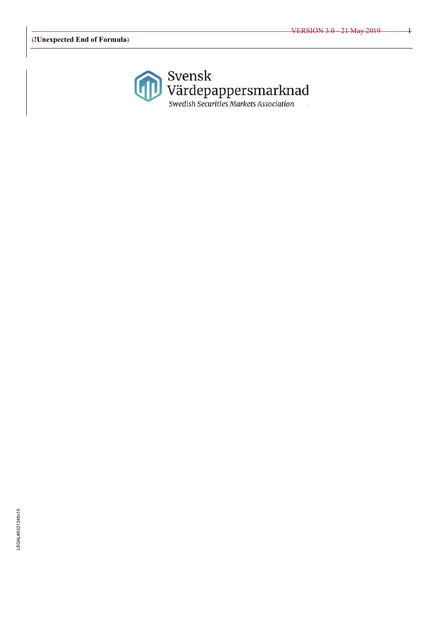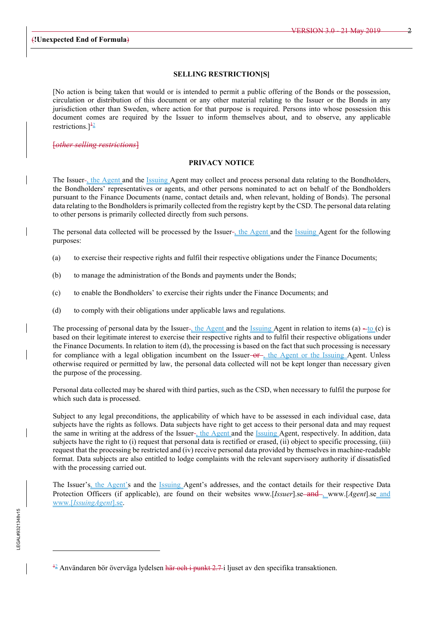#### **SELLING RESTRICTION[S]**

[No action is being taken that would or is intended to permit a public offering of the Bonds or the possession, circulation or distribution of this document or any other material relating to the Issuer or the Bonds in any jurisdiction other than Sweden, where action for that purpose is required. Persons into whose possession this document comes are required by the Issuer to inform themselves about, and to observe, any applicable restrictions.] $\frac{12}{2}$ 

[*other selling restrictions*]

#### **PRIVACY NOTICE**

The Issuer-, the Agent and the Issuing Agent may collect and process personal data relating to the Bondholders, the Bondholders' representatives or agents, and other persons nominated to act on behalf of the Bondholders pursuant to the Finance Documents (name, contact details and, when relevant, holding of Bonds). The personal data relating to the Bondholders is primarily collected from the registry kept by the CSD. The personal data relating to other persons is primarily collected directly from such persons.

The personal data collected will be processed by the Issuer-, the Agent and the Issuing Agent for the following purposes:

- (a) to exercise their respective rights and fulfil their respective obligations under the Finance Documents;
- (b) to manage the administration of the Bonds and payments under the Bonds;
- (c) to enable the Bondholders' to exercise their rights under the Finance Documents; and
- (d) to comply with their obligations under applicable laws and regulations.

The processing of personal data by the Issuer-, the Agent and the Issuing Agent in relation to items (a)  $-i\sigma$  (c) is based on their legitimate interest to exercise their respective rights and to fulfil their respective obligations under the Finance Documents. In relation to item (d), the processing is based on the fact that such processing is necessary for compliance with a legal obligation incumbent on the Issuer- $\theta$ -, the Agent or the Issuing Agent. Unless otherwise required or permitted by law, the personal data collected will not be kept longer than necessary given the purpose of the processing.

Personal data collected may be shared with third parties, such as the CSD, when necessary to fulfil the purpose for which such data is processed.

Subject to any legal preconditions, the applicability of which have to be assessed in each individual case, data subjects have the rights as follows. Data subjects have right to get access to their personal data and may request the same in writing at the address of the Issuer-, the Agent and the Issuing Agent, respectively. In addition, data subjects have the right to (i) request that personal data is rectified or erased, (ii) object to specific processing, (iii) request that the processing be restricted and (iv) receive personal data provided by themselves in machine-readable format. Data subjects are also entitled to lodge complaints with the relevant supervisory authority if dissatisfied with the processing carried out.

The Issuer's, the Agent's and the Issuing Agent's addresses, and the contact details for their respective Data Protection Officers (if applicable), are found on their websites www.[*Issuer*].se and , www.[*Agent*].se and www.[*IssuingAgent*].se.

<sup>&</sup>lt;sup>42</sup> Användaren bör överväga lydelsen <del>här och i punkt 2.7-</del>i ljuset av den specifika transaktionen.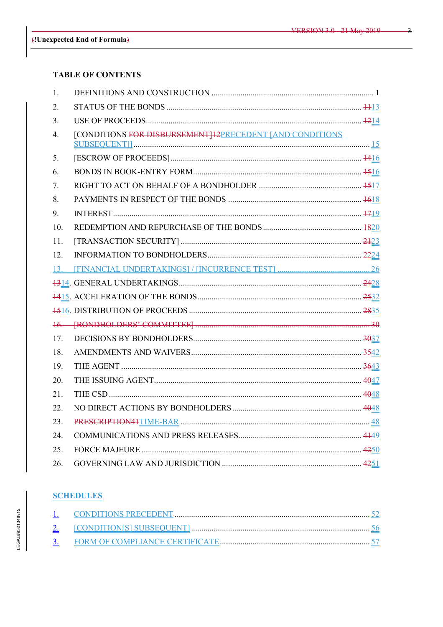# **TABLE OF CONTENTS**

| 1.  |                                                          |  |
|-----|----------------------------------------------------------|--|
| 2.  |                                                          |  |
| 3.  |                                                          |  |
| 4.  | [CONDITIONS FOR DISBURSEMENT]12PRECEDENT [AND CONDITIONS |  |
| 5.  |                                                          |  |
| 6.  |                                                          |  |
| 7.  |                                                          |  |
| 8.  |                                                          |  |
| 9.  |                                                          |  |
| 10. |                                                          |  |
| 11. |                                                          |  |
| 12. |                                                          |  |
|     |                                                          |  |
|     |                                                          |  |
|     |                                                          |  |
|     |                                                          |  |
|     |                                                          |  |
| 17. |                                                          |  |
| 18. |                                                          |  |
| 19. |                                                          |  |
| 20. |                                                          |  |
| 21. |                                                          |  |
| 22. |                                                          |  |
| 23. |                                                          |  |
| 24. |                                                          |  |
| 25. |                                                          |  |
| 26. |                                                          |  |

# **SCHEDULES**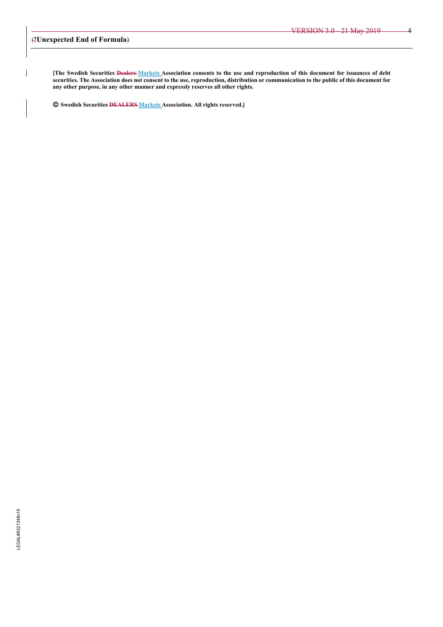**[The Swedish Securities Dealers Markets Association consents to the use and reproduction of this document for issuances of debt securities. The Association does not consent to the use, reproduction, distribution or communication to the public of this document for any other purpose, in any other manner and expressly reserves all other rights.** 

**Swedish Securities DEALERS Markets Association. All rights reserved.]**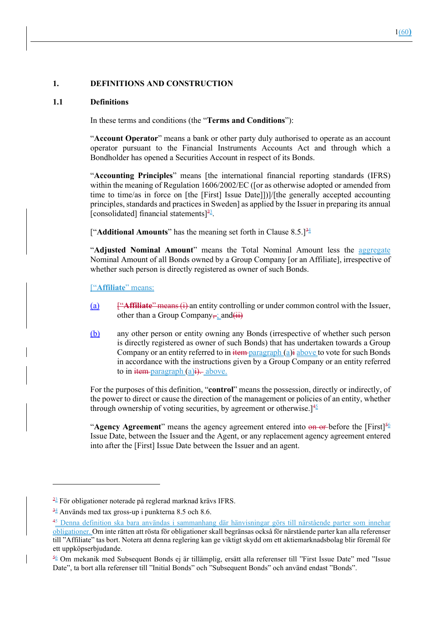#### **1. DEFINITIONS AND CONSTRUCTION**

#### **1.1 Definitions**

In these terms and conditions (the "**Terms and Conditions**"):

"**Account Operator**" means a bank or other party duly authorised to operate as an account operator pursuant to the Financial Instruments Accounts Act and through which a Bondholder has opened a Securities Account in respect of its Bonds.

"**Accounting Principles**" means [the international financial reporting standards (IFRS) within the meaning of Regulation 1606/2002/EC (for as otherwise adopted or amended from time to time/as in force on [the [First] Issue Date]])]/[the generally accepted accounting principles, standards and practices in Sweden] as applied by the Issuer in preparing its annual [consolidated] financial statements] $^{23}$ .

["**Additional Amounts**" has the meaning set forth in Clause  $8.5$ .]<sup>34</sup>

"**Adjusted Nominal Amount**" means the Total Nominal Amount less the aggregate Nominal Amount of all Bonds owned by a Group Company [or an Affiliate], irrespective of whether such person is directly registered as owner of such Bonds.

["**Affiliate**" means:

- (a) ["**Affiliate**" means (i) an entity controlling or under common control with the Issuer, other than a Group Company-; and  $(i)$
- (b) any other person or entity owning any Bonds (irrespective of whether such person is directly registered as owner of such Bonds) that has undertaken towards a Group Company or an entity referred to in  $\frac{1}{2}$  if  $\frac{1}{2}$  above to vote for such Bonds in accordance with the instructions given by a Group Company or an entity referred to in  $\frac{1}{x}$  item-paragraph (a) $\frac{1}{x}$  above.

For the purposes of this definition, "**control**" means the possession, directly or indirectly, of the power to direct or cause the direction of the management or policies of an entity, whether through ownership of voting securities, by agreement or otherwise.<sup>[45]</sup>

"**Agency Agreement**" means the agency agreement entered into  $\Theta$  or before the [First]<sup>56</sup> Issue Date, between the Issuer and the Agent, or any replacement agency agreement entered into after the [First] Issue Date between the Issuer and an agent.

 $\frac{23}{2}$  För obligationer noterade på reglerad marknad krävs IFRS.

 $\frac{34}{2}$  Används med tax gross-up i punkterna 8.5 och 8.6.

<sup>&</sup>lt;sup>45</sup> Denna definition ska bara användas i sammanhang där hänvisningar görs till närstående parter som innehar obligationer. Om inte rätten att rösta för obligationer skall begränsas också för närstående parter kan alla referenser till "Affiliate" tas bort. Notera att denna reglering kan ge viktigt skydd om ett aktiemarknadsbolag blir föremål för ett uppköpserbjudande.

<sup>56</sup> Om mekanik med Subsequent Bonds ej är tillämplig, ersätt alla referenser till "First Issue Date" med "Issue Date", ta bort alla referenser till "Initial Bonds" och "Subsequent Bonds" och använd endast "Bonds".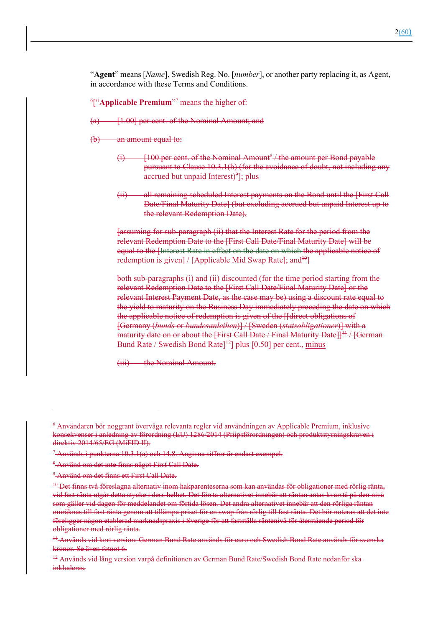"**Agent**" means [*Name*], Swedish Reg. No. [*number*], or another party replacing it, as Agent, in accordance with these Terms and Conditions.

<sup>6</sup>["Applicable Premium"<sup>7</sup> means the higher of:

- (a) [1.00] per cent. of the Nominal Amount; and
- $(b)$  an amount equal to:
	- $(i)$  [100 per cent. of the Nominal Amount<sup>8</sup> / the amount per Bond payable pursuant to Clause 10.3.1(b) (for the avoidance of doubt, not including any accrued but unpaid Interest)<sup>9</sup>]; plus
	- (ii) all remaining scheduled Interest payments on the Bond until the [First Call Date/Final Maturity Date] (but excluding accrued but unpaid Interest up to the relevant Redemption Date),

[assuming for sub-paragraph (ii) that the Interest Rate for the period from the relevant Redemption Date to the [First Call Date/Final Maturity Date] will be equal to the [Interest Rate in effect on the date on which the applicable notice of redemption is given] / [Applicable Mid Swap Rate]; and  $^{10}$ ]

both sub-paragraphs (i) and (ii) discounted (for the time period starting from the relevant Redemption Date to the [First Call Date/Final Maturity Date] or the relevant Interest Payment Date, as the case may be) using a discount rate equal to the yield to maturity on the Business Day immediately preceding the date on which the applicable notice of redemption is given of the [[direct obligations of [Germany (*bunds* or *bundesanleihen*)] / [Sweden (*statsobligationer*)] with a maturity date on or about the [First Call Date  $/$  Final Maturity Date]]<sup>11</sup>  $/$  [German] Bund Rate / Swedish Bond Rate<sup> $12$ </sup> plus [0.50] per cent., minus

(iii) the Nominal Amount.

 $^6$ Användaren bör noggrant överväga relevanta regler vid användningen av Applicable Premium, inklusive konsekvenser i anledning av förordning (EU) 1286/2014 (Priipsförordningen) och produktstyrningskraven i direktiv 2014/65/EG (MiFID II).

<sup>&</sup>lt;sup>7</sup> Används i punkterna 10.3.1(a) och 14.8. Angivna siffror är endast exempel.

<sup>&</sup>lt;sup>8</sup>-Använd om det inte finns något First Call Date.

<sup>&</sup>lt;sup>9</sup>-Använd om det finns ett First Call Date.

<sup>10</sup> Det finns två föreslagna alternativ inom hakparenteserna som kan användas för obligationer med rörlig ränta, vid fast ränta utgår detta stycke i dess helhet. Det första alternativet innebär att räntan antas kvarstå på den nivå som gäller vid dagen för meddelandet om förtida lösen. Det andra alternativet innebär att den rörliga räntan omräknas till fast ränta genom att tillämpa priset för en swap från rörlig till fast ränta. Det bör noteras att det inte föreligger någon etablerad marknadspraxis i Sverige för att fastställa räntenivå för återstående period för obligationer med rörlig ränta.

<sup>11</sup> Används vid kort version. German Bund Rate används för euro och Swedish Bond Rate används för svenska kronor. Se även fotnot 6.

<sup>&</sup>lt;sup>+2</sup> Används vid lång version varpå definitionen av German Bund Rate/Swedish Bond Rate nedanför ska inkluderas.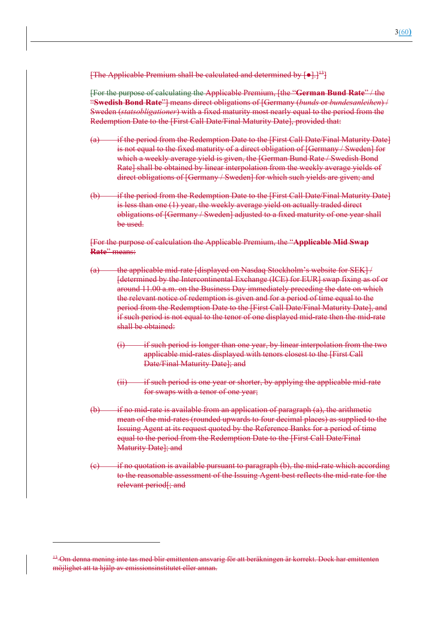**[The Applicable Premium shall be calculated and determined by**  $\begin{bmatrix} \bullet \\ \bullet \end{bmatrix}$ **.**]<sup>13</sup>

[For the purpose of calculating the Applicable Premium, [the "**German Bund Rate**" / the "**Swedish Bond Rate**"] means direct obligations of [Germany (*bunds* or *bundesanleihen*) / Sweden (*statsobligationer*) with a fixed maturity most nearly equal to the period from the Redemption Date to the [First Call Date/Final Maturity Date], provided that:

- (a) if the period from the Redemption Date to the [First Call Date/Final Maturity Date] is not equal to the fixed maturity of a direct obligation of [Germany / Sweden] for which a weekly average yield is given, the [German Bund Rate / Swedish Bond Rate] shall be obtained by linear interpolation from the weekly average yields of direct obligations of [Germany / Sweden] for which such yields are given; and
- (b) if the period from the Redemption Date to the [First Call Date/Final Maturity Date] is less than one (1) year, the weekly average yield on actually traded direct obligations of [Germany / Sweden] adjusted to a fixed maturity of one year shall be used.

[For the purpose of calculation the Applicable Premium, the "**Applicable Mid Swap Rate**" means:

- (a) the applicable mid-rate [displayed on Nasdaq Stockholm's website for SEK] / [determined by the Intercontinental Exchange (ICE) for EUR] swap fixing as of or around 11.00 a.m. on the Business Day immediately preceding the date on which the relevant notice of redemption is given and for a period of time equal to the period from the Redemption Date to the [First Call Date/Final Maturity Date], and if such period is not equal to the tenor of one displayed mid-rate then the mid-rate shall be obtained:
	- $(i)$  if such period is longer than one year, by linear interpolation from the two applicable mid-rates displayed with tenors closest to the [First Call Date/Final Maturity Date]; and
	- $(i)$  if such period is one year or shorter, by applying the applicable mid-rate for swaps with a tenor of one year;
- $(b)$  if no mid-rate is available from an application of paragraph  $(a)$ , the arithmetic mean of the mid-rates (rounded upwards to four decimal places) as supplied to the Issuing Agent at its request quoted by the Reference Banks for a period of time equal to the period from the Redemption Date to the [First Call Date/Final Maturity Date]; and
- $\epsilon$  if no quotation is available pursuant to paragraph  $\epsilon$ , the mid-rate which according to the reasonable assessment of the Issuing Agent best reflects the mid-rate for the relevant period[; and

<sup>13</sup> Om denna mening inte tas med blir emittenten ansvarig för att beräkningen är korrekt. Dock har emittenten möjlighet att ta hjälp av emissionsinstitutet eller annan.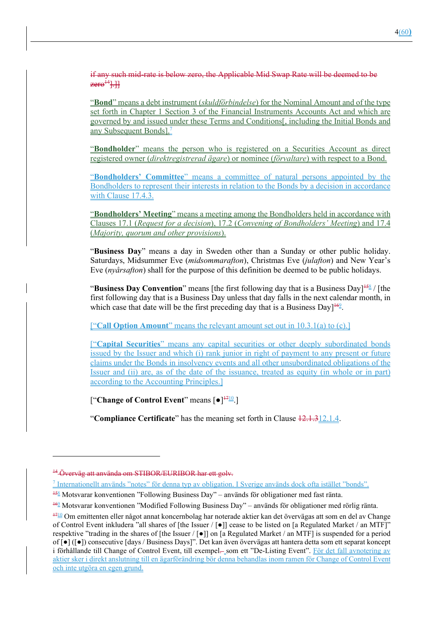if any such mid-rate is below zero, the Applicable Mid Swap Rate will be deemed to be  $zere^{14}$ .

"**Bond**" means a debt instrument (*skuldförbindelse*) for the Nominal Amount and of the type set forth in Chapter 1 Section 3 of the Financial Instruments Accounts Act and which are governed by and issued under these Terms and Conditions[, including the Initial Bonds and any Subsequent Bonds].7

"**Bondholder**" means the person who is registered on a Securities Account as direct registered owner (*direktregistrerad ägare*) or nominee (*förvaltare*) with respect to a Bond.

"**Bondholders' Committee**" means a committee of natural persons appointed by the Bondholders to represent their interests in relation to the Bonds by a decision in accordance with Clause 17.4.3.

"**Bondholders' Meeting**" means a meeting among the Bondholders held in accordance with Clauses 17.1 (*Request for a decision*), 17.2 (*Convening of Bondholders' Meeting*) and 17.4 (*Majority, quorum and other provisions*).

"**Business Day**" means a day in Sweden other than a Sunday or other public holiday. Saturdays, Midsummer Eve (*midsommarafton*), Christmas Eve (*julafton*) and New Year's Eve (*nyårsafton*) shall for the purpose of this definition be deemed to be public holidays.

"Business Day Convention" means [the first following day that is a Business Day]<sup>158</sup>/[the first following day that is a Business Day unless that day falls in the next calendar month, in which case that date will be the first preceding day that is a Business Day] $^{162}$ .

["**Call Option Amount**" means the relevant amount set out in 10.3.1(a) to (c).]

["**Capital Securities**" means any capital securities or other deeply subordinated bonds issued by the Issuer and which (i) rank junior in right of payment to any present or future claims under the Bonds in insolvency events and all other unsubordinated obligations of the Issuer and (ii) are, as of the date of the issuance, treated as equity (in whole or in part) according to the Accounting Principles.]

["**Change of Control Event**" means [●]1710.]

"**Compliance Certificate**" has the meaning set forth in Clause 12.1.312.1.4.

<sup>14</sup> Överväg att använda om STIBOR/EURIBOR har ett golv.

<sup>&</sup>lt;sup>7</sup> Internationellt används "notes" för denna typ av obligation. I Sverige används dock ofta istället "bonds".

 $158$  Motsvarar konventionen "Following Business Day" – används för obligationer med fast ränta.

<sup>&</sup>lt;sup>162</sup> Motsvarar konventionen "Modified Following Business Day" – används för obligationer med rörlig ränta.

<sup>1710</sup> Om emittenten eller något annat koncernbolag har noterade aktier kan det övervägas att som en del av Change of Control Event inkludera "all shares of [the Issuer / [●]] cease to be listed on [a Regulated Market / an MTF]" respektive "trading in the shares of [the Issuer / [●]] on [a Regulated Market / an MTF] is suspended for a period of [●] ([●]) consecutive [days / Business Days]". Det kan även övervägas att hantera detta som ett separat koncept i förhållande till Change of Control Event, till exempel- som ett "De-Listing Event". För det fall avnotering av aktier sker i direkt anslutning till en ägarförändring bör denna behandlas inom ramen för Change of Control Event och inte utgöra en egen grund.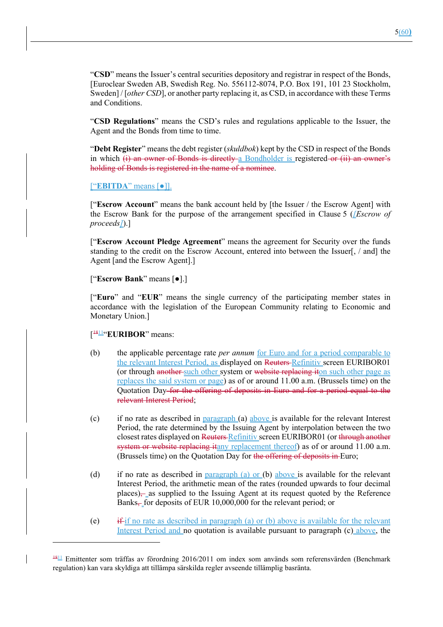"**CSD**" means the Issuer's central securities depository and registrar in respect of the Bonds, [Euroclear Sweden AB, Swedish Reg. No. 556112-8074, P.O. Box 191, 101 23 Stockholm, Sweden] / [*other CSD*], or another party replacing it, as CSD, in accordance with these Terms and Conditions.

"**CSD Regulations**" means the CSD's rules and regulations applicable to the Issuer, the Agent and the Bonds from time to time.

"**Debt Register**" means the debt register (*skuldbok*) kept by the CSD in respect of the Bonds in which (i) an owner of Bonds is directly a Bondholder is registered or (ii) an owner's holding of Bonds is registered in the name of a nominee.

["**EBITDA**" means [●]].

["**Escrow Account**" means the bank account held by [the Issuer / the Escrow Agent] with the Escrow Bank for the purpose of the arrangement specified in Clause 5 (*[Escrow of proceeds]*).]

["**Escrow Account Pledge Agreement**" means the agreement for Security over the funds standing to the credit on the Escrow Account, entered into between the Issuer[, / and] the Agent [and the Escrow Agent].]

["**Escrow Bank**" means [●].]

["**Euro**" and "**EUR**" means the single currency of the participating member states in accordance with the legislation of the European Community relating to Economic and Monetary Union.]

[ 1811"**EURIBOR**" means:

- (b) the applicable percentage rate *per annum* for Euro and for a period comparable to the relevant Interest Period, as displayed on Reuters Refinitiv screen EURIBOR01 (or through another such other system or website replacing iton such other page as replaces the said system or page) as of or around 11.00 a.m. (Brussels time) on the Quotation Day for the offering of deposits in Euro and for a period equal to the relevant Interest Period;
- (c) if no rate as described in  $\frac{p \cdot p}{p \cdot q}$  (a) above is available for the relevant Interest Period, the rate determined by the Issuing Agent by interpolation between the two closest rates displayed on Reuters Refinitiv screen EURIBOR01 (or through another system or website replacing itany replacement thereof) as of or around 11.00 a.m. (Brussels time) on the Quotation Day for the offering of deposits in Euro;
- (d) if no rate as described in paragraph (a) or (b) above is available for the relevant Interest Period, the arithmetic mean of the rates (rounded upwards to four decimal places), as supplied to the Issuing Agent at its request quoted by the Reference Banks, for deposits of EUR 10,000,000 for the relevant period; or
- (e) if if no rate as described in paragraph (a) or (b) above is available for the relevant Interest Period and no quotation is available pursuant to paragraph (c) above, the

 $181/18$  Emittenter som träffas av förordning 2016/2011 om index som används som referensvärden (Benchmark regulation) kan vara skyldiga att tillämpa särskilda regler avseende tillämplig basränta.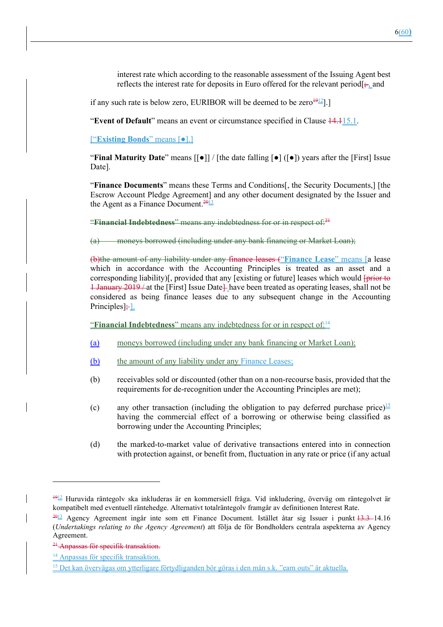interest rate which according to the reasonable assessment of the Issuing Agent best reflects the interest rate for deposits in Euro offered for the relevant period  $\frac{1}{2}$  and

if any such rate is below zero, EURIBOR will be deemed to be zero $\frac{1912}{2}$ ].]

"**Event of Default**" means an event or circumstance specified in Clause 14.115.1.

["**Existing Bonds**" means [●].]

"**Final Maturity Date**" means [[●]] / [the date falling [●] ([●]) years after the [First] Issue Date].

"**Finance Documents**" means these Terms and Conditions[, the Security Documents,] [the Escrow Account Pledge Agreement] and any other document designated by the Issuer and the Agent as a Finance Document. $\frac{2013}{201}$ 

"**Financial Indebtedness**" means any indebtedness for or in respect of:<sup>21</sup>

(a) moneys borrowed (including under any bank financing or Market Loan);

(b)the amount of any liability under any finance leases ("**Finance Lease**" means [a lease which in accordance with the Accounting Principles is treated as an asset and a corresponding liability)[, provided that any [existing or future] leases which would [prior to 1 January 2019/at the [First] Issue Date] have been treated as operating leases, shall not be considered as being finance leases due to any subsequent change in the Accounting  $Principles$ ]:-1.

"**Financial Indebtedness**" means any indebtedness for or in respect of:<sup>14</sup>

- (a) moneys borrowed (including under any bank financing or Market Loan);
- (b) the amount of any liability under any Finance Leases;
- (b) receivables sold or discounted (other than on a non-recourse basis, provided that the requirements for de-recognition under the Accounting Principles are met);
- (c) any other transaction (including the obligation to pay deferred purchase price)<sup>15</sup> having the commercial effect of a borrowing or otherwise being classified as borrowing under the Accounting Principles;
- (d) the marked-to-market value of derivative transactions entered into in connection with protection against, or benefit from, fluctuation in any rate or price (if any actual

 $\frac{1912}{2}$  Huruvida räntegolv ska inkluderas är en kommersiell fråga. Vid inkludering, överväg om räntegolvet är kompatibelt med eventuell räntehedge. Alternativt totalräntegolv framgår av definitionen Interest Rate.

<sup>&</sup>lt;sup>2013</sup> Agency Agreement ingår inte som ett Finance Document. Istället åtar sig Issuer i punkt <del>13.3 </del>14.16 (*Undertakings relating to the Agency Agreement*) att följa de för Bondholders centrala aspekterna av Agency Agreement.

<sup>&</sup>lt;sup>21</sup> Anpassas för specifik transaktion.

<sup>&</sup>lt;sup>14</sup> Anpassas för specifik transaktion.

<sup>15</sup> Det kan övervägas om ytterligare förtydliganden bör göras i den mån s.k. "earn outs" är aktuella.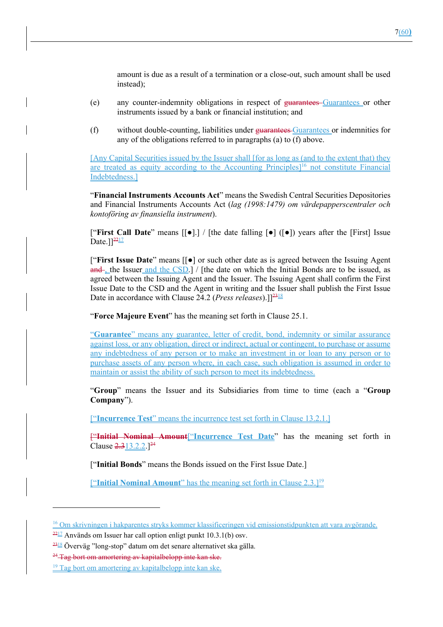amount is due as a result of a termination or a close-out, such amount shall be used instead);

- (e) any counter-indemnity obligations in respect of guarantees Guarantees or other instruments issued by a bank or financial institution; and
- (f) without double-counting, liabilities under guarantees Guarantees or indemnities for any of the obligations referred to in paragraphs (a) to (f) above.

[Any Capital Securities issued by the Issuer shall [for as long as (and to the extent that) they are treated as equity according to the Accounting Principles<sup>16</sup> not constitute Financial Indebtedness.]

"**Financial Instruments Accounts Act**" means the Swedish Central Securities Depositories and Financial Instruments Accounts Act (*lag (1998:1479) om värdepapperscentraler och kontoföring av finansiella instrument*).

["**First Call Date**" means [[●].] / [the date falling [●] ([●]) years after the [First] Issue Date. $]$ <sup>22 $\frac{17}{2}$ </sup>

["**First Issue Date**" means [[●] or such other date as is agreed between the Issuing Agent  $and$ , the Issuer and the CSD.] / [the date on which the Initial Bonds are to be issued, as agreed between the Issuing Agent and the Issuer. The Issuing Agent shall confirm the First Issue Date to the CSD and the Agent in writing and the Issuer shall publish the First Issue Date in accordance with Clause 24.2 (*Press releases*).]]<sup>2318</sup>

"**Force Majeure Event**" has the meaning set forth in Clause 25.1.

"**Guarantee**" means any guarantee, letter of credit, bond, indemnity or similar assurance against loss, or any obligation, direct or indirect, actual or contingent, to purchase or assume any indebtedness of any person or to make an investment in or loan to any person or to purchase assets of any person where, in each case, such obligation is assumed in order to maintain or assist the ability of such person to meet its indebtedness.

"**Group**" means the Issuer and its Subsidiaries from time to time (each a "**Group Company**").

["**Incurrence Test**" means the incurrence test set forth in Clause 13.2.1.]

["**Initial Nominal Amount**["**Incurrence Test Date**" has the meaning set forth in Clause  $2.313.2.2.1^{24}$ 

["**Initial Bonds**" means the Bonds issued on the First Issue Date.]

["**Initial Nominal Amount**" has the meaning set forth in Clause 2.3.]19

<sup>16</sup> Om skrivningen i hakparentes stryks kommer klassificeringen vid emissionstidpunkten att vara avgörande.

 $\frac{2217}{2}$  Används om Issuer har call option enligt punkt 10.3.1(b) osv.

 $\frac{2318}{2}$  Överväg "long-stop" datum om det senare alternativet ska gälla.

<sup>&</sup>lt;sup>24</sup> Tag bort om amortering av kapitalbelopp inte kan ske.

<sup>19</sup> Tag bort om amortering av kapitalbelopp inte kan ske.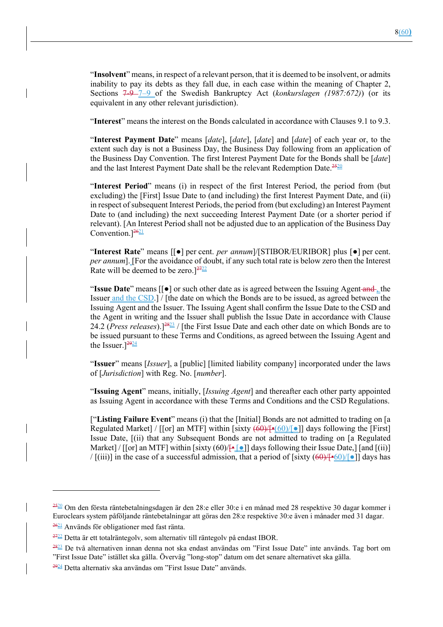"**Insolvent**" means, in respect of a relevant person, that it is deemed to be insolvent, or admits inability to pay its debts as they fall due, in each case within the meaning of Chapter 2, Sections 7-9 7–9 of the Swedish Bankruptcy Act (*konkurslagen (1987:672)*) (or its equivalent in any other relevant jurisdiction).

"**Interest**" means the interest on the Bonds calculated in accordance with Clauses 9.1 to 9.3.

"**Interest Payment Date**" means [*date*], [*date*], [*date*] and [*date*] of each year or, to the extent such day is not a Business Day, the Business Day following from an application of the Business Day Convention. The first Interest Payment Date for the Bonds shall be [*date*] and the last Interest Payment Date shall be the relevant Redemption Date.<sup>2520</sup>

"**Interest Period**" means (i) in respect of the first Interest Period, the period from (but excluding) the [First] Issue Date to (and including) the first Interest Payment Date, and (ii) in respect of subsequent Interest Periods, the period from (but excluding) an Interest Payment Date to (and including) the next succeeding Interest Payment Date (or a shorter period if relevant). [An Interest Period shall not be adjusted due to an application of the Business Day Convention.<sup>[2621</sup>]

"**Interest Rate**" means [[●] per cent. *per annum*]/[STIBOR/EURIBOR] plus [●] per cent. *per annum*]. [For the avoidance of doubt, if any such total rate is below zero then the Interest Rate will be deemed to be zero.] $2722$ 

"**Issue Date**" means [[●] or such other date as is agreed between the Issuing Agent and , the Issuer and the CSD.] / [the date on which the Bonds are to be issued, as agreed between the Issuing Agent and the Issuer. The Issuing Agent shall confirm the Issue Date to the CSD and the Agent in writing and the Issuer shall publish the Issue Date in accordance with Clause 24.2 (*Press releases*).<sup>[2823</sup>/ [the First Issue Date and each other date on which Bonds are to be issued pursuant to these Terms and Conditions, as agreed between the Issuing Agent and the Issuer.] $\frac{2924}{292}$ 

"**Issuer**" means [*Issuer*], a [public] [limited liability company] incorporated under the laws of [*Jurisdiction*] with Reg. No. [*number*].

"**Issuing Agent**" means, initially, [*Issuing Agent*] and thereafter each other party appointed as Issuing Agent in accordance with these Terms and Conditions and the CSD Regulations.

["**Listing Failure Event**" means (i) that the [Initial] Bonds are not admitted to trading on [a Regulated Market] / [[or] an MTF] within [sixty  $(60)/[•]$ ] days following the [First] Issue Date, [(ii) that any Subsequent Bonds are not admitted to trading on [a Regulated Market] / [[or] an MTF] within [sixty  $(60)/\left[\frac{1}{2}\right]$  days following their Issue Date,] [and [(ii)] / [(iii)] in the case of a successful admission, that a period of [sixty  $(60)$ /[•60]/[•]] days has

 $\frac{2520}{2520}$  Om den första räntebetalningsdagen är den 28: e eller 30: e i en månad med 28 respektive 30 dagar kommer i Euroclears system påföljande räntebetalningar att göras den 28:e respektive 30:e även i månader med 31 dagar.

<sup>2621</sup> Används för obligationer med fast ränta.

 $\frac{2722}{2722}$  Detta är ett totalräntegolv, som alternativ till räntegolv på endast IBOR.

<sup>2823</sup> De två alternativen innan denna not ska endast användas om "First Issue Date" inte används. Tag bort om "First Issue Date" istället ska gälla. Överväg "long-stop" datum om det senare alternativet ska gälla.

<sup>2924</sup> Detta alternativ ska användas om "First Issue Date" används.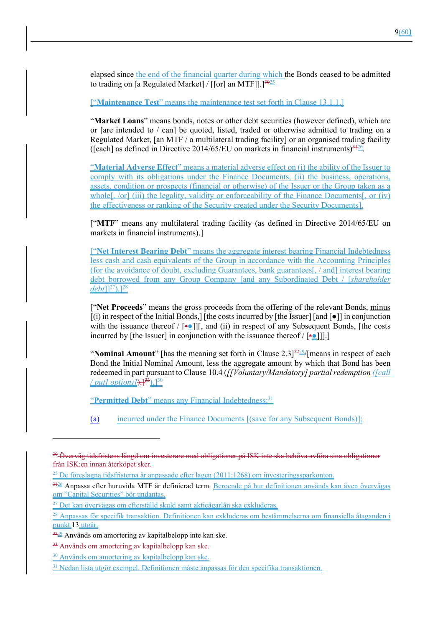elapsed since the end of the financial quarter during which the Bonds ceased to be admitted to trading on [a Regulated Market] / [[or] an MTF]].<sup>3425</sup>

["**Maintenance Test**" means the maintenance test set forth in Clause 13.1.1.]

"**Market Loans**" means bonds, notes or other debt securities (however defined), which are or [are intended to / can] be quoted, listed, traded or otherwise admitted to trading on a Regulated Market, [an MTF / a multilateral trading facility] or an organised trading facility ([each] as defined in Directive 2014/65/EU on markets in financial instruments) $3126$ .

"**Material Adverse Effect**" means a material adverse effect on (i) the ability of the Issuer to comply with its obligations under the Finance Documents, (ii) the business, operations, assets, condition or prospects (financial or otherwise) of the Issuer or the Group taken as a whole<sup>[</sup>, /or<sup>]</sup> (iii) the legality, validity or enforceability of the Finance Documents<sup>[</sup>, or (iv) the effectiveness or ranking of the Security created under the Security Documents].

["**MTF**" means any multilateral trading facility (as defined in Directive 2014/65/EU on markets in financial instruments).]

["**Net Interest Bearing Debt**" means the aggregate interest bearing Financial Indebtedness less cash and cash equivalents of the Group in accordance with the Accounting Principles (for the avoidance of doubt, excluding Guarantees, bank guarantees[, / and] interest bearing debt borrowed from any Group Company [and any Subordinated Debt / [*shareholder debt*]]<sup>27</sup>).]<sup>28</sup>

["**Net Proceeds**" means the gross proceeds from the offering of the relevant Bonds, minus  $[(i)$  in respect of the Initial Bonds, $[$  [the costs incurred by [the Issuer] [and  $[$   $\bullet$  ]] in conjunction with the issuance thereof  $/$  [ $\triangleq$ ]][, and (ii) in respect of any Subsequent Bonds, [the costs incurred by [the Issuer] in conjunction with the issuance thereof  $/$  [••

"**Nominal Amount**" [has the meaning set forth in Clause  $2.3$ ]<sup>3229</sup>/[means in respect of each Bond the Initial Nominal Amount, less the aggregate amount by which that Bond has been redeemed in part pursuant to Clause 10.4 (*[[Voluntary/Mandatory] partial redemption ([call*  / *put] option*)  $\overline{)+}$ <sup>33</sup>).<sup>[30</sup>

"Permitted Debt" means any Financial Indebtedness:<sup>31</sup>

(a) incurred under the Finance Documents [(save for any Subsequent Bonds)];

<sup>&</sup>lt;sup>30</sup> Överväg tidsfristens längd om investerare med obligationer på ISK inte ska behöva avföra sina obligationer från ISK:en innan återköpet sker.

<sup>&</sup>lt;sup>25</sup> De föreslagna tidsfristerna är anpassade efter lagen (2011:1268) om investeringssparkonton.

<sup>3126</sup> Anpassa efter huruvida MTF är definierad term. Beroende på hur definitionen används kan även övervägas om "Capital Securities" bör undantas.

 $^{27}$  Det kan övervägas om efterställd skuld samt aktieägarlån ska exkluderas.

<sup>&</sup>lt;sup>28</sup> Anpassas för specifik transaktion. Definitionen kan exkluderas om bestämmelserna om finansiella åtaganden i punkt 13 utgår.

 $\frac{3229}{2}$  Används om amortering av kapitalbelopp inte kan ske.

<sup>&</sup>lt;sup>33</sup>-Används om amortering av kapitalbelopp kan ske.

<sup>&</sup>lt;sup>30</sup> Används om amortering av kapitalbelopp kan ske.

<sup>31</sup> Nedan lista utgör exempel. Definitionen måste anpassas för den specifika transaktionen.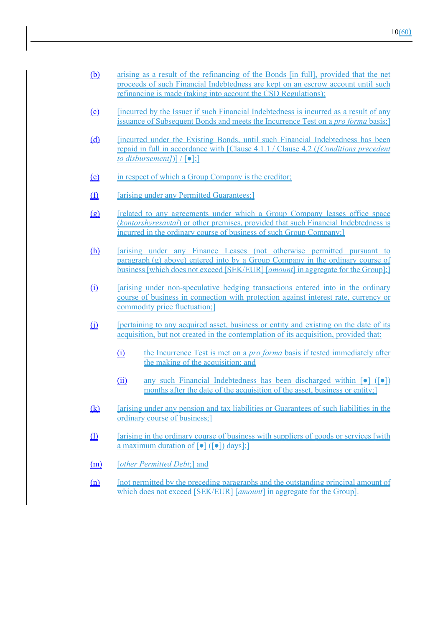- (b) arising as a result of the refinancing of the Bonds [in full], provided that the net proceeds of such Financial Indebtedness are kept on an escrow account until such refinancing is made (taking into account the CSD Regulations);
- (c) [incurred by the Issuer if such Financial Indebtedness is incurred as a result of any issuance of Subsequent Bonds and meets the Incurrence Test on a *pro forma* basis;]
- (d) [incurred under the Existing Bonds, until such Financial Indebtedness has been repaid in full in accordance with [Clause 4.1.1 / Clause 4.2 (*[Conditions precedent to disbursement]*)] / [●];]
- (e) in respect of which a Group Company is the creditor;
- (f) [arising under any Permitted Guarantees;]
- (g) [related to any agreements under which a Group Company leases office space (*kontorshyresavtal*) or other premises, provided that such Financial Indebtedness is incurred in the ordinary course of business of such Group Company;]
- (h) [arising under any Finance Leases (not otherwise permitted pursuant to paragraph (g) above) entered into by a Group Company in the ordinary course of business [which does not exceed [SEK/EUR] [*amount*] in aggregate for the Group];]
- (i) [arising under non-speculative hedging transactions entered into in the ordinary course of business in connection with protection against interest rate, currency or commodity price fluctuation;]
- (j) [pertaining to any acquired asset, business or entity and existing on the date of its acquisition, but not created in the contemplation of its acquisition, provided that:
	- (i) the Incurrence Test is met on a *pro forma* basis if tested immediately after the making of the acquisition; and
	- (ii) any such Financial Indebtedness has been discharged within  $\lceil \bullet \rceil$  ( $\lceil \bullet \rceil$ ) months after the date of the acquisition of the asset, business or entity;
- (k) [arising under any pension and tax liabilities or Guarantees of such liabilities in the ordinary course of business;]
- (l) [arising in the ordinary course of business with suppliers of goods or services [with a maximum duration of  $\lceil \bullet \rceil$  ( $\lceil \bullet \rceil$ ) days];
- (m) [*other Permitted Debt*;] and
- (n) [not permitted by the preceding paragraphs and the outstanding principal amount of which does not exceed [SEK/EUR] [*amount*] in aggregate for the Group].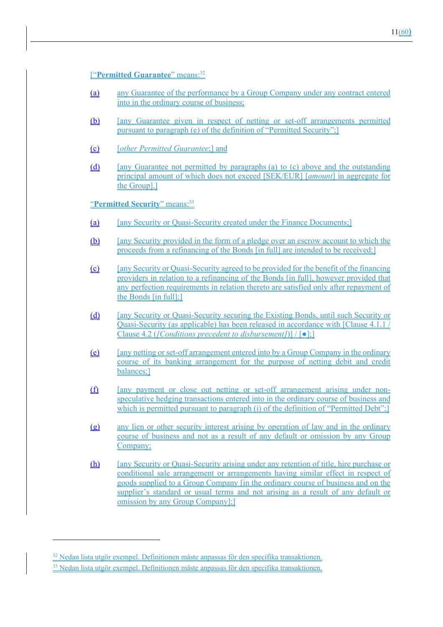## ["**Permitted Guarantee**" means:32

- (a) any Guarantee of the performance by a Group Company under any contract entered into in the ordinary course of business;
- (b) [any Guarantee given in respect of netting or set-off arrangements permitted pursuant to paragraph (e) of the definition of "Permitted Security";]
- (c) [*other Permitted Guarantee*;] and
- (d) [any Guarantee not permitted by paragraphs (a) to (c) above and the outstanding principal amount of which does not exceed [SEK/EUR] [*amount*] in aggregate for the Group].]

"**Permitted Security**" means:33

- (a) [any Security or Quasi-Security created under the Finance Documents;]
- (b) [any Security provided in the form of a pledge over an escrow account to which the proceeds from a refinancing of the Bonds [in full] are intended to be received;]
- (c) [any Security or Quasi-Security agreed to be provided for the benefit of the financing providers in relation to a refinancing of the Bonds [in full], however provided that any perfection requirements in relation thereto are satisfied only after repayment of the Bonds [in full];]
- (d) [any Security or Quasi-Security securing the Existing Bonds, until such Security or Quasi-Security (as applicable) has been released in accordance with [Clause 4.1.1 / Clause 4.2 (*[Conditions precedent to disbursement]*)] / [●];]
- (e) [any netting or set-off arrangement entered into by a Group Company in the ordinary course of its banking arrangement for the purpose of netting debit and credit balances;]
- (f) [any payment or close out netting or set-off arrangement arising under nonspeculative hedging transactions entered into in the ordinary course of business and which is permitted pursuant to paragraph (i) of the definition of "Permitted Debt";
- (g) any lien or other security interest arising by operation of law and in the ordinary course of business and not as a result of any default or omission by any Group Company;
- (h) [any Security or Quasi-Security arising under any retention of title, hire purchase or conditional sale arrangement or arrangements having similar effect in respect of goods supplied to a Group Company [in the ordinary course of business and on the supplier's standard or usual terms and not arising as a result of any default or omission by any Group Company];]

<sup>&</sup>lt;sup>32</sup> Nedan lista utgör exempel. Definitionen måste anpassas för den specifika transaktionen. 33 Nedan lista utgör exempel. Definitionen måste anpassas för den specifika transaktionen.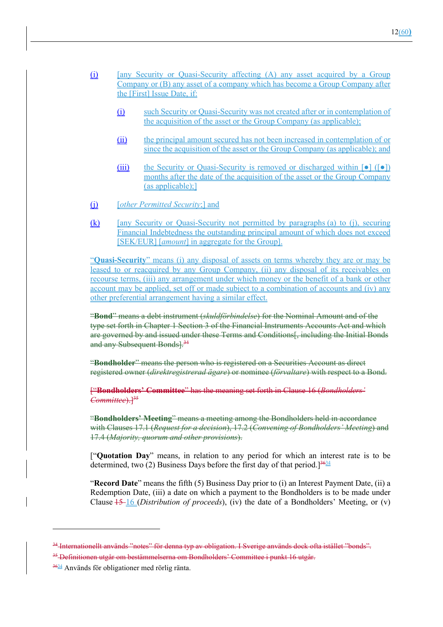- (i) [any Security or Quasi-Security affecting (A) any asset acquired by a Group Company or (B) any asset of a company which has become a Group Company after the [First] Issue Date, if:
	- (i) such Security or Quasi-Security was not created after or in contemplation of the acquisition of the asset or the Group Company (as applicable);
	- (ii) the principal amount secured has not been increased in contemplation of or since the acquisition of the asset or the Group Company (as applicable); and
	- (iii) the Security or Quasi-Security is removed or discharged within  $\lceil \bullet \rceil$  ( $\lceil \bullet \rceil$ ) months after the date of the acquisition of the asset or the Group Company  $(as an plicable):$ ]
- (j) [*other Permitted Security*;] and
- (k) [any Security or Quasi-Security not permitted by paragraphs (a) to (j), securing Financial Indebtedness the outstanding principal amount of which does not exceed [SEK/EUR] [*amount*] in aggregate for the Group].

"**Quasi-Security**" means (i) any disposal of assets on terms whereby they are or may be leased to or reacquired by any Group Company, (ii) any disposal of its receivables on recourse terms, (iii) any arrangement under which money or the benefit of a bank or other account may be applied, set off or made subject to a combination of accounts and (iv) any other preferential arrangement having a similar effect.

"**Bond**" means a debt instrument (*skuldförbindelse*) for the Nominal Amount and of the type set forth in Chapter 1 Section 3 of the Financial Instruments Accounts Act and which are governed by and issued under these Terms and Conditions[, including the Initial Bonds and any Subsequent Bonds].<sup>34</sup>

"**Bondholder**" means the person who is registered on a Securities Account as direct registered owner (*direktregistrerad ägare*) or nominee (*förvaltare*) with respect to a Bond.

["**Bondholders' Committee**" has the meaning set forth in Clause 16 (*Bondholders'*  Committee).<sup>[35</sup>

"**Bondholders' Meeting**" means a meeting among the Bondholders held in accordance with Clauses 17.1 (*Request for a decision*), 17.2 (*Convening of Bondholders' Meeting*) and 17.4 (*Majority, quorum and other provisions*).

["**Quotation Day**" means, in relation to any period for which an interest rate is to be determined, two (2) Business Days before the first day of that period.  $\frac{3634}{5}$ 

"**Record Date**" means the fifth (5) Business Day prior to (i) an Interest Payment Date, (ii) a Redemption Date, (iii) a date on which a payment to the Bondholders is to be made under Clause 15 16 (*Distribution of proceeds*), (iv) the date of a Bondholders' Meeting, or (v)

<sup>&</sup>lt;sup>34</sup> Internationellt används "notes" för denna typ av obligation. I Sverige används dock ofta istället "bonds". <sup>35</sup> Definitionen utgår om bestämmelserna om Bondholders' Committee i punkt 16 utgår.

 $\frac{3634}{2}$  Används för obligationer med rörlig ränta.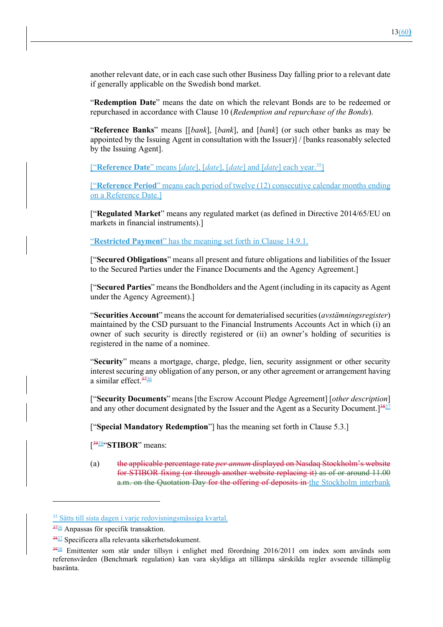another relevant date, or in each case such other Business Day falling prior to a relevant date if generally applicable on the Swedish bond market.

"**Redemption Date**" means the date on which the relevant Bonds are to be redeemed or repurchased in accordance with Clause 10 (*Redemption and repurchase of the Bonds*).

"**Reference Banks**" means [[*bank*], [*bank*], and [*bank*] (or such other banks as may be appointed by the Issuing Agent in consultation with the Issuer)] / [banks reasonably selected by the Issuing Agent].

["**Reference Date**" means [*date*], [*date*], [*date*] and [*date*] each year.35]

["**Reference Period**" means each period of twelve (12) consecutive calendar months ending on a Reference Date.]

["**Regulated Market**" means any regulated market (as defined in Directive 2014/65/EU on markets in financial instruments).]

"**Restricted Payment**" has the meaning set forth in Clause 14.9.1.

["**Secured Obligations**" means all present and future obligations and liabilities of the Issuer to the Secured Parties under the Finance Documents and the Agency Agreement.]

["**Secured Parties**" means the Bondholders and the Agent (including in its capacity as Agent under the Agency Agreement).]

"**Securities Account**" means the account for dematerialised securities (*avstämningsregister*) maintained by the CSD pursuant to the Financial Instruments Accounts Act in which (i) an owner of such security is directly registered or (ii) an owner's holding of securities is registered in the name of a nominee.

"**Security**" means a mortgage, charge, pledge, lien, security assignment or other security interest securing any obligation of any person, or any other agreement or arrangement having a similar effect.  $\frac{3736}{2}$ 

["**Security Documents**" means [the Escrow Account Pledge Agreement] [*other description*] and any other document designated by the Issuer and the Agent as a Security Document.  $]^{38,37}$ 

["**Special Mandatory Redemption**"] has the meaning set forth in Clause 5.3.]

[ 3938"**STIBOR**" means:

(a) the applicable percentage rate *per annum* displayed on Nasdaq Stockholm's website for STIBOR fixing (or through another website replacing it) as of or around 11.00 a.m. on the Quotation Day for the offering of deposits in the Stockholm interbank

<sup>35</sup> Sätts till sista dagen i varje redovisningsmässiga kvartal.

 $\frac{3736}{100}$  Anpassas för specifik transaktion.

<sup>3837</sup> Specificera alla relevanta säkerhetsdokument.

<sup>3938</sup> Emittenter som står under tillsyn i enlighet med förordning 2016/2011 om index som används som referensvärden (Benchmark regulation) kan vara skyldiga att tillämpa särskilda regler avseende tillämplig basränta.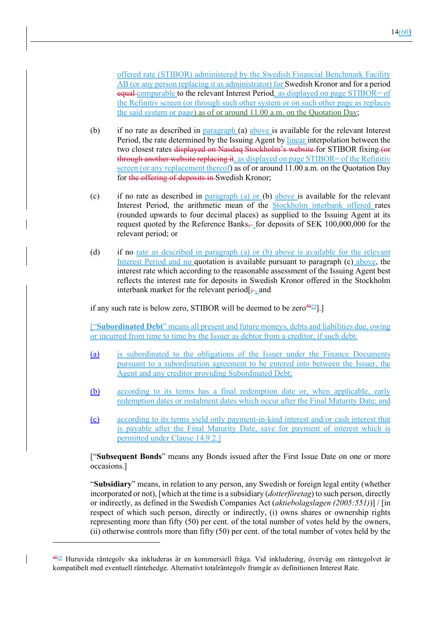offered rate (STIBOR) administered by the Swedish Financial Benchmark Facility AB (or any person replacing it as administrator) for Swedish Kronor and for a period equal comparable to the relevant Interest Period, as displayed on page STIBOR= of the Refinitiv screen (or through such other system or on such other page as replaces the said system or page) as of or around 11.00 a.m. on the Quotation Day;

- (b) if no rate as described in paragraph (a) above is available for the relevant Interest Period, the rate determined by the Issuing Agent by linear interpolation between the two closest rates displayed on Nasdaq Stockholm's website for STIBOR fixing (or through another website replacing it, as displayed on page STIBOR= of the Refinitiv screen (or any replacement thereof) as of or around 11.00 a.m. on the Quotation Day for the offering of deposits in Swedish Kronor;
- (c) if no rate as described in paragraph (a) or (b) above is available for the relevant Interest Period, the arithmetic mean of the Stockholm interbank offered rates (rounded upwards to four decimal places) as supplied to the Issuing Agent at its request quoted by the Reference Banks, for deposits of SEK 100,000,000 for the relevant period; or
- (d) if no <u>rate as described in paragraph (a) or (b) above is available for the relevant</u> Interest Period and no quotation is available pursuant to paragraph (c) above, the interest rate which according to the reasonable assessment of the Issuing Agent best reflects the interest rate for deposits in Swedish Kronor offered in the Stockholm interbank market for the relevant period  $\div$ , and

if any such rate is below zero, STIBOR will be deemed to be zero  $4039$ ].]

["**Subordinated Debt**" means all present and future moneys, debts and liabilities due, owing or incurred from time to time by the Issuer as debtor from a creditor, if such debt:

- (a) is subordinated to the obligations of the Issuer under the Finance Documents pursuant to a subordination agreement to be entered into between the Issuer, the Agent and any creditor providing Subordinated Debt;
- (b) according to its terms has a final redemption date or, when applicable, early redemption dates or instalment dates which occur after the Final Maturity Date; and
- (c) according to its terms yield only payment-in-kind interest and/or cash interest that is payable after the Final Maturity Date, save for payment of interest which is permitted under Clause 14.9.2.]

["**Subsequent Bonds**" means any Bonds issued after the First Issue Date on one or more occasions.]

"**Subsidiary**" means, in relation to any person, any Swedish or foreign legal entity (whether incorporated or not), [which at the time is a subsidiary (*dotterföretag*) to such person, directly or indirectly, as defined in the Swedish Companies Act (*aktiebolagslagen (2005:551)*)] / [in respect of which such person, directly or indirectly, (i) owns shares or ownership rights representing more than fifty (50) per cent. of the total number of votes held by the owners, (ii) otherwise controls more than fifty (50) per cent. of the total number of votes held by the

<sup>4039</sup> Huruvida räntegolv ska inkluderas är en kommersiell fråga. Vid inkludering, överväg om räntegolvet är kompatibelt med eventuell räntehedge. Alternativt totalräntegolv framgår av definitionen Interest Rate.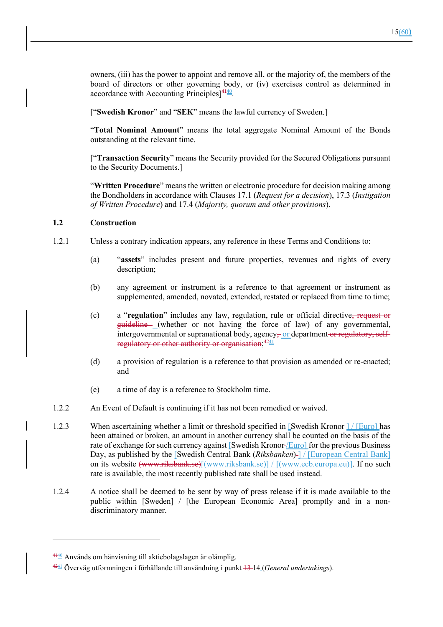["**Swedish Kronor**" and "**SEK**" means the lawful currency of Sweden.]

"**Total Nominal Amount**" means the total aggregate Nominal Amount of the Bonds outstanding at the relevant time.

["**Transaction Security**" means the Security provided for the Secured Obligations pursuant to the Security Documents.]

"**Written Procedure**" means the written or electronic procedure for decision making among the Bondholders in accordance with Clauses 17.1 (*Request for a decision*), 17.3 (*Instigation of Written Procedure*) and 17.4 (*Majority, quorum and other provisions*).

## **1.2 Construction**

- 1.2.1 Unless a contrary indication appears, any reference in these Terms and Conditions to:
	- (a) "**assets**" includes present and future properties, revenues and rights of every description;
	- (b) any agreement or instrument is a reference to that agreement or instrument as supplemented, amended, novated, extended, restated or replaced from time to time;
	- (c) a "**regulation**" includes any law, regulation, rule or official directive, request or guideline (whether or not having the force of law) of any governmental, intergovernmental or supranational body, agency, or department or regulatory, selfregulatory or other authority or organisation; $^{4241}$
	- (d) a provision of regulation is a reference to that provision as amended or re-enacted; and
	- (e) a time of day is a reference to Stockholm time.
- 1.2.2 An Event of Default is continuing if it has not been remedied or waived.
- 1.2.3 When ascertaining whether a limit or threshold specified in [Swedish Kronor-] / [Euro] has been attained or broken, an amount in another currency shall be counted on the basis of the rate of exchange for such currency against [Swedish Kronor-*[Euro*] for the previous Business Day, as published by the [Swedish Central Bank *(Riksbanken)* ] */* [European Central Bank] on its website (www.riksbank.se)[(www.riksbank.se)] / [(www.ecb.europa.eu)]. If no such rate is available, the most recently published rate shall be used instead.
- 1.2.4 A notice shall be deemed to be sent by way of press release if it is made available to the public within [Sweden] / [the European Economic Area] promptly and in a nondiscriminatory manner.

<sup>4140</sup> Används om hänvisning till aktiebolagslagen är olämplig.

<sup>4241</sup> Överväg utformningen i förhållande till användning i punkt 13 14 (*General undertakings*).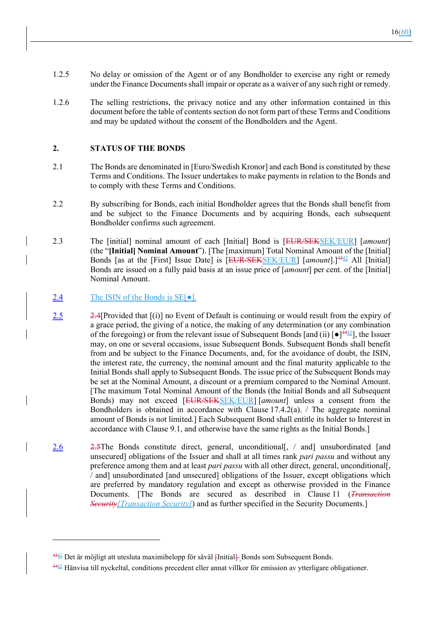- 1.2.5 No delay or omission of the Agent or of any Bondholder to exercise any right or remedy under the Finance Documents shall impair or operate as a waiver of any such right or remedy.
- 1.2.6 The selling restrictions, the privacy notice and any other information contained in this document before the table of contents section do not form part of these Terms and Conditions and may be updated without the consent of the Bondholders and the Agent.

#### **2. STATUS OF THE BONDS**

- 2.1 The Bonds are denominated in [Euro/Swedish Kronor] and each Bond is constituted by these Terms and Conditions. The Issuer undertakes to make payments in relation to the Bonds and to comply with these Terms and Conditions.
- 2.2 By subscribing for Bonds, each initial Bondholder agrees that the Bonds shall benefit from and be subject to the Finance Documents and by acquiring Bonds, each subsequent Bondholder confirms such agreement.
- 2.3 The [initial] nominal amount of each [Initial] Bond is [EUR/SEKSEK/EUR] [*amount*] (the "**[Initial] Nominal Amount**"). [The [maximum] Total Nominal Amount of the [Initial] Bonds [as at the [First] Issue Date] is [EUR/SEKSEK/EUR] [amount].<sup>[4342</sup> All [Initial] Bonds are issued on a fully paid basis at an issue price of [*amount*] per cent. of the [Initial] Nominal Amount.
- 2.4 The ISIN of the Bonds is SE[ $\bullet$ ].
- $\frac{2.5}{2.4}$ [Provided that [(i)] no Event of Default is continuing or would result from the expiry of a grace period, the giving of a notice, the making of any determination (or any combination of the foregoing) or from the relevant issue of Subsequent Bonds [and (ii)  $\lceil \bullet \rceil^{44}$  , the Issuer may, on one or several occasions, issue Subsequent Bonds. Subsequent Bonds shall benefit from and be subject to the Finance Documents, and, for the avoidance of doubt, the ISIN, the interest rate, the currency, the nominal amount and the final maturity applicable to the Initial Bonds shall apply to Subsequent Bonds. The issue price of the Subsequent Bonds may be set at the Nominal Amount, a discount or a premium compared to the Nominal Amount. [The maximum Total Nominal Amount of the Bonds (the Initial Bonds and all Subsequent Bonds) may not exceed [EUR/SEKSEK/EUR] [*amount*] unless a consent from the Bondholders is obtained in accordance with Clause  $17.4.2(a)$ . The aggregate nominal amount of Bonds is not limited.] Each Subsequent Bond shall entitle its holder to Interest in accordance with Clause 9.1, and otherwise have the same rights as the Initial Bonds.]
- 2.6 2.5The Bonds constitute direct, general, unconditional[, / and] unsubordinated [and unsecured] obligations of the Issuer and shall at all times rank *pari passu* and without any preference among them and at least *pari passu* with all other direct, general, unconditional[, / and] unsubordinated [and unsecured] obligations of the Issuer, except obligations which are preferred by mandatory regulation and except as otherwise provided in the Finance Documents. [The Bonds are secured as described in Clause 11 (*Transaction Security[Transaction Security]*) and as further specified in the Security Documents.]

<sup>4342</sup> Det är möjligt att utesluta maximibelopp för såväl [Initial] Bonds som Subsequent Bonds.

<sup>4443</sup> Hänvisa till nyckeltal, conditions precedent eller annat villkor för emission av ytterligare obligationer.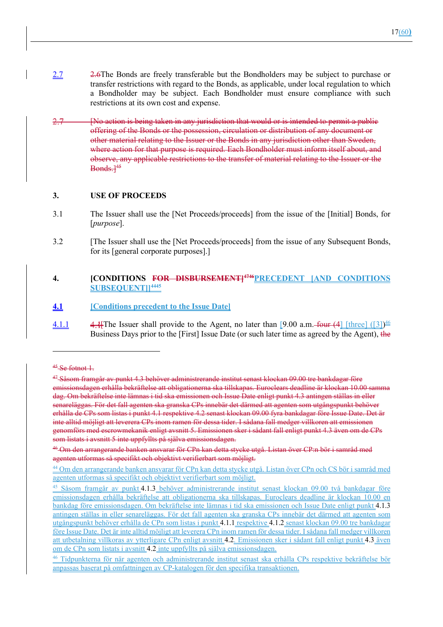- 2.7 2.6The Bonds are freely transferable but the Bondholders may be subject to purchase or transfer restrictions with regard to the Bonds, as applicable, under local regulation to which a Bondholder may be subject. Each Bondholder must ensure compliance with such restrictions at its own cost and expense.
- [No action is being taken in any jurisdiction that would or is intended to permit a public offering of the Bonds or the possession, circulation or distribution of any document or other material relating to the Issuer or the Bonds in any jurisdiction other than Sweden, where action for that purpose is required. Each Bondholder must inform itself about, and observe, any applicable restrictions to the transfer of material relating to the Issuer or the Bonds.]45

#### **3. USE OF PROCEEDS**

- 3.1 The Issuer shall use the [Net Proceeds/proceeds] from the issue of the [Initial] Bonds, for [*purpose*].
- 3.2 [The Issuer shall use the [Net Proceeds/proceeds] from the issue of any Subsequent Bonds, for its [general corporate purposes].]

#### **4. [CONDITIONS FOR DISBURSEMENT]4746PRECEDENT [AND CONDITIONS SUBSEQUENT]]4445**

- **4.1 [Conditions precedent to the Issue Date]**
- 4.1.1  $\qquad 4.1$  [The Issuer shall provide to the Agent, no later than [9.00 a.m. four (4] [three] ([3])  $\frac{46}{5}$ Business Days prior to the [First] Issue Date (or such later time as agreed by the Agent), the

 $45$  Se fotnot 1.

<sup>47</sup> Såsom framgår av punkt 4.3 behöver administrerande institut senast klockan 09.00 tre bankdagar före emissionsdagen erhålla bekräftelse att obligationerna ska tillskapas. Euroclears deadline är klockan 10.00 samma dag. Om bekräftelse inte lämnas i tid ska emissionen och Issue Date enligt punkt 4.3 antingen ställas in eller senareläggas. För det fall agenten ska granska CPs innebär det därmed att agenten som utgångspunkt behöver erhålla de CPs som listas i punkt 4.1 respektive 4.2 senast klockan 09.00 fyra bankdagar före Issue Date. Det är inte alltid möjligt att leverera CPs inom ramen för dessa tider. I sådana fall medger villkoren att emissionen genomförs med escrowmekanik enligt avsnitt 5. Emissionen sker i sådant fall enligt punkt 4.3 även om de CPs som listats i avsnitt 5 inte uppfyllts på själva emissionsdagen.

<sup>46</sup> Om den arrangerande banken ansvarar för CPn kan detta stycke utgå. Listan över CP:n bör i samråd med agenten utformas så specifikt och objektivt verifierbart som möjligt.

<sup>&</sup>lt;sup>44</sup> Om den arrangerande banken ansvarar för CPn kan detta stycke utgå. Listan över CPn och CS bör i samråd med agenten utformas så specifikt och objektivt verifierbart som möjligt.

<sup>&</sup>lt;sup>45</sup> Såsom framgår av punkt 4.1.3 behöver administrerande institut senast klockan 09.00 två bankdagar före emissionsdagen erhålla bekräftelse att obligationerna ska tillskapas. Euroclears deadline är klockan 10.00 en bankdag före emissionsdagen. Om bekräftelse inte lämnas i tid ska emissionen och Issue Date enligt punkt 4.1.3 antingen ställas in eller senareläggas. För det fall agenten ska granska CPs innebär det därmed att agenten som utgångspunkt behöver erhålla de CPn som listas i punkt 4.1.1 respektive 4.1.2 senast klockan 09.00 tre bankdagar före Issue Date. Det är inte alltid möjligt att leverera CPn inom ramen för dessa tider. I sådana fall medger villkoren att utbetalning villkoras av ytterligare CPn enligt avsnitt 4.2. Emissionen sker i sådant fall enligt punkt 4.3 även om de CPn som listats i avsnitt 4.2 inte uppfyllts på själva emissionsdagen.

<sup>46</sup> Tidpunkterna för när agenten och administrerande institut senast ska erhålla CPs respektive bekräftelse bör anpassas baserat på omfattningen av CP-katalogen för den specifika transaktionen.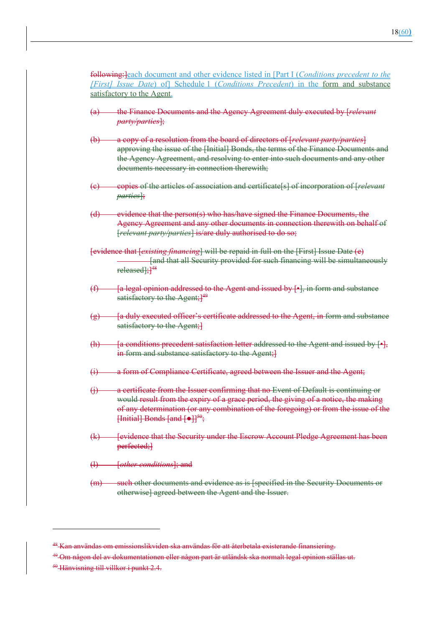following:]each document and other evidence listed in [Part I (*Conditions precedent to the [First] Issue Date*) of] Schedule 1 (*Conditions Precedent*) in the form and substance satisfactory to the Agent.

- (a) the Finance Documents and the Agency Agreement duly executed by [*relevant party/parties*];
- (b) a copy of a resolution from the board of directors of [*relevant party/parties*] approving the issue of the [Initial] Bonds, the terms of the Finance Documents and the Agency Agreement, and resolving to enter into such documents and any other documents necessary in connection therewith;
- (c) copies of the articles of association and certificate[s] of incorporation of [*relevant parties*];
- (d) evidence that the person(s) who has/have signed the Finance Documents, the Agency Agreement and any other documents in connection therewith on behalf of [*relevant party/parties*] is/are duly authorised to do so;
- [evidence that [*existing financing*] will be repaid in full on the [First] Issue Date (e) [and that all Security provided for such financing will be simultaneously released];<sup>148</sup>
- $(f)$  [a legal opinion addressed to the Agent and issued by  $[*]$ , in form and substance satisfactory to the Agent;<sup>149</sup>
- $(g)$  [a duly executed officer's certificate addressed to the Agent, in form and substance satisfactory to the Agent;
- $(h)$  [a conditions precedent satisfaction letter addressed to the Agent and issued by  $[•]$ , in form and substance satisfactory to the Agent;
- (i) a form of Compliance Certificate, agreed between the Issuer and the Agent;
- (j) a certificate from the Issuer confirming that no Event of Default is continuing or would result from the expiry of a grace period, the giving of a notice, the making of any determination (or any combination of the foregoing) or from the issue of the  $\left\{\left[\text{Initial}\right]\right\}$  Bonds  $\left\{\text{and}\right\}$   $\left\{\bullet\right\}$   $\left\{\bullet\right\}$   $\left\{\bullet\right\}$
- (k) [evidence that the Security under the Escrow Account Pledge Agreement has been perfected;}
- (l) [*other conditions*]; and
- (m) such other documents and evidence as is [specified in the Security Documents or otherwise] agreed between the Agent and the Issuer.

<sup>50</sup> Hänvisning till villkor i punkt 2.4.

<sup>&</sup>lt;sup>48</sup> Kan användas om emissionslikviden ska användas för att återbetala existerande finansiering.

<sup>&</sup>lt;sup>49</sup>-Om någon del av dokumentationen eller någon part är utländsk ska normalt legal opinion ställas ut.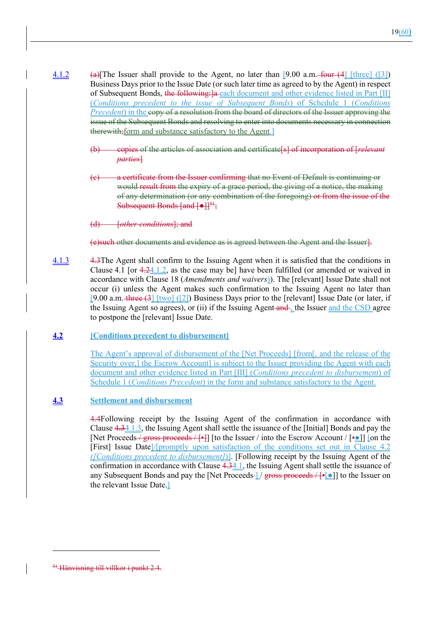- 4.1.2 (a)[The Issuer shall provide to the Agent, no later than [9.00 a.m. four (4] [three] ([3]) Business Days prior to the Issue Date (or such later time as agreed to by the Agent) in respect of Subsequent Bonds, the following: la each document and other evidence listed in Part [II] (*Conditions precedent to the issue of Subsequent Bonds*) of Schedule 1 (*Conditions Precedent*) in the copy of a resolution from the board of directors of the Issuer approving the issue of the Subsequent Bonds and resolving to enter into documents necessary in connection therewith; form and substance satisfactory to the Agent.
	- (b) copies of the articles of association and certificate[s] of incorporation of [*relevant parties*]
	- (c) a certificate from the Issuer confirming that no Event of Default is continuing or would result from the expiry of a grace period, the giving of a notice, the making of any determination (or any combination of the foregoing) or from the issue of the Subsequent Bonds  $\left[\text{and } \left[\text{•}\right]\right]^{\frac{51}{3}}$ ;

(d) [*other conditions*]; and

(e)such other documents and evidence as is agreed between the Agent and the Issuer].

- 4.1.3 4.3The Agent shall confirm to the Issuing Agent when it is satisfied that the conditions in Clause 4.1 [or 4.24.1.2, as the case may be] have been fulfilled (or amended or waived in accordance with Clause 18 (*Amendments and waivers*)). The [relevant] Issue Date shall not occur (i) unless the Agent makes such confirmation to the Issuing Agent no later than [9.00 a.m. three  $(3)$  [two] ([2]) Business Days prior to the [relevant] Issue Date (or later, if the Issuing Agent so agrees), or (ii) if the Issuing Agent and , the Issuer and the CSD agree to postpone the [relevant] Issue Date.
- **4.2 [Conditions precedent to disbursement]**

The Agent's approval of disbursement of the [Net Proceeds] [from[, and the release of the Security over,] the Escrow Account] is subject to the Issuer providing the Agent with each document and other evidence listed in Part [III] (*Conditions precedent to disbursement*) of Schedule 1 (*Conditions Precedent*) in the form and substance satisfactory to the Agent.

# **4.3 Settlement and disbursement**

4.4Following receipt by the Issuing Agent of the confirmation in accordance with Clause 4.34.1.3, the Issuing Agent shall settle the issuance of the [Initial] Bonds and pay the [Net Proceeds / gross proceeds / [•]] [to the Issuer / into the Escrow Account /  $[••]$ ] [on the [First] Issue Date]/[promptly upon satisfaction of the conditions set out in Clause 4.2 *([Conditions precedent to disbursement]*)]. [Following receipt by the Issuing Agent of the confirmation in accordance with Clause 4.34.1, the Issuing Agent shall settle the issuance of any Subsequent Bonds and pay the [Net Proceeds- $\frac{1}{2}$  gross proceeds  $\frac{1}{2}$ ] to the Issuer on the relevant Issue Date.]

<sup>&</sup>lt;sup>51</sup> Hänvisning till villkor i punkt 2.4.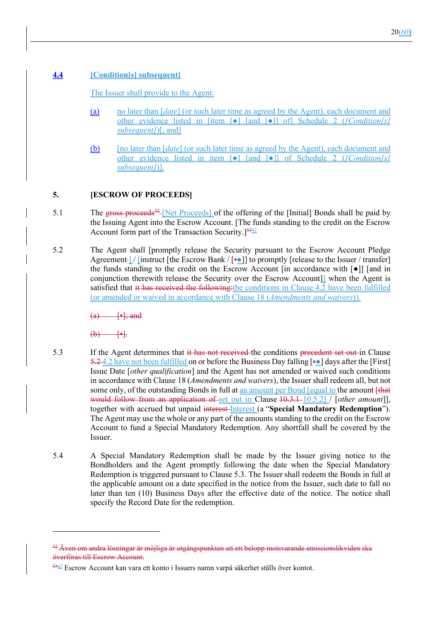# **4.4 [Condition[s] subsequent]**

The Issuer shall provide to the Agent:

- (a) no later than [*date*] (or such later time as agreed by the Agent), each document and other evidence listed in [item [●] [and [●]] of] Schedule 2 (*[Condition[s] subsequent]*)[; and]
- (b) [no later than [*date*] (or such later time as agreed by the Agent), each document and other evidence listed in item [●] [and [●]] of Schedule 2 (*[Condition[s] subsequent]*)].

# **5. [ESCROW OF PROCEEDS]**

- 5.1 The gross proceeds<sup>52</sup>-[Net Proceeds] of the offering of the [Initial] Bonds shall be paid by the Issuing Agent into the Escrow Account. [The funds standing to the credit on the Escrow Account form part of the Transaction Security.<sup>[5347]</sup>
- 5.2 The Agent shall [promptly release the Security pursuant to the Escrow Account Pledge Agreement  $\lceil$  [instruct [the Escrow Bank /  $\lceil \cdot \cdot \rceil$ ] to promptly [release to the Issuer / transfer] the funds standing to the credit on the Escrow Account [in accordance with  $\lceil \bullet \rceil$ ] [and in conjunction therewith release the Security over the Escrow Account]] when the Agent is satisfied that it has received the following: the conditions in Clause 4.2 have been fulfilled (or amended or waived in accordance with Clause 18 (*Amendments and waivers*)).

 $\leftarrow$  [•]; and

 $(b)$  [•].

- 5.3 If the Agent determines that it has not received the conditions precedent set out in Clause 5.24.2 have not been fulfilled on or before the Business Day falling [•0] days after the [First] Issue Date [*other qualification*] and the Agent has not amended or waived such conditions in accordance with Clause 18 (*Amendments and waivers*), the Issuer shall redeem all, but not some only, of the outstanding Bonds in full at <u>an amount per Bond [equal to</u> the amount  $f$ that would follow from an application of set out in Clause 10.3.1 10.5.2] / [*other amount*]], together with accrued but unpaid interest Interest (a "**Special Mandatory Redemption**"). The Agent may use the whole or any part of the amounts standing to the credit on the Escrow Account to fund a Special Mandatory Redemption. Any shortfall shall be covered by the Issuer.
- 5.4 A Special Mandatory Redemption shall be made by the Issuer giving notice to the Bondholders and the Agent promptly following the date when the Special Mandatory Redemption is triggered pursuant to Clause 5.3. The Issuer shall redeem the Bonds in full at the applicable amount on a date specified in the notice from the Issuer, such date to fall no later than ten (10) Business Days after the effective date of the notice. The notice shall specify the Record Date for the redemption.

<sup>&</sup>lt;sup>52</sup> Även om andra lösningar är möjliga är utgångspunkten att ett belopp motsvarande emissionslikviden ska överföras till Escrow Account.

<sup>5347</sup> Escrow Account kan vara ett konto i Issuers namn varpå säkerhet ställs över kontot.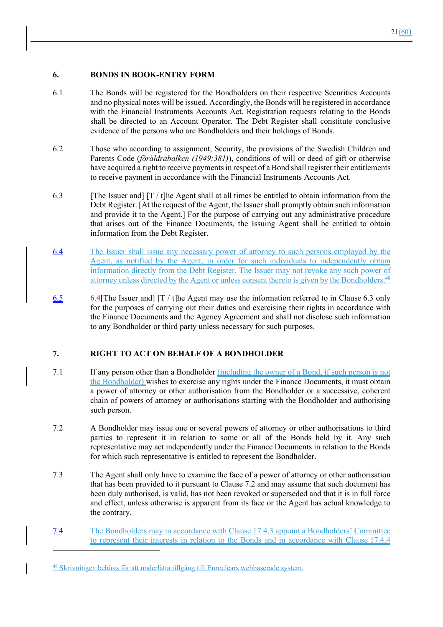# **6. BONDS IN BOOK-ENTRY FORM**

- 6.1 The Bonds will be registered for the Bondholders on their respective Securities Accounts and no physical notes will be issued. Accordingly, the Bonds will be registered in accordance with the Financial Instruments Accounts Act. Registration requests relating to the Bonds shall be directed to an Account Operator. The Debt Register shall constitute conclusive evidence of the persons who are Bondholders and their holdings of Bonds.
- 6.2 Those who according to assignment, Security, the provisions of the Swedish Children and Parents Code (*föräldrabalken (1949:381)*), conditions of will or deed of gift or otherwise have acquired a right to receive payments in respect of a Bond shall register their entitlements to receive payment in accordance with the Financial Instruments Accounts Act.
- 6.3 [The Issuer and]  $[T / t]$ he Agent shall at all times be entitled to obtain information from the Debt Register. [At the request of the Agent, the Issuer shall promptly obtain such information and provide it to the Agent.] For the purpose of carrying out any administrative procedure that arises out of the Finance Documents, the Issuing Agent shall be entitled to obtain information from the Debt Register.
- 6.4 The Issuer shall issue any necessary power of attorney to such persons employed by the Agent, as notified by the Agent, in order for such individuals to independently obtain information directly from the Debt Register. The Issuer may not revoke any such power of attorney unless directed by the Agent or unless consent thereto is given by the Bondholders.48
- 6.5 6.4[The Issuer and  $[T / t]$ he Agent may use the information referred to in Clause 6.3 only for the purposes of carrying out their duties and exercising their rights in accordance with the Finance Documents and the Agency Agreement and shall not disclose such information to any Bondholder or third party unless necessary for such purposes.

# **7. RIGHT TO ACT ON BEHALF OF A BONDHOLDER**

- 7.1 If any person other than a Bondholder (including the owner of a Bond, if such person is not the Bondholder) wishes to exercise any rights under the Finance Documents, it must obtain a power of attorney or other authorisation from the Bondholder or a successive, coherent chain of powers of attorney or authorisations starting with the Bondholder and authorising such person.
- 7.2 A Bondholder may issue one or several powers of attorney or other authorisations to third parties to represent it in relation to some or all of the Bonds held by it. Any such representative may act independently under the Finance Documents in relation to the Bonds for which such representative is entitled to represent the Bondholder.
- 7.3 The Agent shall only have to examine the face of a power of attorney or other authorisation that has been provided to it pursuant to Clause 7.2 and may assume that such document has been duly authorised, is valid, has not been revoked or superseded and that it is in full force and effect, unless otherwise is apparent from its face or the Agent has actual knowledge to the contrary.
- 7.4 The Bondholders may in accordance with Clause 17.4.3 appoint a Bondholders' Committee to represent their interests in relation to the Bonds and in accordance with Clause 17.4.4

<sup>48</sup> Skrivningen behövs för att underlätta tillgång till Euroclears webbaserade system.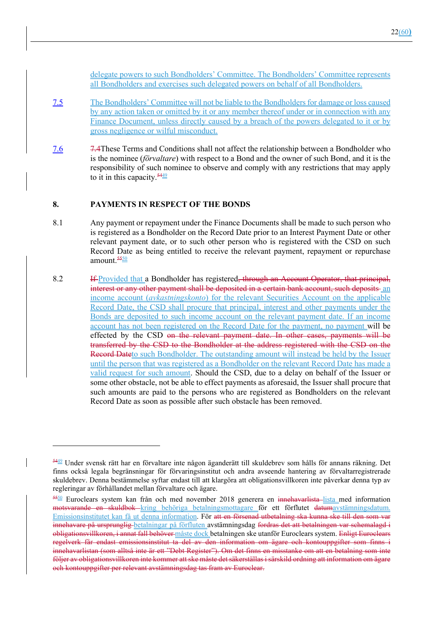delegate powers to such Bondholders' Committee. The Bondholders' Committee represents all Bondholders and exercises such delegated powers on behalf of all Bondholders.

- 7.5 The Bondholders' Committee will not be liable to the Bondholders for damage or loss caused by any action taken or omitted by it or any member thereof under or in connection with any Finance Document, unless directly caused by a breach of the powers delegated to it or by gross negligence or wilful misconduct.
- 7.6 7.4These Terms and Conditions shall not affect the relationship between a Bondholder who is the nominee (*förvaltare*) with respect to a Bond and the owner of such Bond, and it is the responsibility of such nominee to observe and comply with any restrictions that may apply to it in this capacity.  $\frac{5449}{2}$

#### **8. PAYMENTS IN RESPECT OF THE BONDS**

- 8.1 Any payment or repayment under the Finance Documents shall be made to such person who is registered as a Bondholder on the Record Date prior to an Interest Payment Date or other relevant payment date, or to such other person who is registered with the CSD on such Record Date as being entitled to receive the relevant payment, repayment or repurchase amount.<sup>5550</sup>
- 8.2 If Provided that a Bondholder has registered<del>, through an Account Operator, that principal,</del> interest or any other payment shall be deposited in a certain bank account, such deposits an income account (*avkastningskonto*) for the relevant Securities Account on the applicable Record Date, the CSD shall procure that principal, interest and other payments under the Bonds are deposited to such income account on the relevant payment date. If an income account has not been registered on the Record Date for the payment, no payment will be effected by the CSD on the relevant payment date. In other cases, payments will be transferred by the CSD to the Bondholder at the address registered with the CSD on the Record Dateto such Bondholder. The outstanding amount will instead be held by the Issuer until the person that was registered as a Bondholder on the relevant Record Date has made a valid request for such amount. Should the CSD, due to a delay on behalf of the Issuer or some other obstacle, not be able to effect payments as aforesaid, the Issuer shall procure that such amounts are paid to the persons who are registered as Bondholders on the relevant Record Date as soon as possible after such obstacle has been removed.

<sup>5449</sup> Under svensk rätt har en förvaltare inte någon äganderätt till skuldebrev som hålls för annans räkning. Det finns också legala begränsningar för förvaringsinstitut och andra avseende hantering av förvaltarregistrerade skuldebrev. Denna bestämmelse syftar endast till att klargöra att obligationsvillkoren inte påverkar denna typ av regleringar av förhållandet mellan förvaltare och ägare.

<sup>5550</sup> Euroclears system kan från och med november 2018 generera en innehavarlista-lista med information motsvarande en skuldbok kring behöriga betalningsmottagare för ett förflutet datumavstämningsdatum. Emissionsinstitutet kan få ut denna information. För att en försenad utbetalning ska kunna ske till den som var innehavare på ursprunglig betalningar på förfluten avstämningsdag fordras det att betalningen var schemalagd i obligationsvillkoren, i annat fall behöver måste dock betalningen ske utanför Euroclears system. Enligt Euroclears regelverk får endast emissionsinstitut ta del av den information om ägare och kontouppgifter som finns i innehavarlistan (som alltså inte är ett "Debt Register"). Om det finns en misstanke om att en betalning som inte följer av obligationsvillkoren inte kommer att ske måste det säkerställas i särskild ordning att information om ägare och kontouppgifter per relevant avstämningsdag tas fram av Euroclear.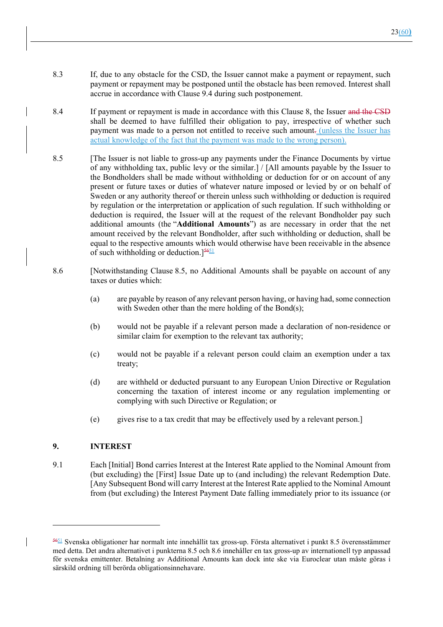- 8.3 If, due to any obstacle for the CSD, the Issuer cannot make a payment or repayment, such payment or repayment may be postponed until the obstacle has been removed. Interest shall accrue in accordance with Clause 9.4 during such postponement.
- 8.4 If payment or repayment is made in accordance with this Clause 8, the Issuer and the CSD shall be deemed to have fulfilled their obligation to pay, irrespective of whether such payment was made to a person not entitled to receive such amount. (unless the Issuer has actual knowledge of the fact that the payment was made to the wrong person).
- 8.5 [The Issuer is not liable to gross-up any payments under the Finance Documents by virtue of any withholding tax, public levy or the similar.] / [All amounts payable by the Issuer to the Bondholders shall be made without withholding or deduction for or on account of any present or future taxes or duties of whatever nature imposed or levied by or on behalf of Sweden or any authority thereof or therein unless such withholding or deduction is required by regulation or the interpretation or application of such regulation. If such withholding or deduction is required, the Issuer will at the request of the relevant Bondholder pay such additional amounts (the "**Additional Amounts**") as are necessary in order that the net amount received by the relevant Bondholder, after such withholding or deduction, shall be equal to the respective amounts which would otherwise have been receivable in the absence of such withholding or deduction.<sup>[56<u>51</u>]</sup>
- 8.6 [Notwithstanding Clause 8.5, no Additional Amounts shall be payable on account of any taxes or duties which:
	- (a) are payable by reason of any relevant person having, or having had, some connection with Sweden other than the mere holding of the Bond(s);
	- (b) would not be payable if a relevant person made a declaration of non-residence or similar claim for exemption to the relevant tax authority;
	- (c) would not be payable if a relevant person could claim an exemption under a tax treaty;
	- (d) are withheld or deducted pursuant to any European Union Directive or Regulation concerning the taxation of interest income or any regulation implementing or complying with such Directive or Regulation; or
	- (e) gives rise to a tax credit that may be effectively used by a relevant person.]

# **9. INTEREST**

9.1 Each [Initial] Bond carries Interest at the Interest Rate applied to the Nominal Amount from (but excluding) the [First] Issue Date up to (and including) the relevant Redemption Date. [Any Subsequent Bond will carry Interest at the Interest Rate applied to the Nominal Amount from (but excluding) the Interest Payment Date falling immediately prior to its issuance (or

 $\frac{5651}{100}$  Svenska obligationer har normalt inte innehållit tax gross-up. Första alternativet i punkt 8.5 överensstämmer med detta. Det andra alternativet i punkterna 8.5 och 8.6 innehåller en tax gross-up av internationell typ anpassad för svenska emittenter. Betalning av Additional Amounts kan dock inte ske via Euroclear utan måste göras i särskild ordning till berörda obligationsinnehavare.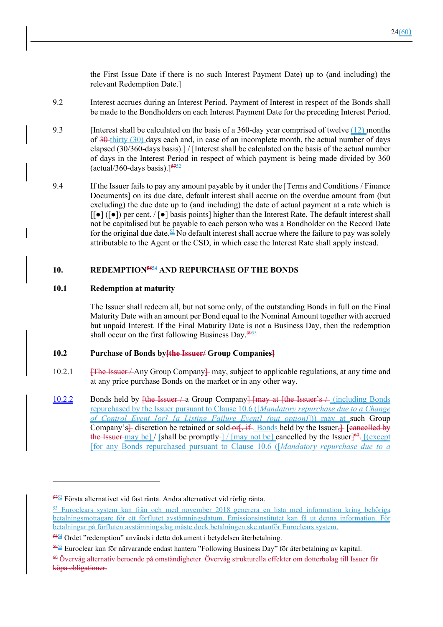the First Issue Date if there is no such Interest Payment Date) up to (and including) the relevant Redemption Date.]

- 9.2 Interest accrues during an Interest Period. Payment of Interest in respect of the Bonds shall be made to the Bondholders on each Interest Payment Date for the preceding Interest Period.
- 9.3 [Interest shall be calculated on the basis of a 360-day year comprised of twelve  $(12)$  months of  $30$ -thirty (30) days each and, in case of an incomplete month, the actual number of days elapsed (30/360-days basis).] / [Interest shall be calculated on the basis of the actual number of days in the Interest Period in respect of which payment is being made divided by 360 (actual/360-days basis).] $57\frac{5752}{6}$
- 9.4 If the Issuer fails to pay any amount payable by it under the [Terms and Conditions / Finance Documents] on its due date, default interest shall accrue on the overdue amount from (but excluding) the due date up to (and including) the date of actual payment at a rate which is  $\lceil \cdot \rceil$  ( $\lceil \cdot \rceil$ ) per cent.  $\lceil \cdot \rceil$  basis points] higher than the Interest Rate. The default interest shall not be capitalised but be payable to each person who was a Bondholder on the Record Date for the original due date.<sup>53</sup> No default interest shall accrue where the failure to pay was solely attributable to the Agent or the CSD, in which case the Interest Rate shall apply instead.

## **10. REDEMPTION5854 AND REPURCHASE OF THE BONDS**

#### **10.1 Redemption at maturity**

The Issuer shall redeem all, but not some only, of the outstanding Bonds in full on the Final Maturity Date with an amount per Bond equal to the Nominal Amount together with accrued but unpaid Interest. If the Final Maturity Date is not a Business Day, then the redemption shall occur on the first following Business Day. $\frac{5955}{5}$ 

#### **10.2 Purchase of Bonds by[the Issuer/ Group Companies]**

- 10.2.1 **[The Issuer** / Any Group Company | may, subject to applicable regulations, at any time and at any price purchase Bonds on the market or in any other way.
- 10.2.2 Bonds held by <del>[the Issuer / a</del> Group Company<del>] [may at [the Issuer's / (including Bonds</del> repurchased by the Issuer pursuant to Clause 10.6 ([*Mandatory repurchase due to a Change of Control Event [or] [a Listing Failure Event] (put option)*])) may at such Group Company's $\frac{1}{2}$  discretion be retained or sold-or  $\frac{1}{2}$ , if . Bonds held by the Issuer, [cancelled by the Issuer-may be] / [shall be promptly-] / [may not be] cancelled by the Issuer]<sup>60</sup>. [(except [for any Bonds repurchased pursuant to Clause 10.6 ([*Mandatory repurchase due to a*

<sup>5752</sup> Första alternativet vid fast ränta. Andra alternativet vid rörlig ränta.

<sup>53</sup> Euroclears system kan från och med november 2018 generera en lista med information kring behöriga betalningsmottagare för ett förflutet avstämningsdatum. Emissionsinstitutet kan få ut denna information. betalningar på förfluten avstämningsdag måste dock betalningen ske utanför Euroclears system.

 $\frac{5854}{2}$  Ordet "redemption" används i detta dokument i betydelsen återbetalning.

<sup>5955</sup> Euroclear kan för närvarande endast hantera "Following Business Day" för återbetalning av kapital.

<sup>60</sup> Överväg alternativ beroende på omständigheter. Överväg strukturella effekter om dotterbolag till Issuer får köpa obligationer.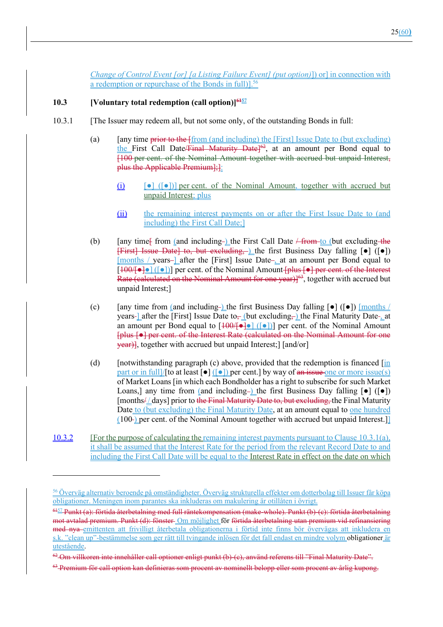*Change of Control Event [or] [a Listing Failure Event] (put option)*]) or] in connection with a redemption or repurchase of the Bonds in full)].<sup>56</sup>

## **10.3 IVoluntary total redemption (call option)**

- 10.3.1 [The Issuer may redeem all, but not some only, of the outstanding Bonds in full:
	- (a)  $\int$  [any time prior to the  $\int$  from (and including) the [First] Issue Date to (but excluding) the First Call Date/Final Maturity Date]<sup>62</sup>, at an amount per Bond equal to [100 per cent. of the Nominal Amount together with accrued but unpaid Interest, plus the Applicable Premium];]:
		- (i)  $\lceil \cdot \cdot \cdot \rceil$  ( $\lceil \cdot \cdot \cdot \rceil$ )] per cent. of the Nominal Amount, together with accrued but unpaid Interest; plus
		- (ii) the remaining interest payments on or after the First Issue Date to (and including) the First Call Date;]
	- (b)  $\int$  [any time ffrom (and including ) the First Call Date  $\frac{\text{Ferm}-\text{to}}{\text{Ferm}-\text{to}}$  (but excluding the [First] Issue Date] to, but excluding, ) the first Business Day falling [●] ([●]) [months / years-] after the [First] Issue Date-<sub>senger</sub> at an amount per Bond equal to  $[100/[-] \cdot ]$  [ $\cdot ]$ ] per cent. of the Nominal Amount  $\cdot$  plus  $\cdot$  = per cent. of the Interest Rate (calculated on the Nominal Amount for one year) $]^{63}$ , together with accrued but unpaid Interest;]
	- (c) [any time from (and including-) the first Business Day falling  $\lceil \bullet \rceil$  ( $\lceil \bullet \rceil$ ) [months / years-lafter the [First] Issue Date to<sub> $\tau$ </sub> (but excluding, ) the Final Maturity Date-, at an amount per Bond equal to  $[100/10]$  ([0]] per cent. of the Nominal Amount [plus [●] per cent. of the Interest Rate (calculated on the Nominal Amount for one year)], together with accrued but unpaid Interest;] [and/or]
	- (d) [notwithstanding paragraph (c) above, provided that the redemption is financed  $\overline{\text{in}}$ part or in full]/[to at least  $\lceil \bullet \rceil$  ( $\lceil \bullet \rceil$ ) per cent.] by way of an issue one or more issue(s) of Market Loans [in which each Bondholder has a right to subscribe for such Market Loans,] any time from (and including-) the first Business Day falling  $[\bullet]$  ( $[\bullet]$ )  $[months/\d{days}]$  prior to the Final Maturity Date to, but excluding, the Final Maturity Date to (but excluding) the Final Maturity Date, at an amount equal to one hundred  $(100)$  per cent. of the Nominal Amount together with accrued but unpaid Interest.]
- 10.3.2 [For the purpose of calculating the remaining interest payments pursuant to Clause 10.3.1(a), it shall be assumed that the Interest Rate for the period from the relevant Record Date to and including the First Call Date will be equal to the Interest Rate in effect on the date on which

<sup>56</sup> Överväg alternativ beroende på omständigheter. Överväg strukturella effekter om dotterbolag till Issuer får köpa obligationer. Meningen inom parantes ska inkluderas om makulering är otillåten i övrigt.

 $6157$  Punkt (a): förtida återbetalning med full räntekompensation (make-whole). Punkt (b) (c): förtida återbetalning mot avtalad premium. Punkt (d): fönster Om möjlighet för förtida återbetalning utan premium vid refinansiering med nya emittenten att frivilligt återbetala obligationerna i förtid inte finns bör övervägas att inkludera en s.k. "clean up"-bestämmelse som ger rätt till tvingande inlösen för det fall endast en mindre volym obligationer är utestående.

<sup>&</sup>lt;sup>62</sup>-Om villkoren inte innehåller call optioner enligt punkt (b) (c), använd referens till "Final Maturity Date".

<sup>63</sup> Premium för call option kan definieras som procent av nominellt belopp eller som procent av årlig kupong.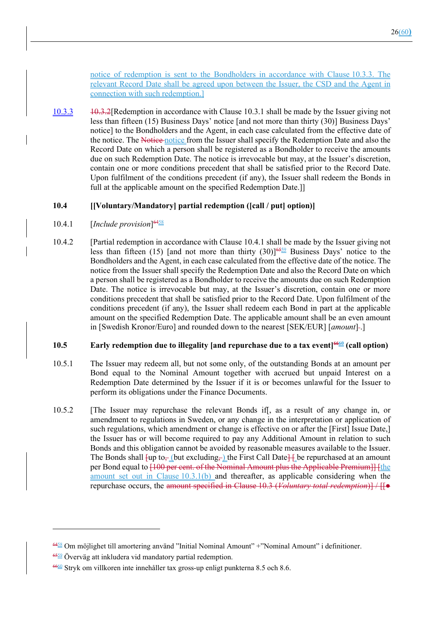notice of redemption is sent to the Bondholders in accordance with Clause 10.3.3. The relevant Record Date shall be agreed upon between the Issuer, the CSD and the Agent in connection with such redemption.]

10.3.3 10.3.2[Redemption in accordance with Clause 10.3.1 shall be made by the Issuer giving not less than fifteen (15) Business Days' notice [and not more than thirty (30)] Business Days' notice] to the Bondholders and the Agent, in each case calculated from the effective date of the notice. The Notice notice from the Issuer shall specify the Redemption Date and also the Record Date on which a person shall be registered as a Bondholder to receive the amounts due on such Redemption Date. The notice is irrevocable but may, at the Issuer's discretion, contain one or more conditions precedent that shall be satisfied prior to the Record Date. Upon fulfilment of the conditions precedent (if any), the Issuer shall redeem the Bonds in full at the applicable amount on the specified Redemption Date.]]

# **10.4 [[Voluntary/Mandatory] partial redemption ([call / put] option)]**

- 10.4.1 [*Include provision*] 6458
- 10.4.2 [Partial redemption in accordance with Clause 10.4.1 shall be made by the Issuer giving not less than fifteen (15) [and not more than thirty (30)]<sup>6559</sup> Business Days' notice to the Bondholders and the Agent, in each case calculated from the effective date of the notice. The notice from the Issuer shall specify the Redemption Date and also the Record Date on which a person shall be registered as a Bondholder to receive the amounts due on such Redemption Date. The notice is irrevocable but may, at the Issuer's discretion, contain one or more conditions precedent that shall be satisfied prior to the Record Date. Upon fulfilment of the conditions precedent (if any), the Issuer shall redeem each Bond in part at the applicable amount on the specified Redemption Date. The applicable amount shall be an even amount in [Swedish Kronor/Euro] and rounded down to the nearest [SEK/EUR] [*amount*]-.]

#### **10.5 Early redemption due to illegality [and repurchase due to a tax event]<sup>6600</sup> (call option)**

- 10.5.1 The Issuer may redeem all, but not some only, of the outstanding Bonds at an amount per Bond equal to the Nominal Amount together with accrued but unpaid Interest on a Redemption Date determined by the Issuer if it is or becomes unlawful for the Issuer to perform its obligations under the Finance Documents.
- 10.5.2 [The Issuer may repurchase the relevant Bonds if[, as a result of any change in, or amendment to regulations in Sweden, or any change in the interpretation or application of such regulations, which amendment or change is effective on or after the [First] Issue Date,] the Issuer has or will become required to pay any Additional Amount in relation to such Bonds and this obligation cannot be avoided by reasonable measures available to the Issuer. The Bonds shall  $\{\mu\}$  to, (but excluding, ) the First Call Date  $\{\mu\}$  be repurchased at an amount per Bond equal to [100 per cent. of the Nominal Amount plus the Applicable Premium]] [the amount set out in Clause 10.3.1(b) and thereafter, as applicable considering when the repurchase occurs, the amount specified in Clause 10.3 (*Voluntary total redemption*)] / [[●

<sup>6458</sup> Om möjlighet till amortering använd "Initial Nominal Amount" +"Nominal Amount" i definitioner.

<sup>6559</sup> Överväg att inkludera vid mandatory partial redemption.

 $\frac{6660}{2}$  Stryk om villkoren inte innehåller tax gross-up enligt punkterna 8.5 och 8.6.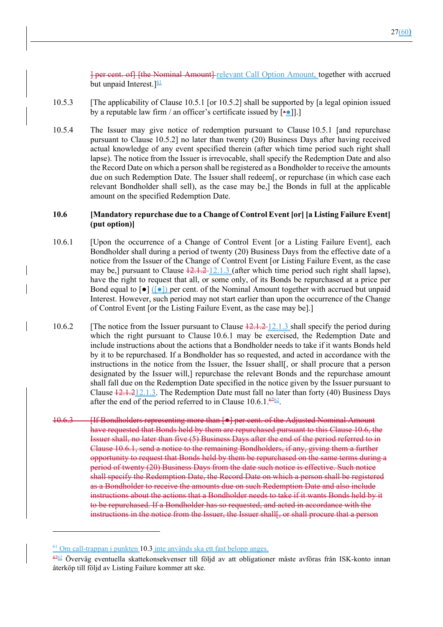] per cent. of] [the Nominal Amount] relevant Call Option Amount, together with accrued but unpaid Interest.  $]$ <sup>61</sup>

- 10.5.3 [The applicability of Clause 10.5.1 [or 10.5.2] shall be supported by [a legal opinion issued by a reputable law firm / an officer's certificate issued by  $[••]$ ].
- 10.5.4 The Issuer may give notice of redemption pursuant to Clause 10.5.1 [and repurchase pursuant to Clause 10.5.2] no later than twenty (20) Business Days after having received actual knowledge of any event specified therein (after which time period such right shall lapse). The notice from the Issuer is irrevocable, shall specify the Redemption Date and also the Record Date on which a person shall be registered as a Bondholder to receive the amounts due on such Redemption Date. The Issuer shall redeem[, or repurchase (in which case each relevant Bondholder shall sell), as the case may be,] the Bonds in full at the applicable amount on the specified Redemption Date.

## **10.6 [Mandatory repurchase due to a Change of Control Event [or] [a Listing Failure Event] (put option)]**

- 10.6.1 [Upon the occurrence of a Change of Control Event [or a Listing Failure Event], each Bondholder shall during a period of twenty (20) Business Days from the effective date of a notice from the Issuer of the Change of Control Event [or Listing Failure Event, as the case may be,] pursuant to Clause  $12.1.2$  12.1.3 (after which time period such right shall lapse), have the right to request that all, or some only, of its Bonds be repurchased at a price per Bond equal to  $\lceil \bullet \rceil$  ( $\lceil \bullet \rceil$ ) per cent. of the Nominal Amount together with accrued but unpaid Interest. However, such period may not start earlier than upon the occurrence of the Change of Control Event [or the Listing Failure Event, as the case may be].]
- 10.6.2 [The notice from the Issuer pursuant to Clause  $\frac{12.1 \cdot 2 \cdot 12.1 \cdot 3}{2}$  shall specify the period during which the right pursuant to Clause 10.6.1 may be exercised, the Redemption Date and include instructions about the actions that a Bondholder needs to take if it wants Bonds held by it to be repurchased. If a Bondholder has so requested, and acted in accordance with the instructions in the notice from the Issuer, the Issuer shall[, or shall procure that a person designated by the Issuer will,] repurchase the relevant Bonds and the repurchase amount shall fall due on the Redemption Date specified in the notice given by the Issuer pursuant to Clause  $\frac{12.1.212.1.3}{2}$ . The Redemption Date must fall no later than forty (40) Business Days after the end of the period referred to in Clause 10.6.1. $\frac{6462}{ }$ .
- 10.6.3 [If Bondholders representing more than  $\lceil \bullet \rceil$  per cent. of the Adjusted Nominal Amount have requested that Bonds held by them are repurchased pursuant to this Clause 10.6, the Issuer shall, no later than five (5) Business Days after the end of the period referred to in Clause 10.6.1, send a notice to the remaining Bondholders, if any, giving them a further opportunity to request that Bonds held by them be repurchased on the same terms during a period of twenty (20) Business Days from the date such notice is effective. Such notice shall specify the Redemption Date, the Record Date on which a person shall be registered as a Bondholder to receive the amounts due on such Redemption Date and also include instructions about the actions that a Bondholder needs to take if it wants Bonds held by it to be repurchased. If a Bondholder has so requested, and acted in accordance with the instructions in the notice from the Issuer, the Issuer shall, or shall procure that a person

 $\frac{61}{2}$  Om call-trappan i punkten 10.3 inte används ska ett fast belopp anges.

<sup>6762</sup> Överväg eventuella skattekonsekvenser till följd av att obligationer måste avföras från ISK-konto innan återköp till följd av Listing Failure kommer att ske.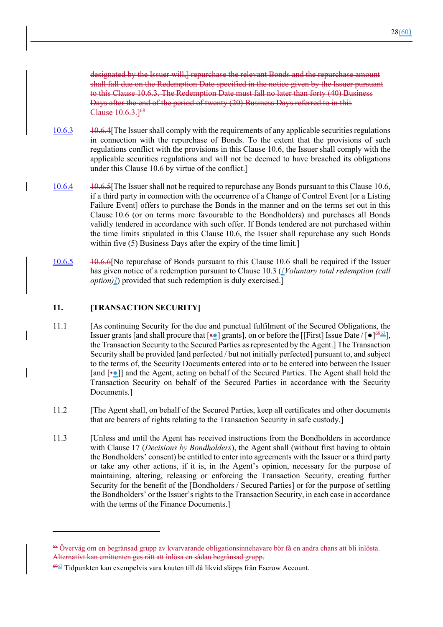designated by the Issuer will,] repurchase the relevant Bonds and the repurchase amount shall fall due on the Redemption Date specified in the notice given by the Issuer pursuant to this Clause 10.6.3. The Redemption Date must fall no later than forty (40) Business Days after the end of the period of twenty (20) Business Days referred to in this Clause  $10.6.3.1<sup>68</sup>$ 

- 10.6.3 10.6.4[The Issuer shall comply with the requirements of any applicable securities regulations in connection with the repurchase of Bonds. To the extent that the provisions of such regulations conflict with the provisions in this Clause 10.6, the Issuer shall comply with the applicable securities regulations and will not be deemed to have breached its obligations under this Clause 10.6 by virtue of the conflict.]
- 10.6.4 10.6.5[The Issuer shall not be required to repurchase any Bonds pursuant to this Clause 10.6, if a third party in connection with the occurrence of a Change of Control Event [or a Listing Failure Event] offers to purchase the Bonds in the manner and on the terms set out in this Clause 10.6 (or on terms more favourable to the Bondholders) and purchases all Bonds validly tendered in accordance with such offer. If Bonds tendered are not purchased within the time limits stipulated in this Clause 10.6, the Issuer shall repurchase any such Bonds within five (5) Business Days after the expiry of the time limit.]
- 10.6.5 10.6.6[No repurchase of Bonds pursuant to this Clause 10.6 shall be required if the Issuer has given notice of a redemption pursuant to Clause 10.3 (*[Voluntary total redemption (call option*)]) provided that such redemption is duly exercised.]

## **11. [TRANSACTION SECURITY]**

- 11.1 [As continuing Security for the due and punctual fulfilment of the Secured Obligations, the Issuer grants [and shall procure that  $\left[\frac{1}{2}\right]$  grants], on or before the [[First] Issue Date /  $\left[\bullet\right]_{\infty}^{\left[\phi\right]_{\infty}}$ ], the Transaction Security to the Secured Parties as represented by the Agent.] The Transaction Security shall be provided [and perfected / but not initially perfected] pursuant to, and subject to the terms of, the Security Documents entered into or to be entered into between the Issuer [and [•●]] and the Agent, acting on behalf of the Secured Parties. The Agent shall hold the Transaction Security on behalf of the Secured Parties in accordance with the Security Documents.]
- 11.2 [The Agent shall, on behalf of the Secured Parties, keep all certificates and other documents that are bearers of rights relating to the Transaction Security in safe custody.]
- 11.3 [Unless and until the Agent has received instructions from the Bondholders in accordance with Clause 17 (*Decisions by Bondholders*), the Agent shall (without first having to obtain the Bondholders' consent) be entitled to enter into agreements with the Issuer or a third party or take any other actions, if it is, in the Agent's opinion, necessary for the purpose of maintaining, altering, releasing or enforcing the Transaction Security, creating further Security for the benefit of the [Bondholders / Secured Parties] or for the purpose of settling the Bondholders' or the Issuer's rights to the Transaction Security, in each case in accordance with the terms of the Finance Documents.]

<sup>&</sup>lt;sup>68</sup> Överväg om en begränsad grupp av kvarvarande obligationsinnehavare bör få en andra chans att bli inlösta. Alternativt kan emittenten ges rätt att inlösa en sådan begränsad grupp.

<sup>6963</sup> Tidpunkten kan exempelvis vara knuten till då likvid släpps från Escrow Account.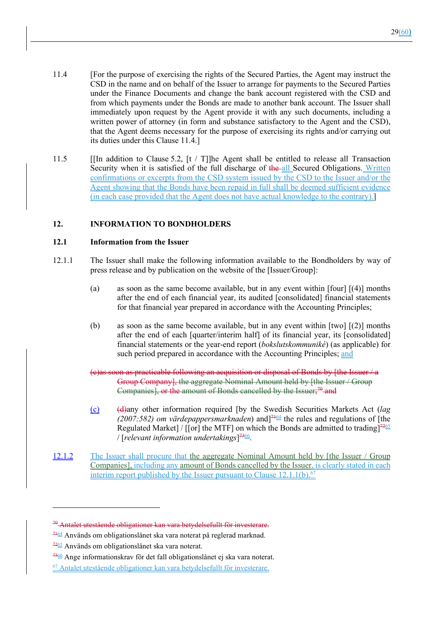- 11.4 [For the purpose of exercising the rights of the Secured Parties, the Agent may instruct the CSD in the name and on behalf of the Issuer to arrange for payments to the Secured Parties under the Finance Documents and change the bank account registered with the CSD and from which payments under the Bonds are made to another bank account. The Issuer shall immediately upon request by the Agent provide it with any such documents, including a written power of attorney (in form and substance satisfactory to the Agent and the CSD), that the Agent deems necessary for the purpose of exercising its rights and/or carrying out its duties under this Clause 11.4.]
- 11.5 [[In addition to Clause 5.2, [t / T]]he Agent shall be entitled to release all Transaction Security when it is satisfied of the full discharge of the all Secured Obligations. Written confirmations or excerpts from the CSD system issued by the CSD to the Issuer and/or the Agent showing that the Bonds have been repaid in full shall be deemed sufficient evidence (in each case provided that the Agent does not have actual knowledge to the contrary).]

# **12. INFORMATION TO BONDHOLDERS**

## **12.1 Information from the Issuer**

- 12.1.1 The Issuer shall make the following information available to the Bondholders by way of press release and by publication on the website of the [Issuer/Group]:
	- (a) as soon as the same become available, but in any event within [four] [(4)] months after the end of each financial year, its audited [consolidated] financial statements for that financial year prepared in accordance with the Accounting Principles;
	- (b) as soon as the same become available, but in any event within [two] [(2)] months after the end of each [quarter/interim half] of its financial year, its [consolidated] financial statements or the year-end report (*bokslutskommuniké*) (as applicable) for such period prepared in accordance with the Accounting Principles; and
	- (c)as soon as practicable following an acquisition or disposal of Bonds by [the Issuer / a Group Company], the aggregate Nominal Amount held by [the Issuer / Group Companies], or the amount of Bonds cancelled by the Issuer;<sup>70</sup> and
	- (c) (d)any other information required [by the Swedish Securities Markets Act (*lag*   $(2007:582)$  *om värdepappersmarknaden*) and <sup> $74 \leq \text{the}$  rules and regulations of [the</sup> Regulated Market] / [[or] the MTF] on which the Bonds are admitted to trading] $72\frac{12}{5}$ / [*relevant information undertakings*] 7366.
- 12.1.2 The Issuer shall procure that the aggregate Nominal Amount held by [the Issuer / Group Companies], including any amount of Bonds cancelled by the Issuer, is clearly stated in each interim report published by the Issuer pursuant to Clause  $12.1.1(b)$ .<sup>67</sup>

<sup>70</sup> Antalet utestående obligationer kan vara betydelsefullt för investerare.

 $\frac{7464}{9}$  Används om obligationslånet ska vara noterat på reglerad marknad.

<sup>7265</sup> Används om obligationslånet ska vara noterat.

 $\frac{7366}{2}$  Ange informationskrav för det fall obligationslånet ej ska vara noterat.

<sup>67</sup> Antalet utestående obligationer kan vara betydelsefullt för investerare.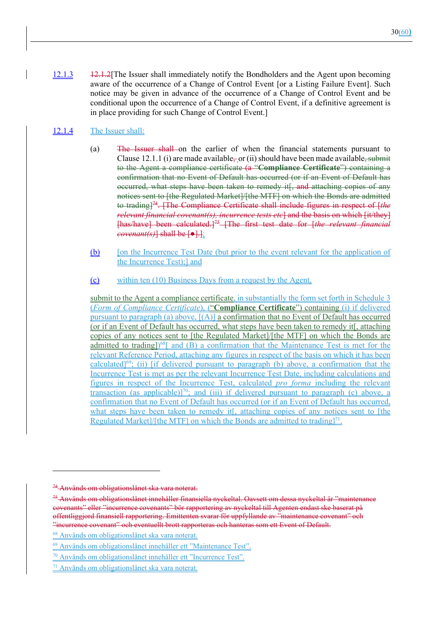12.1.3 12.1.2[The Issuer shall immediately notify the Bondholders and the Agent upon becoming aware of the occurrence of a Change of Control Event [or a Listing Failure Event]. Such notice may be given in advance of the occurrence of a Change of Control Event and be conditional upon the occurrence of a Change of Control Event, if a definitive agreement is in place providing for such Change of Control Event.]

# 12.1.4 The Issuer shall:

- (a) The Issuer shall on the earlier of when the financial statements pursuant to Clause 12.1.1 (i) are made available, or (ii) should have been made available, submit to the Agent a compliance certificate (a "**Compliance Certificate**") containing a confirmation that no Event of Default has occurred (or if an Event of Default has occurred, what steps have been taken to remedy it<sup>[</sup>, and attaching copies of any notices sent to [the Regulated Market]/[the MTF] on which the Bonds are admitted to trading]74. [The Compliance Certificate shall include figures in respect of [*the relevant financial covenant(s), incurrence tests etc*] and the basis on which [it/they] [has/have] been calculated.]75 [The first test date for [*the relevant financial covenant(s)*] shall be [●].];
- (b) [on the Incurrence Test Date (but prior to the event relevant for the application of the Incurrence Test);] and
- (c) within ten (10) Business Days from a request by the Agent,

submit to the Agent a compliance certificate, in substantially the form set forth in Schedule 3 (*Form of Compliance Certificate*), ("**Compliance Certificate**") containing (i) if delivered pursuant to paragraph (a) above,  $[(A)]$  a confirmation that no Event of Default has occurred (or if an Event of Default has occurred, what steps have been taken to remedy it[, attaching copies of any notices sent to [the Regulated Market]/[the MTF] on which the Bonds are admitted to trading])<sup>68</sup>[ and (B) a confirmation that the Maintenance Test is met for the relevant Reference Period, attaching any figures in respect of the basis on which it has been calculated]<sup>69</sup>; (ii) [if delivered pursuant to paragraph (b) above, a confirmation that the Incurrence Test is met as per the relevant Incurrence Test Date, including calculations and figures in respect of the Incurrence Test, calculated *pro forma* including the relevant transaction (as applicable)]<sup>70</sup>; and (iii) if delivered pursuant to paragraph (c) above, a confirmation that no Event of Default has occurred (or if an Event of Default has occurred, what steps have been taken to remedy it. attaching copies of any notices sent to [the Regulated Market]/[the MTF] on which the Bonds are admitted to trading]<sup>71</sup>.

<sup>&</sup>lt;sup>74</sup> Används om obligationslånet ska vara noterat.

<sup>75</sup> Används om obligationslånet innehåller finansiella nyckeltal. Oavsett om dessa nyckeltal är "maintenance covenants" eller "incurrence covenants" bör rapportering av nyckeltal till Agenten endast ske baserat på offentliggjord finansiell rapportering. Emittenten svarar för uppfyllande av "maintenance covenant" och "incurrence covenant" och eventuellt brott rapporteras och hanteras som ett Event of Default.

<sup>68</sup> Används om obligationslånet ska vara noterat.

<sup>69</sup> Används om obligationslånet innehåller ett "Maintenance Test".

<sup>70</sup> Används om obligationslånet innehåller ett "Incurrence Test".

<sup>71</sup> Används om obligationslånet ska vara noterat.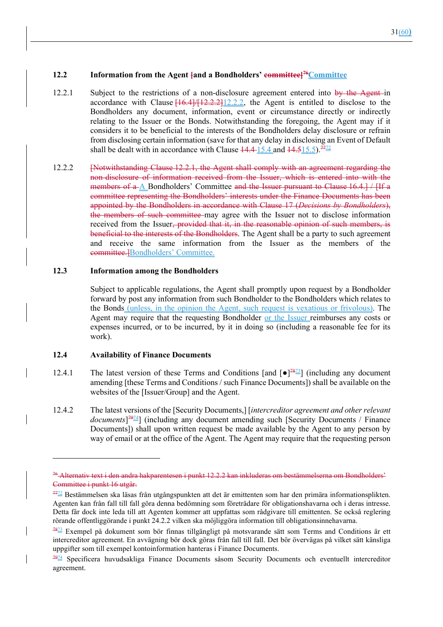#### **12.2 Information from the Agent {and a Bondholders' committee}<sup>76</sup>Committee**

- 12.2.1 Subject to the restrictions of a non-disclosure agreement entered into by the Agent in accordance with Clause  $[16.4]/[12.2.2]12.2.2$ , the Agent is entitled to disclose to the Bondholders any document, information, event or circumstance directly or indirectly relating to the Issuer or the Bonds. Notwithstanding the foregoing, the Agent may if it considers it to be beneficial to the interests of the Bondholders delay disclosure or refrain from disclosing certain information (save for that any delay in disclosing an Event of Default shall be dealt with in accordance with Clause  $14.4 \frac{15.4}{15.4}$  and  $14.5 \frac{15.5}{15.5}$ .<sup>77</sup>
- 12.2.2 [Notwithstanding Clause 12.2.1, the Agent shall comply with an agreement regarding the non-disclosure of information received from the Issuer, which is entered into with the members of a A Bondholders' Committee and the Issuer pursuant to Clause 16.4.] / [If a committee representing the Bondholders' interests under the Finance Documents has been appointed by the Bondholders in accordance with Clause 17 (*Decisions by Bondholders*), the members of such committee may agree with the Issuer not to disclose information received from the Issuer, provided that it, in the reasonable opinion of such members, is beneficial to the interests of the Bondholders. The Agent shall be a party to such agreement and receive the same information from the Issuer as the members of the committee.]Bondholders' Committee.

#### **12.3 Information among the Bondholders**

Subject to applicable regulations, the Agent shall promptly upon request by a Bondholder forward by post any information from such Bondholder to the Bondholders which relates to the Bonds (unless, in the opinion the Agent, such request is vexatious or frivolous). The Agent may require that the requesting Bondholder or the Issuer reimburses any costs or expenses incurred, or to be incurred, by it in doing so (including a reasonable fee for its work).

#### **12.4 Availability of Finance Documents**

- 12.4.1 The latest version of these Terms and Conditions [and  $\lceil \bullet \rceil^{78}$ ] (including any document amending [these Terms and Conditions / such Finance Documents]) shall be available on the websites of the [Issuer/Group] and the Agent.
- 12.4.2 The latest versions of the [Security Documents,] [*intercreditor agreement and other relevant documents*] 7974] (including any document amending such [Security Documents / Finance Documents]) shall upon written request be made available by the Agent to any person by way of email or at the office of the Agent. The Agent may require that the requesting person

<sup>76</sup> Alternativ text i den andra hakparentesen i punkt 12.2.2 kan inkluderas om bestämmelserna om Bondholders' Committee i punkt 16 utgår.

<sup>7772</sup> Bestämmelsen ska läsas från utgångspunkten att det är emittenten som har den primära informationsplikten. Agenten kan från fall till fall göra denna bedömning som företrädare för obligationshavarna och i deras intresse. Detta får dock inte leda till att Agenten kommer att uppfattas som rådgivare till emittenten. Se också reglering rörande offentliggörande i punkt 24.2.2 vilken ska möjliggöra information till obligationsinnehavarna.

 $78\frac{7873}{2}$  Exempel på dokument som bör finnas tillgängligt på motsvarande sätt som Terms and Conditions är ett intercreditor agreement. En avvägning bör dock göras från fall till fall. Det bör övervägas på vilket sätt känsliga uppgifter som till exempel kontoinformation hanteras i Finance Documents.

<sup>7974</sup> Specificera huvudsakliga Finance Documents såsom Security Documents och eventuellt intercreditor agreement.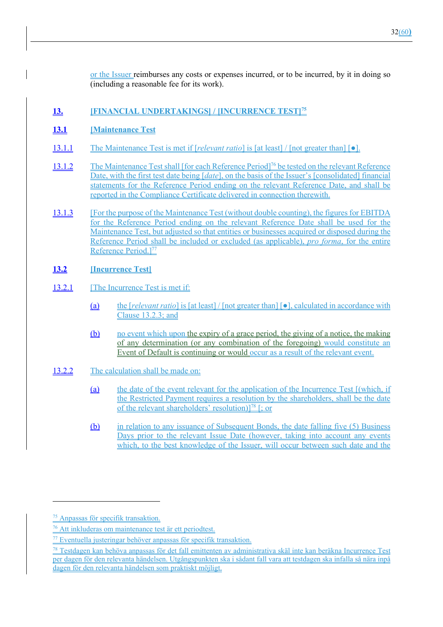or the Issuer reimburses any costs or expenses incurred, or to be incurred, by it in doing so (including a reasonable fee for its work).

## **13. [FINANCIAL UNDERTAKINGS] / [INCURRENCE TEST]75**

### **13.1 [Maintenance Test**

- 13.1.1 The Maintenance Test is met if [*relevant ratio*] is [at least] / [not greater than] [●].
- 13.1.2 The Maintenance Test shall [for each Reference Period]<sup>76</sup> be tested on the relevant Reference Date, with the first test date being [*date*], on the basis of the Issuer's [consolidated] financial statements for the Reference Period ending on the relevant Reference Date, and shall be reported in the Compliance Certificate delivered in connection therewith.
- 13.1.3 [For the purpose of the Maintenance Test (without double counting), the figures for EBITDA for the Reference Period ending on the relevant Reference Date shall be used for the Maintenance Test, but adjusted so that entities or businesses acquired or disposed during the Reference Period shall be included or excluded (as applicable), *pro forma*, for the entire Reference Period.<sup>[77</sup>]

## **13.2 [Incurrence Test]**

- 13.2.1 [The Incurrence Test is met if:
	- (a) the [*relevant ratio*] is [at least] / [not greater than] [●], calculated in accordance with Clause 13.2.3; and
	- (b) no event which upon the expiry of a grace period, the giving of a notice, the making of any determination (or any combination of the foregoing) would constitute an Event of Default is continuing or would occur as a result of the relevant event.
- 13.2.2 The calculation shall be made on:
	- (a) the date of the event relevant for the application of the Incurrence Test [(which, if the Restricted Payment requires a resolution by the shareholders, shall be the date of the relevant shareholders' resolution) $]^{78}$  [; or
	- (b) in relation to any issuance of Subsequent Bonds, the date falling five (5) Business Days prior to the relevant Issue Date (however, taking into account any events which, to the best knowledge of the Issuer, will occur between such date and the

<sup>75</sup> Anpassas för specifik transaktion.

<sup>76</sup> Att inkluderas om maintenance test är ett periodtest.

<sup>&</sup>lt;sup>77</sup> Eventuella justeringar behöver anpassas för specifik transaktion.

<sup>78</sup> Testdagen kan behöva anpassas för det fall emittenten av administrativa skäl inte kan beräkna Incurrence Test per dagen för den relevanta händelsen. Utgångspunkten ska i sådant fall vara att testdagen ska infalla så nära inpå dagen för den relevanta händelsen som praktiskt möjligt.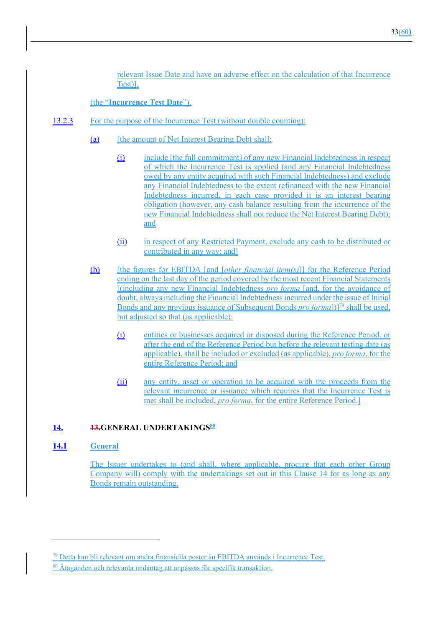relevant Issue Date and have an adverse effect on the calculation of that Incurrence Test)],

(the "**Incurrence Test Date**").

- 13.2.3 For the purpose of the Incurrence Test (without double counting):
	- (a) [the amount of Net Interest Bearing Debt shall:
		- (i) include [the full commitment] of any new Financial Indebtedness in respect of which the Incurrence Test is applied (and any Financial Indebtedness owed by any entity acquired with such Financial Indebtedness) and exclude any Financial Indebtedness to the extent refinanced with the new Financial Indebtedness incurred, in each case provided it is an interest bearing obligation (however, any cash balance resulting from the incurrence of the new Financial Indebtedness shall not reduce the Net Interest Bearing Debt); and
		- (ii) in respect of any Restricted Payment, exclude any cash to be distributed or contributed in any way; and]
	- (b) [the figures for EBITDA [and [*other financial item(s)*]] for the Reference Period ending on the last day of the period covered by the most recent Financial Statements [(including any new Financial Indebtedness *pro forma* [and, for the avoidance of doubt, always including the Financial Indebtedness incurred under the issue of Initial Bonds and any previous issuance of Subsequent Bonds *pro forma*])]79 shall be used, but adjusted so that (as applicable):
		- (i) entities or businesses acquired or disposed during the Reference Period, or after the end of the Reference Period but before the relevant testing date (as applicable), shall be included or excluded (as applicable), *pro forma*, for the entire Reference Period; and
		- (ii) any entity, asset or operation to be acquired with the proceeds from the relevant incurrence or issuance which requires that the Incurrence Test is met shall be included, *pro forma*, for the entire Reference Period.]

## **14. 13.GENERAL UNDERTAKINGS**<sup>80</sup>

### **14.1 General**

The Issuer undertakes to (and shall, where applicable, procure that each other Group Company will) comply with the undertakings set out in this Clause 14 for as long as any Bonds remain outstanding.

<sup>79</sup> Detta kan bli relevant om andra finansiella poster än EBITDA används i Incurrence Test.

<sup>80</sup> Åtaganden och relevanta undantag att anpassas för specifik transaktion.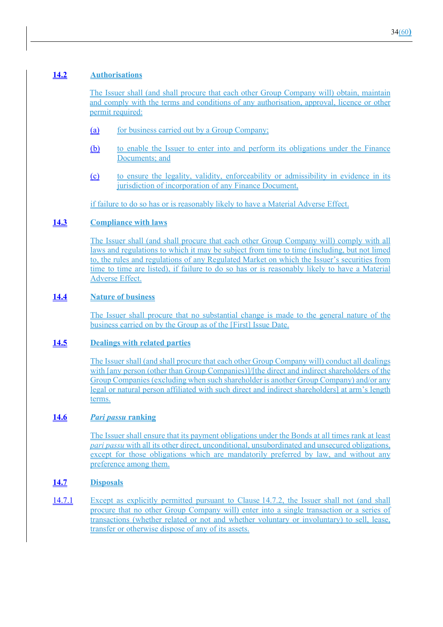## **14.2 Authorisations**

The Issuer shall (and shall procure that each other Group Company will) obtain, maintain and comply with the terms and conditions of any authorisation, approval, licence or other permit required:

- (a) for business carried out by a Group Company;
- (b) to enable the Issuer to enter into and perform its obligations under the Finance Documents; and
- (c) to ensure the legality, validity, enforceability or admissibility in evidence in its jurisdiction of incorporation of any Finance Document,

if failure to do so has or is reasonably likely to have a Material Adverse Effect.

### **14.3 Compliance with laws**

The Issuer shall (and shall procure that each other Group Company will) comply with all laws and regulations to which it may be subject from time to time (including, but not limed to, the rules and regulations of any Regulated Market on which the Issuer's securities from time to time are listed), if failure to do so has or is reasonably likely to have a Material Adverse Effect.

## **14.4 Nature of business**

The Issuer shall procure that no substantial change is made to the general nature of the business carried on by the Group as of the [First] Issue Date.

### **14.5 Dealings with related parties**

The Issuer shall (and shall procure that each other Group Company will) conduct all dealings with [any person (other than Group Companies)]/[the direct and indirect shareholders of the Group Companies (excluding when such shareholder is another Group Company) and/or any legal or natural person affiliated with such direct and indirect shareholders] at arm's length terms.

## **14.6** *Pari passu* **ranking**

The Issuer shall ensure that its payment obligations under the Bonds at all times rank at least *pari passu* with all its other direct, unconditional, unsubordinated and unsecured obligations. except for those obligations which are mandatorily preferred by law, and without any preference among them.

## **14.7 Disposals**

14.7.1 Except as explicitly permitted pursuant to Clause 14.7.2, the Issuer shall not (and shall procure that no other Group Company will) enter into a single transaction or a series of transactions (whether related or not and whether voluntary or involuntary) to sell, lease, transfer or otherwise dispose of any of its assets.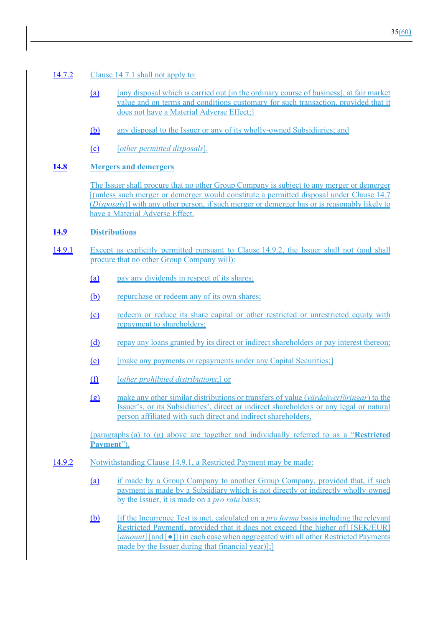### 14.7.2 Clause 14.7.1 shall not apply to:

- (a) [any disposal which is carried out [in the ordinary course of business], at fair market value and on terms and conditions customary for such transaction, provided that it does not have a Material Adverse Effect;]
- (b) any disposal to the Issuer or any of its wholly-owned Subsidiaries; and
- (c) [*other permitted disposals*].

## **14.8 Mergers and demergers**

The Issuer shall procure that no other Group Company is subject to any merger or demerger [(unless such merger or demerger would constitute a permitted disposal under Clause 14.7 (*Disposals*)] with any other person, if such merger or demerger has or is reasonably likely to have a Material Adverse Effect.

### **14.9 Distributions**

- 14.9.1 Except as explicitly permitted pursuant to Clause 14.9.2, the Issuer shall not (and shall procure that no other Group Company will):
	- (a) pay any dividends in respect of its shares;
	- (b) repurchase or redeem any of its own shares;
	- (c) redeem or reduce its share capital or other restricted or unrestricted equity with repayment to shareholders;
	- (d) repay any loans granted by its direct or indirect shareholders or pay interest thereon;
	- (e) [make any payments or repayments under any Capital Securities;]
	- (f) [*other prohibited distributions*;] or
	- (g) make any other similar distributions or transfers of value (*värdeöverföringar*) to the Issuer's, or its Subsidiaries', direct or indirect shareholders or any legal or natural person affiliated with such direct and indirect shareholders,

(paragraphs (a) to (g) above are together and individually referred to as a "**Restricted Payment**").

- 14.9.2 Notwithstanding Clause 14.9.1, a Restricted Payment may be made:
	- (a) if made by a Group Company to another Group Company, provided that, if such payment is made by a Subsidiary which is not directly or indirectly wholly-owned by the Issuer, it is made on a *pro rata* basis;
	- (b) [if the Incurrence Test is met, calculated on a *pro forma* basis including the relevant Restricted Payment<sub>[,</sub> provided that it does not exceed [the higher of] [SEK/EUR] [*amount*] [and [●]] (in each case when aggregated with all other Restricted Payments made by the Issuer during that financial year)];]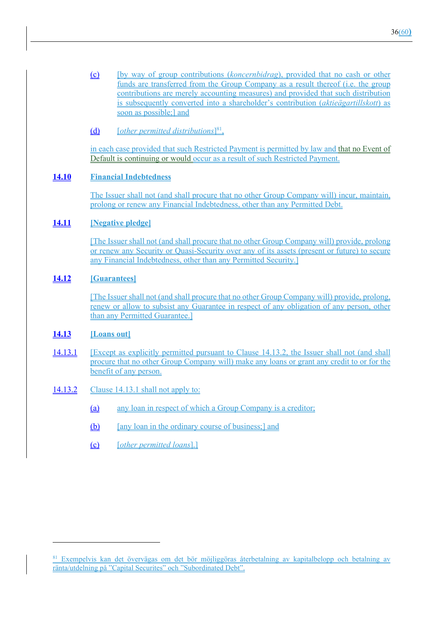(c) [by way of group contributions (*koncernbidrag*), provided that no cash or other funds are transferred from the Group Company as a result thereof (i.e. the group contributions are merely accounting measures) and provided that such distribution is subsequently converted into a shareholder's contribution (*aktieägartillskott*) as soon as possible;] and

## (d) [*other permitted distributions*] 81,

in each case provided that such Restricted Payment is permitted by law and that no Event of Default is continuing or would occur as a result of such Restricted Payment.

## **14.10 Financial Indebtedness**

The Issuer shall not (and shall procure that no other Group Company will) incur, maintain, prolong or renew any Financial Indebtedness, other than any Permitted Debt.

### **14.11 [Negative pledge]**

[The Issuer shall not (and shall procure that no other Group Company will) provide, prolong or renew any Security or Quasi-Security over any of its assets (present or future) to secure any Financial Indebtedness, other than any Permitted Security.]

## **14.12 [Guarantees]**

[The Issuer shall not (and shall procure that no other Group Company will) provide, prolong, renew or allow to subsist any Guarantee in respect of any obligation of any person, other than any Permitted Guarantee.]

### **14.13 [Loans out]**

- 14.13.1 [Except as explicitly permitted pursuant to Clause 14.13.2, the Issuer shall not (and shall procure that no other Group Company will) make any loans or grant any credit to or for the benefit of any person.
- 14.13.2 Clause 14.13.1 shall not apply to:
	- (a) any loan in respect of which a Group Company is a creditor;
	- (b) [any loan in the ordinary course of business;] and
	- (c) [*other permitted loans*].]

<sup>81</sup> Exempelvis kan det övervägas om det bör möjliggöras återbetalning av kapitalbelopp och betalning av ränta/utdelning på "Capital Securites" och "Subordinated Debt".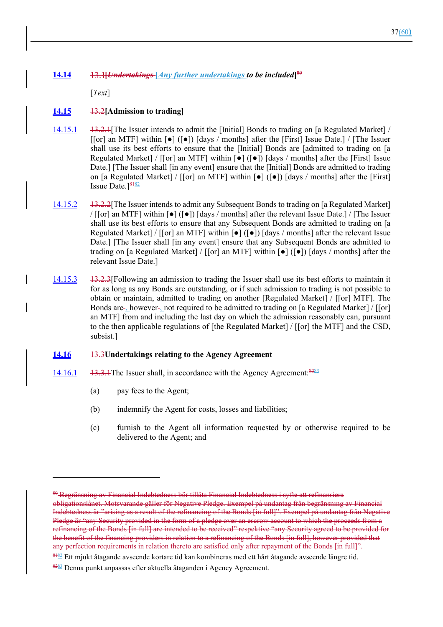# **14.14 [***Undertakings* **[***Any further undertakings to be included***] 80**

[*Text*]

## **14.15** 13.2**[Admission to trading]**

- 14.15.1 13.2.1[The Issuer intends to admit the [Initial] Bonds to trading on [a Regulated Market] / [[or] an MTF] within  $\lceil \bullet \rceil$  ( $\lceil \bullet \rceil$ ) [days / months] after the [First] Issue Date.] / [The Issuer shall use its best efforts to ensure that the [Initial] Bonds are [admitted to trading on [a Regulated Market] / [[or] an MTF] within  $\lceil \bullet \rceil$  ( $\lceil \bullet \rceil$ ) [days / months] after the [First] Issue Date.] [The Issuer shall [in any event] ensure that the [Initial] Bonds are admitted to trading on [a Regulated Market] / [[or] an MTF] within  $\lceil \bullet \rceil$  ( $\lceil \bullet \rceil$ ) [days / months] after the [First] Issue Date. $]$ <sup>8482</sup>
- 14.15.2 13.2.2[The Issuer intends to admit any Subsequent Bonds to trading on [a Regulated Market]  $/$  [[or] an MTF] within  $\lceil \bullet \rceil$  ( $\lceil \bullet \rceil$ ) [days / months] after the relevant Issue Date.] / [The Issuer shall use its best efforts to ensure that any Subsequent Bonds are admitted to trading on [a Regulated Market] / [[or] an MTF] within  $[\bullet] ([\bullet])$  [days / months] after the relevant Issue Date.] [The Issuer shall [in any event] ensure that any Subsequent Bonds are admitted to trading on [a Regulated Market] / [[or] an MTF] within  $\lceil \bullet \rceil$  ( $\lceil \bullet \rceil$ ) [days / months] after the relevant Issue Date.]
- 14.15.3 13.2.3[Following an admission to trading the Issuer shall use its best efforts to maintain it for as long as any Bonds are outstanding, or if such admission to trading is not possible to obtain or maintain, admitted to trading on another [Regulated Market] / [[or] MTF]. The Bonds are - however - not required to be admitted to trading on [a Regulated Market] / [[or] an MTF] from and including the last day on which the admission reasonably can, pursuant to the then applicable regulations of [the Regulated Market] / [[or] the MTF] and the CSD, subsist.]

### **14.16** 13.3**Undertakings relating to the Agency Agreement**

- 14.16.1  $\quad$  13.3.1The Issuer shall, in accordance with the Agency Agreement:  $82\frac{833}{12}$ 
	- (a) pay fees to the Agent;
	- (b) indemnify the Agent for costs, losses and liabilities;
	- (c) furnish to the Agent all information requested by or otherwise required to be delivered to the Agent; and

<sup>80</sup> Begränsning av Financial Indebtedness bör tillåta Financial Indebtedness i syfte att refinansiera obligationslånet. Motsvarande gäller för Negative Pledge. Exempel på undantag från begränsning av Financial Indebtedness är "arising as a result of the refinancing of the Bonds [in full]". Exempel på undantag från Negative Pledge är "any Security provided in the form of a pledge over an escrow account to which the proceeds from a refinancing of the Bonds [in full] are intended to be received" respektive "any Security agreed to be provided for the benefit of the financing providers in relation to a refinancing of the Bonds [in full], however provided that any perfection requirements in relation thereto are satisfied only after repayment of the Bonds [in full]".

<sup>8182</sup> Ett mjukt åtagande avseende kortare tid kan kombineras med ett hårt åtagande avseende längre tid.

<sup>8283</sup> Denna punkt anpassas efter aktuella åtaganden i Agency Agreement.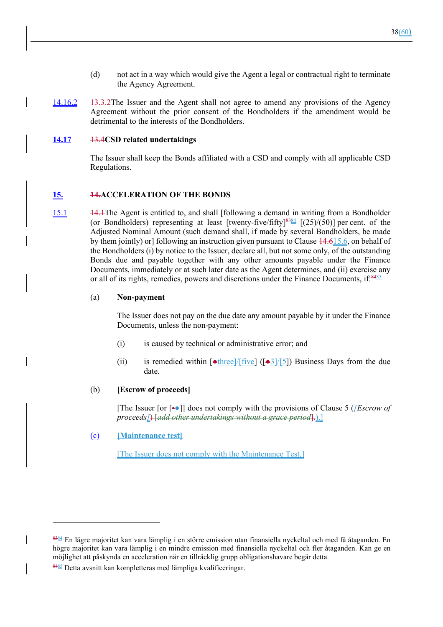- (d) not act in a way which would give the Agent a legal or contractual right to terminate the Agency Agreement.
- 14.16.2 13.3.2The Issuer and the Agent shall not agree to amend any provisions of the Agency Agreement without the prior consent of the Bondholders if the amendment would be detrimental to the interests of the Bondholders.

#### **14.17** 13.4**CSD related undertakings**

The Issuer shall keep the Bonds affiliated with a CSD and comply with all applicable CSD Regulations.

#### **15. 14.ACCELERATION OF THE BONDS**

15.1 14.1The Agent is entitled to, and shall [following a demand in writing from a Bondholder (or Bondholders) representing at least [twenty-five/fifty] $\frac{8384}{125}$  [(25)/(50)] per cent. of the Adjusted Nominal Amount (such demand shall, if made by several Bondholders, be made by them jointly) or] following an instruction given pursuant to Clause 14.615.6, on behalf of the Bondholders (i) by notice to the Issuer, declare all, but not some only, of the outstanding Bonds due and payable together with any other amounts payable under the Finance Documents, immediately or at such later date as the Agent determines, and (ii) exercise any or all of its rights, remedies, powers and discretions under the Finance Documents, if: $8485$ 

#### (a) **Non-payment**

The Issuer does not pay on the due date any amount payable by it under the Finance Documents, unless the non-payment:

- (i) is caused by technical or administrative error; and
- (ii) is remedied within  $\left[\frac{\text{other}}{\text{three}}\right]$   $\left[\frac{\text{upper}}{\text{three}}\right]$  Business Days from the due date.

#### (b) **[Escrow of proceeds]**

[The Issuer [or [•●]] does not comply with the provisions of Clause 5 (*[Escrow of proceeds]*) [*add other undertakings without a grace period*].).]

#### (c) **[Maintenance test]**

[The Issuer does not comply with the Maintenance Test.]

<sup>8384</sup> En lägre majoritet kan vara lämplig i en större emission utan finansiella nyckeltal och med få åtaganden. En högre majoritet kan vara lämplig i en mindre emission med finansiella nyckeltal och fler åtaganden. Kan ge en möjlighet att påskynda en acceleration när en tillräcklig grupp obligationshavare begär detta.

<sup>8485</sup> Detta avsnitt kan kompletteras med lämpliga kvalificeringar.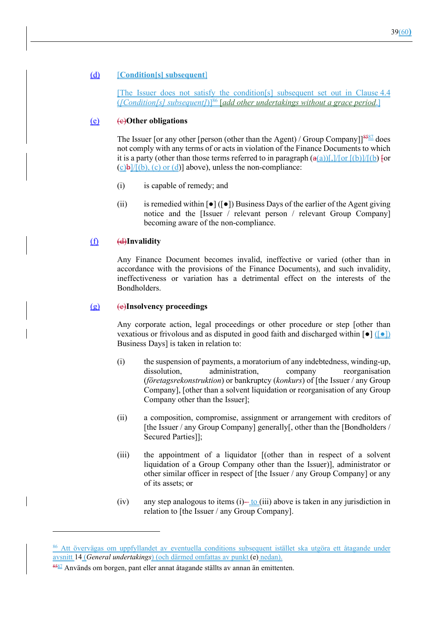#### (d) [**Condition[s] subsequent**]

[The Issuer does not satisfy the condition[s] subsequent set out in Clause 4.4 (*[Condition[s] subsequent]*)]86 [*add other undertakings without a grace period*.]

#### (e) (c)**Other obligations**

The Issuer [or any other [person (other than the Agent) / Group Company] $\frac{8587}{8}$  does not comply with any terms of or acts in violation of the Finance Documents to which it is a party (other than those terms referred to in paragraph  $\left(\frac{a(a)}{b}\right)$ ],  $\frac{a(b)}{b}$  [(b)  $\frac{b}{b}$  [or  $(c)b$ /[(b), (c) or (d)] above), unless the non-compliance:

- (i) is capable of remedy; and
- (ii) is remedied within  $\lceil \bullet \rceil$  ( $\lceil \bullet \rceil$ ) Business Days of the earlier of the Agent giving notice and the [Issuer / relevant person / relevant Group Company] becoming aware of the non-compliance.

#### (f) (d)**Invalidity**

Any Finance Document becomes invalid, ineffective or varied (other than in accordance with the provisions of the Finance Documents), and such invalidity, ineffectiveness or variation has a detrimental effect on the interests of the Bondholders.

#### (g) (e)**Insolvency proceedings**

Any corporate action, legal proceedings or other procedure or step [other than vexatious or frivolous and as disputed in good faith and discharged within  $\lceil \bullet \rceil$  ( $\lceil \bullet \rceil$ ) Business Days] is taken in relation to:

- (i) the suspension of payments, a moratorium of any indebtedness, winding-up, dissolution, administration, company reorganisation (*företagsrekonstruktion*) or bankruptcy (*konkurs*) of [the Issuer / any Group Company], [other than a solvent liquidation or reorganisation of any Group Company other than the Issuer];
- (ii) a composition, compromise, assignment or arrangement with creditors of [the Issuer / any Group Company] generally[, other than the [Bondholders / Secured Parties]];
- (iii) the appointment of a liquidator [(other than in respect of a solvent liquidation of a Group Company other than the Issuer)], administrator or other similar officer in respect of [the Issuer / any Group Company] or any of its assets; or
- (iv) any step analogous to items  $(i)$ —to  $(iii)$  above is taken in any jurisdiction in relation to [the Issuer / any Group Company].

<sup>86</sup> Att övervägas om uppfyllandet av eventuella conditions subsequent istället ska utgöra ett åtagande under avsnitt 14 (*General undertakings*) (och därmed omfattas av punkt (e) nedan).

 $\frac{8587}{2}$  Används om borgen, pant eller annat åtagande ställts av annan än emittenten.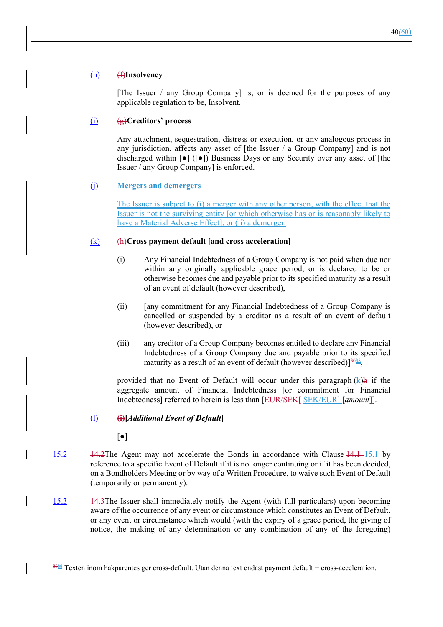#### (h) (f)**Insolvency**

[The Issuer / any Group Company] is, or is deemed for the purposes of any applicable regulation to be, Insolvent.

#### (i) (g)**Creditors' process**

Any attachment, sequestration, distress or execution, or any analogous process in any jurisdiction, affects any asset of [the Issuer / a Group Company] and is not discharged within  $\lceil \bullet \rceil$  ( $\lceil \bullet \rceil$ ) Business Days or any Security over any asset of [the Issuer / any Group Company] is enforced.

### (j) **Mergers and demergers**

The Issuer is subject to (i) a merger with any other person, with the effect that the Issuer is not the surviving entity [or which otherwise has or is reasonably likely to have a Material Adverse Effect], or (ii) a demerger.

#### (k) (h)**Cross payment default [and cross acceleration]**

- (i) Any Financial Indebtedness of a Group Company is not paid when due nor within any originally applicable grace period, or is declared to be or otherwise becomes due and payable prior to its specified maturity as a result of an event of default (however described),
- (ii) [any commitment for any Financial Indebtedness of a Group Company is cancelled or suspended by a creditor as a result of an event of default (however described), or
- (iii) any creditor of a Group Company becomes entitled to declare any Financial Indebtedness of a Group Company due and payable prior to its specified maturity as a result of an event of default (however described)]<sup>8688</sup>,

provided that no Event of Default will occur under this paragraph  $(k)$ h if the aggregate amount of Financial Indebtedness [or commitment for Financial Indebtedness] referred to herein is less than [EUR/SEK[ SEK/EUR] [*amount*]].

#### (l) **(i)[***Additional Event of Default***]**

 $\lceil \bullet \rceil$ 

- 15.2 14.2The Agent may not accelerate the Bonds in accordance with Clause 14.1 15.1 by reference to a specific Event of Default if it is no longer continuing or if it has been decided, on a Bondholders Meeting or by way of a Written Procedure, to waive such Event of Default (temporarily or permanently).
- 15.3 14.3The Issuer shall immediately notify the Agent (with full particulars) upon becoming aware of the occurrence of any event or circumstance which constitutes an Event of Default, or any event or circumstance which would (with the expiry of a grace period, the giving of notice, the making of any determination or any combination of any of the foregoing)

 $\frac{8688}{8}$  Texten inom hakparentes ger cross-default. Utan denna text endast payment default + cross-acceleration.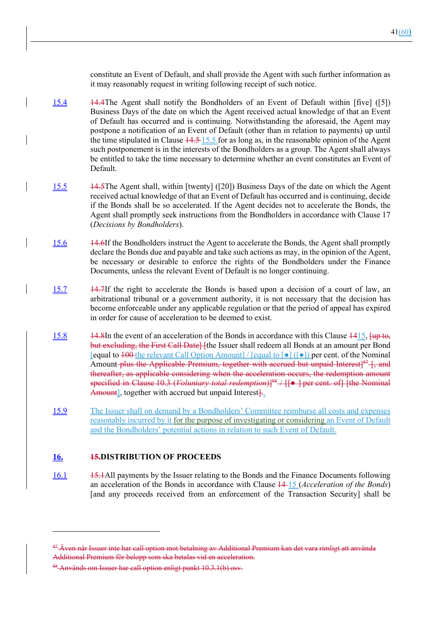constitute an Event of Default, and shall provide the Agent with such further information as it may reasonably request in writing following receipt of such notice.

- 15.4 14.4The Agent shall notify the Bondholders of an Event of Default within [five] ([5]) Business Days of the date on which the Agent received actual knowledge of that an Event of Default has occurred and is continuing. Notwithstanding the aforesaid, the Agent may postpone a notification of an Event of Default (other than in relation to payments) up until the time stipulated in Clause  $\frac{14.5 - 15.5}{10.5}$  for as long as, in the reasonable opinion of the Agent such postponement is in the interests of the Bondholders as a group. The Agent shall always be entitled to take the time necessary to determine whether an event constitutes an Event of Default.
- 15.5 14.5The Agent shall, within [twenty] ([20]) Business Days of the date on which the Agent received actual knowledge of that an Event of Default has occurred and is continuing, decide if the Bonds shall be so accelerated. If the Agent decides not to accelerate the Bonds, the Agent shall promptly seek instructions from the Bondholders in accordance with Clause 17 (*Decisions by Bondholders*).
- 15.6 14.6If the Bondholders instruct the Agent to accelerate the Bonds, the Agent shall promptly declare the Bonds due and payable and take such actions as may, in the opinion of the Agent, be necessary or desirable to enforce the rights of the Bondholders under the Finance Documents, unless the relevant Event of Default is no longer continuing.
- 15.7 14.7If the right to accelerate the Bonds is based upon a decision of a court of law, an arbitrational tribunal or a government authority, it is not necessary that the decision has become enforceable under any applicable regulation or that the period of appeal has expired in order for cause of acceleration to be deemed to exist.
- 15.8 14.8In the event of an acceleration of the Bonds in accordance with this Clause 1415, [up to, but excluding, the First Call Date] [the Issuer shall redeem all Bonds at an amount per Bond [equal to  $100$  the relevant Call Option Amount] / [equal to  $\lceil \bullet \rceil$ ] per cent. of the Nominal Amount-plus the Applicable Premium, together with accrued but unpaid Interest] $87 +$ , and thereafter, as applicable considering when the acceleration occurs, the redemption amount specified in Clause 10.3 (*Voluntary total redemption*)]<sup>88</sup> / [[ $\bullet$ ] per cent. of] [the Nominal Amount], together with accrued but unpaid Interest—
- 15.9 The Issuer shall on demand by a Bondholders' Committee reimburse all costs and expenses reasonably incurred by it for the purpose of investigating or considering an Event of Default and the Bondholders' potential actions in relation to such Event of Default.

### **16. 15.DISTRIBUTION OF PROCEEDS**

16.1 15.1 15.1 1 15.1 All payments by the Issuer relating to the Bonds and the Finance Documents following an acceleration of the Bonds in accordance with Clause 14 15 (*Acceleration of the Bonds*) [and any proceeds received from an enforcement of the Transaction Security] shall be

<sup>87</sup> Även när Issuer inte har call option mot betalning av Additional Premium kan det vara rimligt att använda Additional Premium för belopp som ska betalas vid en acceleration.

<sup>88</sup> Används om Issuer har call option enligt punkt 10.3.1(b) osv.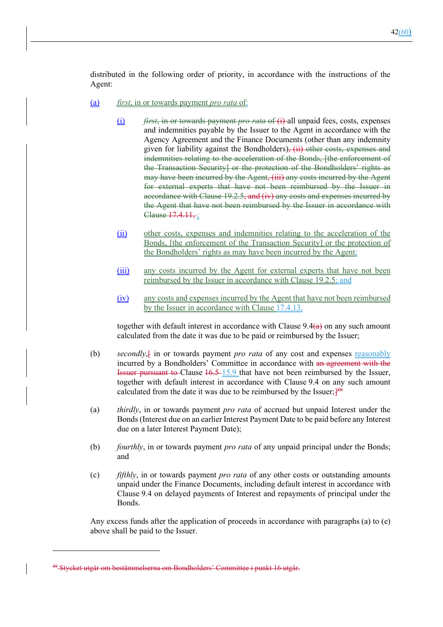distributed in the following order of priority, in accordance with the instructions of the Agent:

- (a) *first*, in or towards payment *pro rata* of:
	- (i) *first*, in or towards payment *pro rata* of (i) all unpaid fees, costs, expenses and indemnities payable by the Issuer to the Agent in accordance with the Agency Agreement and the Finance Documents (other than any indemnity given for liability against the Bondholders), (ii) other costs, expenses and indemnities relating to the acceleration of the Bonds, [the enforcement of the Transaction Security] or the protection of the Bondholders' rights as may have been incurred by the Agent, (iii) any costs incurred by the Agent for external experts that have not been reimbursed by the Issuer in accordance with Clause 19.2.5, and (iv) any costs and expenses incurred by the Agent that have not been reimbursed by the Issuer in accordance with Clause 17.4.11, ;
	- (ii) other costs, expenses and indemnities relating to the acceleration of the Bonds, [the enforcement of the Transaction Security] or the protection of the Bondholders' rights as may have been incurred by the Agent;
	- (iii) any costs incurred by the Agent for external experts that have not been reimbursed by the Issuer in accordance with Clause 19.2.5; and
	- (iv) any costs and expenses incurred by the Agent that have not been reimbursed by the Issuer in accordance with Clause 17.4.13,

together with default interest in accordance with Clause  $9.4(a)$  on any such amount calculated from the date it was due to be paid or reimbursed by the Issuer;

- (b) *secondly*, f in or towards payment *pro rata* of any cost and expenses reasonably incurred by a Bondholders' Committee in accordance with an agreement with the Issuer pursuant to Clause 16.5 15.9 that have not been reimbursed by the Issuer, together with default interest in accordance with Clause 9.4 on any such amount calculated from the date it was due to be reimbursed by the Issuer; $\frac{189}{100}$
- (a) *thirdly*, in or towards payment *pro rata* of accrued but unpaid Interest under the Bonds (Interest due on an earlier Interest Payment Date to be paid before any Interest due on a later Interest Payment Date);
- (b) *fourthly*, in or towards payment *pro rata* of any unpaid principal under the Bonds; and
- (c) *fifthly*, in or towards payment *pro rata* of any other costs or outstanding amounts unpaid under the Finance Documents, including default interest in accordance with Clause 9.4 on delayed payments of Interest and repayments of principal under the Bonds.

Any excess funds after the application of proceeds in accordance with paragraphs (a) to (e) above shall be paid to the Issuer.

<sup>89</sup> Stycket utgår om bestämmelserna om Bondholders' Committee i punkt 16 utgår.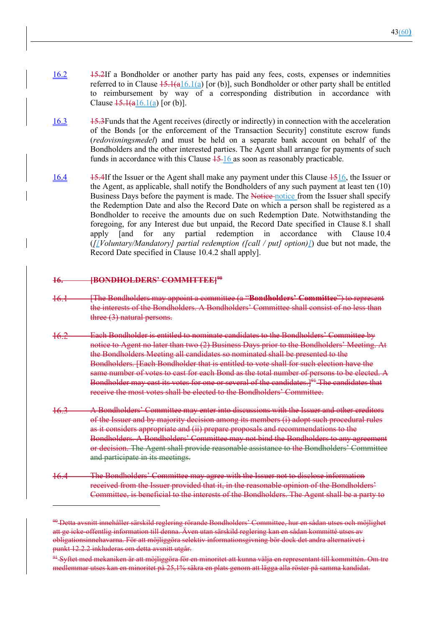- 16.2 15.2If a Bondholder or another party has paid any fees, costs, expenses or indemnities referred to in Clause  $15.1(a)[a]$  [or (b)], such Bondholder or other party shall be entitled to reimbursement by way of a corresponding distribution in accordance with Clause  $\frac{15.1(a16.1(a)}{10}$  [or (b)].
- 16.3 15.3Funds that the Agent receives (directly or indirectly) in connection with the acceleration of the Bonds [or the enforcement of the Transaction Security] constitute escrow funds (*redovisningsmedel*) and must be held on a separate bank account on behalf of the Bondholders and the other interested parties. The Agent shall arrange for payments of such funds in accordance with this Clause  $15\frac{16}{18}$  as soon as reasonably practicable.
- 16.4 15.4If the Issuer or the Agent shall make any payment under this Clause 1516, the Issuer or the Agent, as applicable, shall notify the Bondholders of any such payment at least ten (10) Business Days before the payment is made. The Notice notice from the Issuer shall specify the Redemption Date and also the Record Date on which a person shall be registered as a Bondholder to receive the amounts due on such Redemption Date. Notwithstanding the foregoing, for any Interest due but unpaid, the Record Date specified in Clause 8.1 shall apply [and for any partial redemption in accordance with Clause 10.4 (*[[Voluntary/Mandatory] partial redemption ([call / put] option)]*) due but not made, the Record Date specified in Clause 10.4.2 shall apply].

### **16. [BONDHOLDERS' COMMITTEE]90**

- $+6.1$  [The Bondholders may appoint a committee (a "**Bondholders' Committee**") to represent the interests of the Bondholders. A Bondholders' Committee shall consist of no less than three (3) natural persons.
- Each Bondholder is entitled to nominate candidates to the Bondholders' Committee by notice to Agent no later than two (2) Business Days prior to the Bondholders' Meeting. At the Bondholders Meeting all candidates so nominated shall be presented to the Bondholders. [Each Bondholder that is entitled to vote shall for such election have the same number of votes to cast for each Bond as the total number of persons to be elected. A Bondholder may cast its votes for one or several of the candidates.<sup>[91</sup>] The candidates that receive the most votes shall be elected to the Bondholders' Committee.
- A Bondholders' Committee may enter into discussions with the Issuer and other creditors of the Issuer and by majority decision among its members (i) adopt such procedural rules as it considers appropriate and (ii) prepare proposals and recommendations to the Bondholders. A Bondholders' Committee may not bind the Bondholders to any agreement or decision. The Agent shall provide reasonable assistance to the Bondholders' Committee and participate in its meetings.
- The Bondholders' Committee may agree with the Issuer not to disclose information received from the Issuer provided that it, in the reasonable opinion of the Bondholders' Committee, is beneficial to the interests of the Bondholders. The Agent shall be a party to

<sup>&</sup>lt;sup>90</sup> Detta avsnitt innehåller särskild reglering rörande Bondholders' Committee, hur en sådan utses och möjlighet att ge icke-offentlig information till denna. Även utan särskild reglering kan en sådan kommitté utses av obligationsinnehavarna. För att möjliggöra selektiv informationsgivning bör dock det andra alternativet i punkt 12.2.2 inkluderas om detta avsnitt utgår.

<sup>&</sup>lt;sup>91</sup> Syftet med mekaniken är att möjliggöra för en minoritet att kunna välja en representant till kommittén. Om tre medlemmar utses kan en minoritet på 25,1% säkra en plats genom att lägga alla röster på samma kandidat.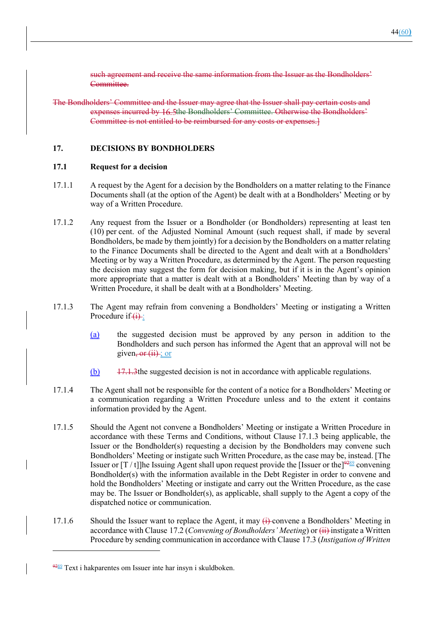such agreement and receive the same information from the Issuer as the Bondholders' Committee.

The Bondholders' Committee and the Issuer may agree that the Issuer shall pay certain costs and expenses incurred by 16.5the Bondholders' Committee. Otherwise the Bondholders' Committee is not entitled to be reimbursed for any costs or expenses.]

#### **17. DECISIONS BY BONDHOLDERS**

#### **17.1 Request for a decision**

- 17.1.1 A request by the Agent for a decision by the Bondholders on a matter relating to the Finance Documents shall (at the option of the Agent) be dealt with at a Bondholders' Meeting or by way of a Written Procedure.
- 17.1.2 Any request from the Issuer or a Bondholder (or Bondholders) representing at least ten (10) per cent. of the Adjusted Nominal Amount (such request shall, if made by several Bondholders, be made by them jointly) for a decision by the Bondholders on a matter relating to the Finance Documents shall be directed to the Agent and dealt with at a Bondholders' Meeting or by way a Written Procedure, as determined by the Agent. The person requesting the decision may suggest the form for decision making, but if it is in the Agent's opinion more appropriate that a matter is dealt with at a Bondholders' Meeting than by way of a Written Procedure, it shall be dealt with at a Bondholders' Meeting.
- 17.1.3 The Agent may refrain from convening a Bondholders' Meeting or instigating a Written Procedure if  $(i)$ :
	- (a) the suggested decision must be approved by any person in addition to the Bondholders and such person has informed the Agent that an approval will not be given,  $or (ii)$ ; or
	- (b) 17.1.3the suggested decision is not in accordance with applicable regulations.
- 17.1.4 The Agent shall not be responsible for the content of a notice for a Bondholders' Meeting or a communication regarding a Written Procedure unless and to the extent it contains information provided by the Agent.
- 17.1.5 Should the Agent not convene a Bondholders' Meeting or instigate a Written Procedure in accordance with these Terms and Conditions, without Clause 17.1.3 being applicable, the Issuer or the Bondholder(s) requesting a decision by the Bondholders may convene such Bondholders' Meeting or instigate such Written Procedure, as the case may be, instead. [The Issuer or  $[T / t]$ ]he Issuing Agent shall upon request provide the [Issuer or the]<sup>9289</sup> convening Bondholder(s) with the information available in the Debt Register in order to convene and hold the Bondholders' Meeting or instigate and carry out the Written Procedure, as the case may be. The Issuer or Bondholder(s), as applicable, shall supply to the Agent a copy of the dispatched notice or communication.
- 17.1.6 Should the Issuer want to replace the Agent, it may  $\leftrightarrow$  convene a Bondholders' Meeting in accordance with Clause 17.2 (*Convening of Bondholders' Meeting*) or (ii) instigate a Written Procedure by sending communication in accordance with Clause 17.3 (*Instigation of Written*

 $\frac{9289}{282}$  Text i hakparentes om Issuer inte har insyn i skuldboken.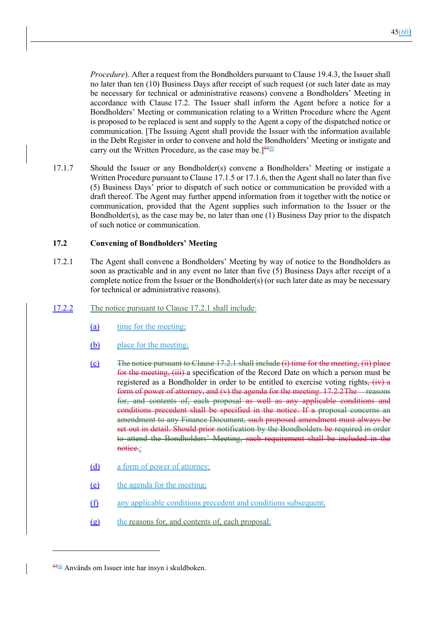*Procedure*). After a request from the Bondholders pursuant to Clause 19.4.3, the Issuer shall no later than ten (10) Business Days after receipt of such request (or such later date as may be necessary for technical or administrative reasons) convene a Bondholders' Meeting in accordance with Clause 17.2. The Issuer shall inform the Agent before a notice for a Bondholders' Meeting or communication relating to a Written Procedure where the Agent is proposed to be replaced is sent and supply to the Agent a copy of the dispatched notice or communication. [The Issuing Agent shall provide the Issuer with the information available in the Debt Register in order to convene and hold the Bondholders' Meeting or instigate and carry out the Written Procedure, as the case may be.<sup>[9390</sup>]

17.1.7 Should the Issuer or any Bondholder(s) convene a Bondholders' Meeting or instigate a Written Procedure pursuant to Clause 17.1.5 or 17.1.6, then the Agent shall no later than five (5) Business Days' prior to dispatch of such notice or communication be provided with a draft thereof. The Agent may further append information from it together with the notice or communication, provided that the Agent supplies such information to the Issuer or the Bondholder(s), as the case may be, no later than one  $(1)$  Business Day prior to the dispatch of such notice or communication.

#### **17.2 Convening of Bondholders' Meeting**

17.2.1 The Agent shall convene a Bondholders' Meeting by way of notice to the Bondholders as soon as practicable and in any event no later than five (5) Business Days after receipt of a complete notice from the Issuer or the Bondholder(s) (or such later date as may be necessary for technical or administrative reasons).

### 17.2.2 The notice pursuant to Clause 17.2.1 shall include:

- (a) time for the meeting;
- (b) place for the meeting;
- $(c)$  The notice pursuant to Clause 17.2.1 shall include (i) time for the meeting, (ii) place for the meeting, (iii) a specification of the Record Date on which a person must be registered as a Bondholder in order to be entitled to exercise voting rights,  $(iv)$  a form of power of attorney, and  $(v)$  the agenda for the meeting.  $17.2.2$  The reasons for, and contents of, each proposal as well as any applicable conditions and conditions precedent shall be specified in the notice. If a proposal concerns an amendment to any Finance Document, such proposed amendment must always be set out in detail. Should prior notification by the Bondholders be required in order to attend the Bondholders' Meeting, such requirement shall be included in the notice.;
- (d) a form of power of attorney;
- (e) the agenda for the meeting;
- (f) any applicable conditions precedent and conditions subsequent;
- (g) the reasons for, and contents of, each proposal;

 $\frac{9300}{9300}$  Används om Issuer inte har insyn i skuldboken.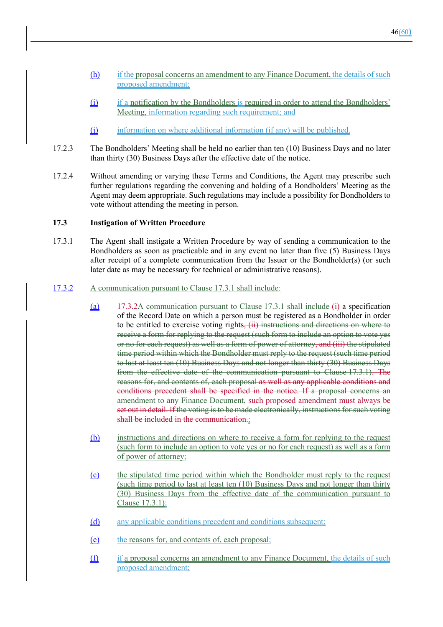- (h) if the proposal concerns an amendment to any Finance Document, the details of such proposed amendment;
- (i) if a notification by the Bondholders is required in order to attend the Bondholders' Meeting, information regarding such requirement; and
- (i) information on where additional information (if any) will be published.
- 17.2.3 The Bondholders' Meeting shall be held no earlier than ten (10) Business Days and no later than thirty (30) Business Days after the effective date of the notice.
- 17.2.4 Without amending or varying these Terms and Conditions, the Agent may prescribe such further regulations regarding the convening and holding of a Bondholders' Meeting as the Agent may deem appropriate. Such regulations may include a possibility for Bondholders to vote without attending the meeting in person.

### **17.3 Instigation of Written Procedure**

17.3.1 The Agent shall instigate a Written Procedure by way of sending a communication to the Bondholders as soon as practicable and in any event no later than five (5) Business Days after receipt of a complete communication from the Issuer or the Bondholder(s) (or such later date as may be necessary for technical or administrative reasons).

#### 17.3.2 A communication pursuant to Clause 17.3.1 shall include:

- (a)  $17.3.2A$  communication pursuant to Clause 17.3.1 shall include (i) a specification of the Record Date on which a person must be registered as a Bondholder in order to be entitled to exercise voting rights,  $(ii)$  instructions and directions on where to receive a form for replying to the request (such form to include an option to vote yes or no for each request) as well as a form of power of attorney, and (iii) the stipulated time period within which the Bondholder must reply to the request (such time period to last at least ten (10) Business Days and not longer than thirty (30) Business Days from the effective date of the communication pursuant to Clause 17.3.1). The reasons for, and contents of, each proposal as well as any applicable conditions and conditions precedent shall be specified in the notice. If a proposal concerns an amendment to any Finance Document, such proposed amendment must always be set out in detail. If the voting is to be made electronically, instructions for such voting shall be included in the communication.;
- (b) instructions and directions on where to receive a form for replying to the request (such form to include an option to vote yes or no for each request) as well as a form of power of attorney;
- (c) the stipulated time period within which the Bondholder must reply to the request (such time period to last at least ten (10) Business Days and not longer than thirty (30) Business Days from the effective date of the communication pursuant to Clause 17.3.1);
- (d) any applicable conditions precedent and conditions subsequent;
- (e) the reasons for, and contents of, each proposal;
- (f) if a proposal concerns an amendment to any Finance Document, the details of such proposed amendment;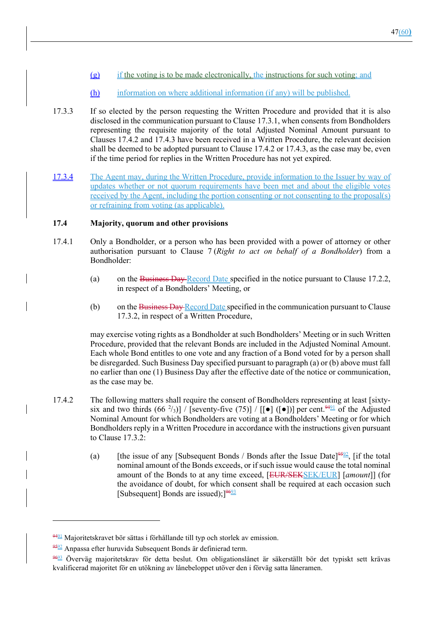- $(g)$  if the voting is to be made electronically, the instructions for such voting; and
- (h) information on where additional information (if any) will be published.
- 17.3.3 If so elected by the person requesting the Written Procedure and provided that it is also disclosed in the communication pursuant to Clause 17.3.1, when consents from Bondholders representing the requisite majority of the total Adjusted Nominal Amount pursuant to Clauses 17.4.2 and 17.4.3 have been received in a Written Procedure, the relevant decision shall be deemed to be adopted pursuant to Clause 17.4.2 or 17.4.3, as the case may be, even if the time period for replies in the Written Procedure has not yet expired.
- 17.3.4 The Agent may, during the Written Procedure, provide information to the Issuer by way of updates whether or not quorum requirements have been met and about the eligible votes received by the Agent, including the portion consenting or not consenting to the proposal(s) or refraining from voting (as applicable).

#### **17.4 Majority, quorum and other provisions**

- 17.4.1 Only a Bondholder, or a person who has been provided with a power of attorney or other authorisation pursuant to Clause 7 (*Right to act on behalf of a Bondholder*) from a Bondholder:
	- (a) on the Business Day Record Date specified in the notice pursuant to Clause 17.2.2, in respect of a Bondholders' Meeting, or
	- (b) on the Business Day Record Date specified in the communication pursuant to Clause 17.3.2, in respect of a Written Procedure,

may exercise voting rights as a Bondholder at such Bondholders' Meeting or in such Written Procedure, provided that the relevant Bonds are included in the Adjusted Nominal Amount. Each whole Bond entitles to one vote and any fraction of a Bond voted for by a person shall be disregarded. Such Business Day specified pursuant to paragraph (a) or (b) above must fall no earlier than one (1) Business Day after the effective date of the notice or communication, as the case may be.

- 17.4.2 The following matters shall require the consent of Bondholders representing at least [sixtysix and two thirds  $(66 \frac{2}{3})$ ] / [seventy-five (75)] / [[ $\bullet$ ] ( $\bullet$ ])] per cent.  $\frac{9491}{\bullet}$  of the Adjusted Nominal Amount for which Bondholders are voting at a Bondholders' Meeting or for which Bondholders reply in a Written Procedure in accordance with the instructions given pursuant to Clause 17.3.2:
	- (a) [the issue of any [Subsequent Bonds / Bonds after the Issue Date]<sup>9592</sup>, [if the total] nominal amount of the Bonds exceeds, or if such issue would cause the total nominal amount of the Bonds to at any time exceed, [EUR/SEKSEK/EUR] [*amount*]] (for the avoidance of doubt, for which consent shall be required at each occasion such [Subsequent] Bonds are issued); $]9693$

 $\frac{9491}{9491}$  Majoritetskravet bör sättas i förhållande till typ och storlek av emission.

<sup>9592</sup> Anpassa efter huruvida Subsequent Bonds är definierad term.

<sup>9693</sup> Överväg majoritetskrav för detta beslut. Om obligationslånet är säkerställt bör det typiskt sett krävas kvalificerad majoritet för en utökning av lånebeloppet utöver den i förväg satta låneramen.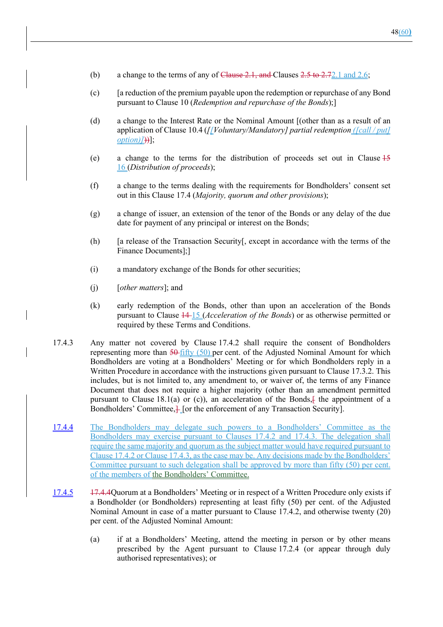- (b) a change to the terms of any of Clause  $2.1$ , and Clauses  $2.5$  to  $2.72.1$  and  $2.6$ ;
- (c) [a reduction of the premium payable upon the redemption or repurchase of any Bond pursuant to Clause 10 (*Redemption and repurchase of the Bonds*);]
- (d) a change to the Interest Rate or the Nominal Amount [(other than as a result of an application of Clause 10.4 (*[[Voluntary/Mandatory] partial redemption ([call / put] option*)[))];
- (e) a change to the terms for the distribution of proceeds set out in Clause 15 16 (*Distribution of proceeds*);
- (f) a change to the terms dealing with the requirements for Bondholders' consent set out in this Clause 17.4 (*Majority, quorum and other provisions*);
- (g) a change of issuer, an extension of the tenor of the Bonds or any delay of the due date for payment of any principal or interest on the Bonds;
- (h) [a release of the Transaction Security[, except in accordance with the terms of the Finance Documents];]
- (i) a mandatory exchange of the Bonds for other securities;
- (j) [*other matters*]; and
- (k) early redemption of the Bonds, other than upon an acceleration of the Bonds pursuant to Clause 14 15 (*Acceleration of the Bonds*) or as otherwise permitted or required by these Terms and Conditions.
- 17.4.3 Any matter not covered by Clause 17.4.2 shall require the consent of Bondholders representing more than  $\frac{50 \text{ fit}}{100}$  (50) per cent. of the Adjusted Nominal Amount for which Bondholders are voting at a Bondholders' Meeting or for which Bondholders reply in a Written Procedure in accordance with the instructions given pursuant to Clause 17.3.2. This includes, but is not limited to, any amendment to, or waiver of, the terms of any Finance Document that does not require a higher majority (other than an amendment permitted pursuant to Clause 18.1(a) or (c)), an acceleration of the Bonds,  $\frac{1}{2}$  the appointment of a Bondholders' Committee, $\frac{1}{k}$  [or the enforcement of any Transaction Security].
- 17.4.4 The Bondholders may delegate such powers to a Bondholders' Committee as the Bondholders may exercise pursuant to Clauses 17.4.2 and 17.4.3. The delegation shall require the same majority and quorum as the subject matter would have required pursuant to Clause 17.4.2 or Clause 17.4.3, as the case may be. Any decisions made by the Bondholders' Committee pursuant to such delegation shall be approved by more than fifty (50) per cent. of the members of the Bondholders' Committee.
- 17.4.5 17.4.4Quorum at a Bondholders' Meeting or in respect of a Written Procedure only exists if a Bondholder (or Bondholders) representing at least fifty (50) per cent. of the Adjusted Nominal Amount in case of a matter pursuant to Clause 17.4.2, and otherwise twenty (20) per cent. of the Adjusted Nominal Amount:
	- (a) if at a Bondholders' Meeting, attend the meeting in person or by other means prescribed by the Agent pursuant to Clause 17.2.4 (or appear through duly authorised representatives); or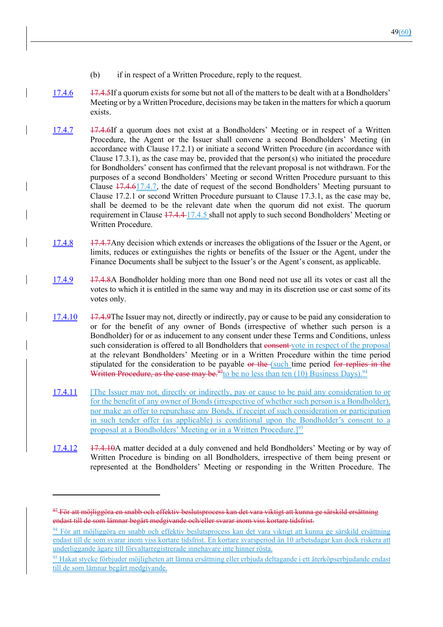- (b) if in respect of a Written Procedure, reply to the request.
- 17.4.6 17.4.5If a quorum exists for some but not all of the matters to be dealt with at a Bondholders' Meeting or by a Written Procedure, decisions may be taken in the matters for which a quorum exists.
- 17.4.7 17.4.6If a quorum does not exist at a Bondholders' Meeting or in respect of a Written Procedure, the Agent or the Issuer shall convene a second Bondholders' Meeting (in accordance with Clause 17.2.1) or initiate a second Written Procedure (in accordance with Clause 17.3.1), as the case may be, provided that the person(s) who initiated the procedure for Bondholders' consent has confirmed that the relevant proposal is not withdrawn. For the purposes of a second Bondholders' Meeting or second Written Procedure pursuant to this Clause 17.4.617.4.7, the date of request of the second Bondholders' Meeting pursuant to Clause 17.2.1 or second Written Procedure pursuant to Clause 17.3.1, as the case may be, shall be deemed to be the relevant date when the quorum did not exist. The quorum requirement in Clause  $17.4.4$  17.4.5 shall not apply to such second Bondholders' Meeting or Written Procedure.
- 17.4.8 17.4.7Any decision which extends or increases the obligations of the Issuer or the Agent, or limits, reduces or extinguishes the rights or benefits of the Issuer or the Agent, under the Finance Documents shall be subject to the Issuer's or the Agent's consent, as applicable.
- 17.4.9 17.4.8A Bondholder holding more than one Bond need not use all its votes or cast all the votes to which it is entitled in the same way and may in its discretion use or cast some of its votes only.
- 17.4.10 17.4.9The Issuer may not, directly or indirectly, pay or cause to be paid any consideration to or for the benefit of any owner of Bonds (irrespective of whether such person is a Bondholder) for or as inducement to any consent under these Terms and Conditions, unless such consideration is offered to all Bondholders that consent vote in respect of the proposal at the relevant Bondholders' Meeting or in a Written Procedure within the time period stipulated for the consideration to be payable or the (such time period for replies in the Written Procedure, as the case may be.<sup>97</sup>to be no less than ten (10) Business Days).<sup>94</sup>
- 17.4.11 [The Issuer may not, directly or indirectly, pay or cause to be paid any consideration to or for the benefit of any owner of Bonds (irrespective of whether such person is a Bondholder), nor make an offer to repurchase any Bonds, if receipt of such consideration or participation in such tender offer (as applicable) is conditional upon the Bondholder's consent to a proposal at a Bondholders' Meeting or in a Written Procedure.<sup>[95]</sup>
- 17.4.12 17.4.10A matter decided at a duly convened and held Bondholders' Meeting or by way of Written Procedure is binding on all Bondholders, irrespective of them being present or represented at the Bondholders' Meeting or responding in the Written Procedure. The

 $97$  För att möjliggöra en snabb och effektiv beslutsprocess kan det vara viktigt att kunna ge särskild ersättning endast till de som lämnar begärt medgivande och/eller svarar inom viss kortare tidsfrist.

<sup>94</sup> För att möjliggöra en snabb och effektiv beslutsprocess kan det vara viktigt att kunna ge särskild ersättning endast till de som svarar inom viss kortare tidsfrist. En kortare svarsperiod än 10 arbetsdagar kan dock riskera att underliggande ägare till förvaltarregistrerade innehavare inte hinner rösta.

<sup>95</sup> Hakat stycke förbjuder möjligheten att lämna ersättning eller erbjuda deltagande i ett återköpserbjudande endast till de som lämnar begärt medgivande.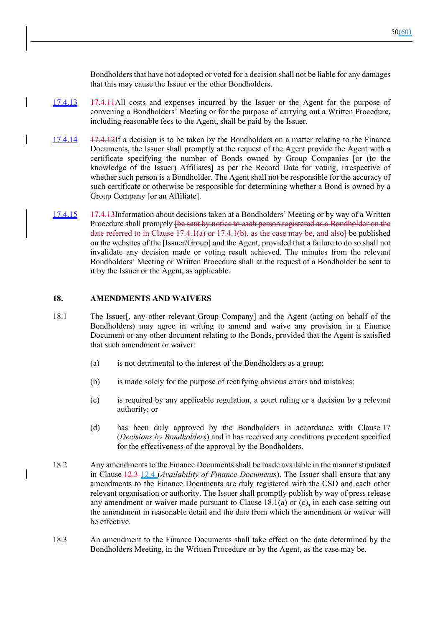Bondholders that have not adopted or voted for a decision shall not be liable for any damages that this may cause the Issuer or the other Bondholders.

- 17.4.13 17.4.11All costs and expenses incurred by the Issuer or the Agent for the purpose of convening a Bondholders' Meeting or for the purpose of carrying out a Written Procedure, including reasonable fees to the Agent, shall be paid by the Issuer.
- 17.4.14 17.4.12If a decision is to be taken by the Bondholders on a matter relating to the Finance Documents, the Issuer shall promptly at the request of the Agent provide the Agent with a certificate specifying the number of Bonds owned by Group Companies [or (to the knowledge of the Issuer) Affiliates] as per the Record Date for voting, irrespective of whether such person is a Bondholder. The Agent shall not be responsible for the accuracy of such certificate or otherwise be responsible for determining whether a Bond is owned by a Group Company [or an Affiliate].
- 17.4.15 17.4.13Information about decisions taken at a Bondholders' Meeting or by way of a Written Procedure shall promptly <del>[be sent by notice to each person registered as a Bondholder on the</del> date referred to in Clause  $17.4.1(a)$  or  $17.4.1(b)$ , as the case may be, and also to published on the websites of the [Issuer/Group] and the Agent, provided that a failure to do so shall not invalidate any decision made or voting result achieved. The minutes from the relevant Bondholders' Meeting or Written Procedure shall at the request of a Bondholder be sent to it by the Issuer or the Agent, as applicable.

#### **18. AMENDMENTS AND WAIVERS**

- 18.1 The Issuer[, any other relevant Group Company] and the Agent (acting on behalf of the Bondholders) may agree in writing to amend and waive any provision in a Finance Document or any other document relating to the Bonds, provided that the Agent is satisfied that such amendment or waiver:
	- (a) is not detrimental to the interest of the Bondholders as a group;
	- (b) is made solely for the purpose of rectifying obvious errors and mistakes;
	- (c) is required by any applicable regulation, a court ruling or a decision by a relevant authority; or
	- (d) has been duly approved by the Bondholders in accordance with Clause 17 (*Decisions by Bondholders*) and it has received any conditions precedent specified for the effectiveness of the approval by the Bondholders.
- 18.2 Any amendments to the Finance Documents shall be made available in the manner stipulated in Clause 12.3 12.4 (*Availability of Finance Documents*). The Issuer shall ensure that any amendments to the Finance Documents are duly registered with the CSD and each other relevant organisation or authority. The Issuer shall promptly publish by way of press release any amendment or waiver made pursuant to Clause  $18.1(a)$  or (c), in each case setting out the amendment in reasonable detail and the date from which the amendment or waiver will be effective.
- 18.3 An amendment to the Finance Documents shall take effect on the date determined by the Bondholders Meeting, in the Written Procedure or by the Agent, as the case may be.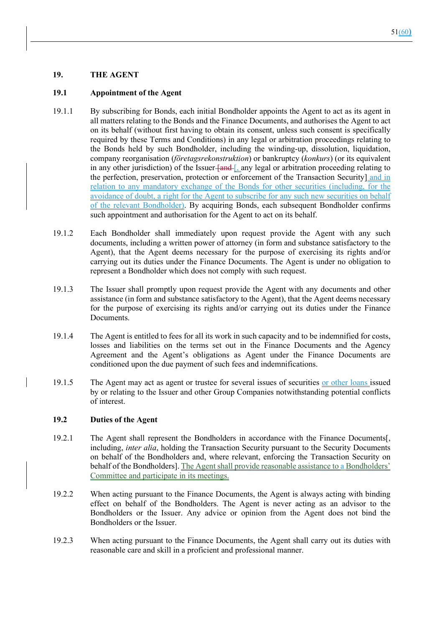### **19. THE AGENT**

#### **19.1 Appointment of the Agent**

- 19.1.1 By subscribing for Bonds, each initial Bondholder appoints the Agent to act as its agent in all matters relating to the Bonds and the Finance Documents, and authorises the Agent to act on its behalf (without first having to obtain its consent, unless such consent is specifically required by these Terms and Conditions) in any legal or arbitration proceedings relating to the Bonds held by such Bondholder, including the winding-up, dissolution, liquidation, company reorganisation (*företagsrekonstruktion*) or bankruptcy (*konkurs*) (or its equivalent in any other jurisdiction) of the Issuer- $\frac{f_{\text{and}}}{g_{\text{and}}}$  any legal or arbitration proceeding relating to the perfection, preservation, protection or enforcement of the Transaction Security] and in relation to any mandatory exchange of the Bonds for other securities (including, for the avoidance of doubt, a right for the Agent to subscribe for any such new securities on behalf of the relevant Bondholder). By acquiring Bonds, each subsequent Bondholder confirms such appointment and authorisation for the Agent to act on its behalf.
- 19.1.2 Each Bondholder shall immediately upon request provide the Agent with any such documents, including a written power of attorney (in form and substance satisfactory to the Agent), that the Agent deems necessary for the purpose of exercising its rights and/or carrying out its duties under the Finance Documents. The Agent is under no obligation to represent a Bondholder which does not comply with such request.
- 19.1.3 The Issuer shall promptly upon request provide the Agent with any documents and other assistance (in form and substance satisfactory to the Agent), that the Agent deems necessary for the purpose of exercising its rights and/or carrying out its duties under the Finance Documents.
- 19.1.4 The Agent is entitled to fees for all its work in such capacity and to be indemnified for costs, losses and liabilities on the terms set out in the Finance Documents and the Agency Agreement and the Agent's obligations as Agent under the Finance Documents are conditioned upon the due payment of such fees and indemnifications.
- 19.1.5 The Agent may act as agent or trustee for several issues of securities or other loans issued by or relating to the Issuer and other Group Companies notwithstanding potential conflicts of interest.

#### **19.2 Duties of the Agent**

- 19.2.1 The Agent shall represent the Bondholders in accordance with the Finance Documents[, including, *inter alia*, holding the Transaction Security pursuant to the Security Documents on behalf of the Bondholders and, where relevant, enforcing the Transaction Security on behalf of the Bondholders]. The Agent shall provide reasonable assistance to a Bondholders' Committee and participate in its meetings.
- 19.2.2 When acting pursuant to the Finance Documents, the Agent is always acting with binding effect on behalf of the Bondholders. The Agent is never acting as an advisor to the Bondholders or the Issuer. Any advice or opinion from the Agent does not bind the Bondholders or the Issuer.
- 19.2.3 When acting pursuant to the Finance Documents, the Agent shall carry out its duties with reasonable care and skill in a proficient and professional manner.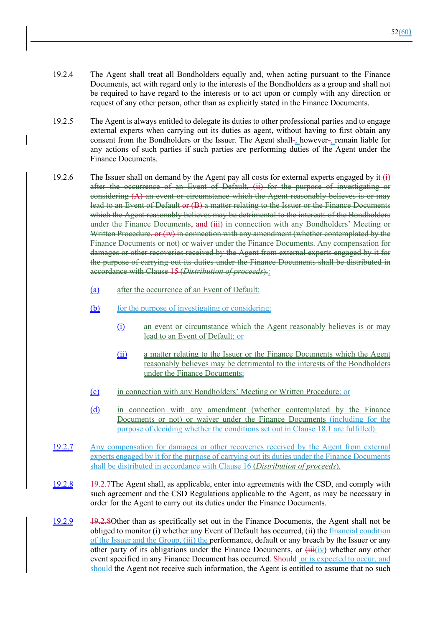- 19.2.4 The Agent shall treat all Bondholders equally and, when acting pursuant to the Finance Documents, act with regard only to the interests of the Bondholders as a group and shall not be required to have regard to the interests or to act upon or comply with any direction or request of any other person, other than as explicitly stated in the Finance Documents.
- 19.2.5 The Agent is always entitled to delegate its duties to other professional parties and to engage external experts when carrying out its duties as agent, without having to first obtain any consent from the Bondholders or the Issuer. The Agent shall-, however-, remain liable for any actions of such parties if such parties are performing duties of the Agent under the Finance Documents.
- 19.2.6 The Issuer shall on demand by the Agent pay all costs for external experts engaged by it- $\leftarrow$ after the occurrence of an Event of Default, (ii) for the purpose of investigating or considering (A) an event or circumstance which the Agent reasonably believes is or may lead to an Event of Default or (B) a matter relating to the Issuer or the Finance Documents which the Agent reasonably believes may be detrimental to the interests of the Bondholders under the Finance Documents, and (iii) in connection with any Bondholders' Meeting or Written Procedure, or (iv) in connection with any amendment (whether contemplated by the Finance Documents or not) or waiver under the Finance Documents. Any compensation for damages or other recoveries received by the Agent from external experts engaged by it for the purpose of carrying out its duties under the Finance Documents shall be distributed in accordance with Clause 15 (*Distribution of proceeds*).:
	- (a) after the occurrence of an Event of Default;
	- (b) for the purpose of investigating or considering:
		- (i) an event or circumstance which the Agent reasonably believes is or may lead to an Event of Default; or
		- (ii) a matter relating to the Issuer or the Finance Documents which the Agent reasonably believes may be detrimental to the interests of the Bondholders under the Finance Documents;
	- (c) in connection with any Bondholders' Meeting or Written Procedure; or
	- (d) in connection with any amendment (whether contemplated by the Finance Documents or not) or waiver under the Finance Documents (including for the purpose of deciding whether the conditions set out in Clause 18.1 are fulfilled).
- 19.2.7 Any compensation for damages or other recoveries received by the Agent from external experts engaged by it for the purpose of carrying out its duties under the Finance Documents shall be distributed in accordance with Clause 16 (*Distribution of proceeds*).
- 19.2.8 19.2.7The Agent shall, as applicable, enter into agreements with the CSD, and comply with such agreement and the CSD Regulations applicable to the Agent, as may be necessary in order for the Agent to carry out its duties under the Finance Documents.
- 19.2.9 19.2.8Other than as specifically set out in the Finance Documents, the Agent shall not be obliged to monitor (i) whether any Event of Default has occurred, (ii) the *financial condition* of the Issuer and the Group, (iii) the performance, default or any breach by the Issuer or any other party of its obligations under the Finance Documents, or  $\overrightarrow{H}$  whether any other event specified in any Finance Document has occurred. Should or is expected to occur, and should the Agent not receive such information, the Agent is entitled to assume that no such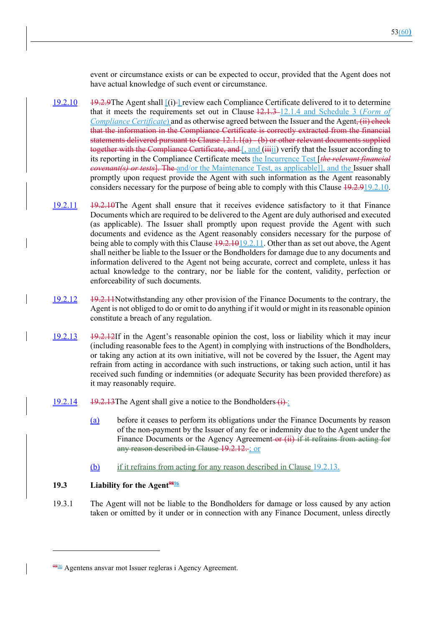event or circumstance exists or can be expected to occur, provided that the Agent does not have actual knowledge of such event or circumstance.

- 19.2.10 19.2.9The Agent shall [(i) ] review each Compliance Certificate delivered to it to determine that it meets the requirements set out in Clause 12.1.3 12.1.4 and Schedule 3 (*Form of Compliance Certificate*) and as otherwise agreed between the Issuer and the Agent, (ii) check that the information in the Compliance Certificate is correctly extracted from the financial statements delivered pursuant to Clause 12.1.1(a) - (b) or other relevant documents supplied together with the Compliance Certificate, and [, and (iiii) verify that the Issuer according to its reporting in the Compliance Certificate meets the Incurrence Test [*the relevant financial covenant(s) or tests*]. The and/or the Maintenance Test, as applicable]], and the Issuer shall promptly upon request provide the Agent with such information as the Agent reasonably considers necessary for the purpose of being able to comply with this Clause 19.2.919.2.10.
- 19.2.11 19.2.10The Agent shall ensure that it receives evidence satisfactory to it that Finance Documents which are required to be delivered to the Agent are duly authorised and executed (as applicable). The Issuer shall promptly upon request provide the Agent with such documents and evidence as the Agent reasonably considers necessary for the purpose of being able to comply with this Clause  $19.2.1019.2.11$ . Other than as set out above, the Agent shall neither be liable to the Issuer or the Bondholders for damage due to any documents and information delivered to the Agent not being accurate, correct and complete, unless it has actual knowledge to the contrary, nor be liable for the content, validity, perfection or enforceability of such documents.
- 19.2.12 19.2.11Notwithstanding any other provision of the Finance Documents to the contrary, the Agent is not obliged to do or omit to do anything if it would or might in its reasonable opinion constitute a breach of any regulation.
- 19.2.13 19.2.12If in the Agent's reasonable opinion the cost, loss or liability which it may incur (including reasonable fees to the Agent) in complying with instructions of the Bondholders, or taking any action at its own initiative, will not be covered by the Issuer, the Agent may refrain from acting in accordance with such instructions, or taking such action, until it has received such funding or indemnities (or adequate Security has been provided therefore) as it may reasonably require.
- $\frac{19.2.14}{2}$  19.2.13The Agent shall give a notice to the Bondholders  $(i)$ :
	- (a) before it ceases to perform its obligations under the Finance Documents by reason of the non-payment by the Issuer of any fee or indemnity due to the Agent under the Finance Documents or the Agency Agreement-or (ii) if it refrains from acting for any reason described in Clause 19.2.12. ; or
	- (b) if it refrains from acting for any reason described in Clause 19.2.13.

### **19.3 Liability for the Agent**<sup>9896</sup>

19.3.1 The Agent will not be liable to the Bondholders for damage or loss caused by any action taken or omitted by it under or in connection with any Finance Document, unless directly

<sup>9896</sup> Agentens ansvar mot Issuer regleras i Agency Agreement.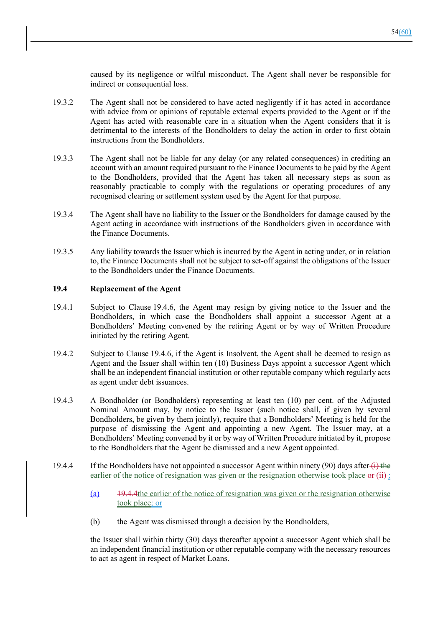caused by its negligence or wilful misconduct. The Agent shall never be responsible for indirect or consequential loss.

- 19.3.2 The Agent shall not be considered to have acted negligently if it has acted in accordance with advice from or opinions of reputable external experts provided to the Agent or if the Agent has acted with reasonable care in a situation when the Agent considers that it is detrimental to the interests of the Bondholders to delay the action in order to first obtain instructions from the Bondholders.
- 19.3.3 The Agent shall not be liable for any delay (or any related consequences) in crediting an account with an amount required pursuant to the Finance Documents to be paid by the Agent to the Bondholders, provided that the Agent has taken all necessary steps as soon as reasonably practicable to comply with the regulations or operating procedures of any recognised clearing or settlement system used by the Agent for that purpose.
- 19.3.4 The Agent shall have no liability to the Issuer or the Bondholders for damage caused by the Agent acting in accordance with instructions of the Bondholders given in accordance with the Finance Documents.
- 19.3.5 Any liability towards the Issuer which is incurred by the Agent in acting under, or in relation to, the Finance Documents shall not be subject to set-off against the obligations of the Issuer to the Bondholders under the Finance Documents.

#### **19.4 Replacement of the Agent**

- 19.4.1 Subject to Clause 19.4.6, the Agent may resign by giving notice to the Issuer and the Bondholders, in which case the Bondholders shall appoint a successor Agent at a Bondholders' Meeting convened by the retiring Agent or by way of Written Procedure initiated by the retiring Agent.
- 19.4.2 Subject to Clause 19.4.6, if the Agent is Insolvent, the Agent shall be deemed to resign as Agent and the Issuer shall within ten (10) Business Days appoint a successor Agent which shall be an independent financial institution or other reputable company which regularly acts as agent under debt issuances.
- 19.4.3 A Bondholder (or Bondholders) representing at least ten (10) per cent. of the Adjusted Nominal Amount may, by notice to the Issuer (such notice shall, if given by several Bondholders, be given by them jointly), require that a Bondholders' Meeting is held for the purpose of dismissing the Agent and appointing a new Agent. The Issuer may, at a Bondholders' Meeting convened by it or by way of Written Procedure initiated by it, propose to the Bondholders that the Agent be dismissed and a new Agent appointed.
- 19.4.4 If the Bondholders have not appointed a successor Agent within ninety (90) days after  $\leftrightarrow$  the earlier of the notice of resignation was given or the resignation otherwise took place or (ii):
	- (a) 19.4.4the earlier of the notice of resignation was given or the resignation otherwise took place; or
	- (b) the Agent was dismissed through a decision by the Bondholders,

the Issuer shall within thirty (30) days thereafter appoint a successor Agent which shall be an independent financial institution or other reputable company with the necessary resources to act as agent in respect of Market Loans.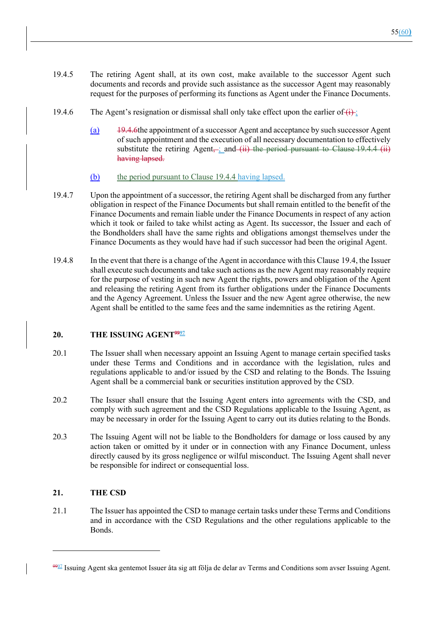- 19.4.5 The retiring Agent shall, at its own cost, make available to the successor Agent such documents and records and provide such assistance as the successor Agent may reasonably request for the purposes of performing its functions as Agent under the Finance Documents.
- 19.4.6 The Agent's resignation or dismissal shall only take effect upon the earlier of  $(i)$ :
	- (a) 19.4.6the appointment of a successor Agent and acceptance by such successor Agent of such appointment and the execution of all necessary documentation to effectively substitute the retiring Agent $\frac{1}{2}$  and (ii) the period pursuant to Clause 19.4.4 (ii) having lapsed.
	- (b) the period pursuant to Clause 19.4.4 having lapsed.
- 19.4.7 Upon the appointment of a successor, the retiring Agent shall be discharged from any further obligation in respect of the Finance Documents but shall remain entitled to the benefit of the Finance Documents and remain liable under the Finance Documents in respect of any action which it took or failed to take whilst acting as Agent. Its successor, the Issuer and each of the Bondholders shall have the same rights and obligations amongst themselves under the Finance Documents as they would have had if such successor had been the original Agent.
- 19.4.8 In the event that there is a change of the Agent in accordance with this Clause 19.4, the Issuer shall execute such documents and take such actions as the new Agent may reasonably require for the purpose of vesting in such new Agent the rights, powers and obligation of the Agent and releasing the retiring Agent from its further obligations under the Finance Documents and the Agency Agreement. Unless the Issuer and the new Agent agree otherwise, the new Agent shall be entitled to the same fees and the same indemnities as the retiring Agent.

### **20. THE ISSUING AGENT**<sup>9927</sup>

- 20.1 The Issuer shall when necessary appoint an Issuing Agent to manage certain specified tasks under these Terms and Conditions and in accordance with the legislation, rules and regulations applicable to and/or issued by the CSD and relating to the Bonds. The Issuing Agent shall be a commercial bank or securities institution approved by the CSD.
- 20.2 The Issuer shall ensure that the Issuing Agent enters into agreements with the CSD, and comply with such agreement and the CSD Regulations applicable to the Issuing Agent, as may be necessary in order for the Issuing Agent to carry out its duties relating to the Bonds.
- 20.3 The Issuing Agent will not be liable to the Bondholders for damage or loss caused by any action taken or omitted by it under or in connection with any Finance Document, unless directly caused by its gross negligence or wilful misconduct. The Issuing Agent shall never be responsible for indirect or consequential loss.

### **21. THE CSD**

21.1 The Issuer has appointed the CSD to manage certain tasks under these Terms and Conditions and in accordance with the CSD Regulations and the other regulations applicable to the Bonds.

<sup>9997</sup> Issuing Agent ska gentemot Issuer åta sig att följa de delar av Terms and Conditions som avser Issuing Agent.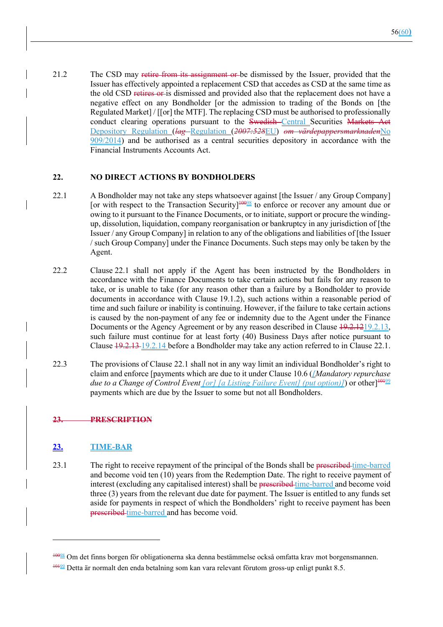21.2 The CSD may retire from its assignment or be dismissed by the Issuer, provided that the Issuer has effectively appointed a replacement CSD that accedes as CSD at the same time as the old CSD retires or is dismissed and provided also that the replacement does not have a negative effect on any Bondholder [or the admission to trading of the Bonds on [the Regulated Market] / [[or] the MTF]. The replacing CSD must be authorised to professionally conduct clearing operations pursuant to the Swedish-Central Securities Markets Act Depository Regulation (*lag* Regulation (*2007:528*EU) *om värdepappersmarknaden*No 909/2014) and be authorised as a central securities depository in accordance with the Financial Instruments Accounts Act.

#### **22. NO DIRECT ACTIONS BY BONDHOLDERS**

- 22.1 A Bondholder may not take any steps whatsoever against [the Issuer / any Group Company] [or with respect to the Transaction Security] $\frac{10098}{8}$  to enforce or recover any amount due or owing to it pursuant to the Finance Documents, or to initiate, support or procure the windingup, dissolution, liquidation, company reorganisation or bankruptcy in any jurisdiction of [the Issuer / any Group Company] in relation to any of the obligations and liabilities of [the Issuer / such Group Company] under the Finance Documents. Such steps may only be taken by the Agent.
- 22.2 Clause 22.1 shall not apply if the Agent has been instructed by the Bondholders in accordance with the Finance Documents to take certain actions but fails for any reason to take, or is unable to take (for any reason other than a failure by a Bondholder to provide documents in accordance with Clause 19.1.2), such actions within a reasonable period of time and such failure or inability is continuing. However, if the failure to take certain actions is caused by the non-payment of any fee or indemnity due to the Agent under the Finance Documents or the Agency Agreement or by any reason described in Clause  $19.2.1219.2.13$ , such failure must continue for at least forty (40) Business Days after notice pursuant to Clause  $\frac{19.2.13 \cdot 19.2.14}{2}$  before a Bondholder may take any action referred to in Clause 22.1.
- 22.3 The provisions of Clause 22.1 shall not in any way limit an individual Bondholder's right to claim and enforce [payments which are due to it under Clause 10.6 (*[Mandatory repurchase due to a Change of Control Event [or] [a Listing Failure Event] (put option)]*) or other]<sup>1019</sup> payments which are due by the Issuer to some but not all Bondholders.

## **23. PRESCRIPTION**

## **23. TIME-BAR**

23.1 The right to receive repayment of the principal of the Bonds shall be prescribed time-barred and become void ten (10) years from the Redemption Date. The right to receive payment of interest (excluding any capitalised interest) shall be preseribed time-barred and become void three (3) years from the relevant due date for payment. The Issuer is entitled to any funds set aside for payments in respect of which the Bondholders' right to receive payment has been prescribed time-barred and has become void.

<sup>10098</sup> Om det finns borgen för obligationerna ska denna bestämmelse också omfatta krav mot borgensmannen. 10199 Detta är normalt den enda betalning som kan vara relevant förutom gross-up enligt punkt 8.5.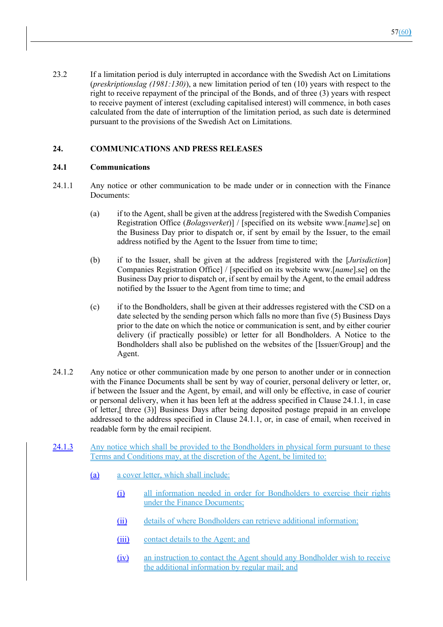23.2 If a limitation period is duly interrupted in accordance with the Swedish Act on Limitations (*preskriptionslag (1981:130)*), a new limitation period of ten (10) years with respect to the right to receive repayment of the principal of the Bonds, and of three (3) years with respect to receive payment of interest (excluding capitalised interest) will commence, in both cases calculated from the date of interruption of the limitation period, as such date is determined pursuant to the provisions of the Swedish Act on Limitations.

## **24. COMMUNICATIONS AND PRESS RELEASES**

#### **24.1 Communications**

- 24.1.1 Any notice or other communication to be made under or in connection with the Finance Documents:
	- (a) if to the Agent, shall be given at the address [registered with the Swedish Companies Registration Office (*Bolagsverket*)] / [specified on its website www.[*name*].se] on the Business Day prior to dispatch or, if sent by email by the Issuer, to the email address notified by the Agent to the Issuer from time to time;
	- (b) if to the Issuer, shall be given at the address [registered with the [*Jurisdiction*] Companies Registration Office] / [specified on its website www.[*name*].se] on the Business Day prior to dispatch or, if sent by email by the Agent, to the email address notified by the Issuer to the Agent from time to time; and
	- (c) if to the Bondholders, shall be given at their addresses registered with the CSD on a date selected by the sending person which falls no more than five (5) Business Days prior to the date on which the notice or communication is sent, and by either courier delivery (if practically possible) or letter for all Bondholders. A Notice to the Bondholders shall also be published on the websites of the [Issuer/Group] and the Agent.
- 24.1.2 Any notice or other communication made by one person to another under or in connection with the Finance Documents shall be sent by way of courier, personal delivery or letter, or, if between the Issuer and the Agent, by email, and will only be effective, in case of courier or personal delivery, when it has been left at the address specified in Clause 24.1.1, in case of letter,[ three (3)] Business Days after being deposited postage prepaid in an envelope addressed to the address specified in Clause 24.1.1, or, in case of email, when received in readable form by the email recipient.
- 24.1.3 Any notice which shall be provided to the Bondholders in physical form pursuant to these Terms and Conditions may, at the discretion of the Agent, be limited to:
	- (a) a cover letter, which shall include:
		- (i) all information needed in order for Bondholders to exercise their rights under the Finance Documents;
		- (ii) details of where Bondholders can retrieve additional information;
		- (iii) contact details to the Agent; and
		- (iv) an instruction to contact the Agent should any Bondholder wish to receive the additional information by regular mail; and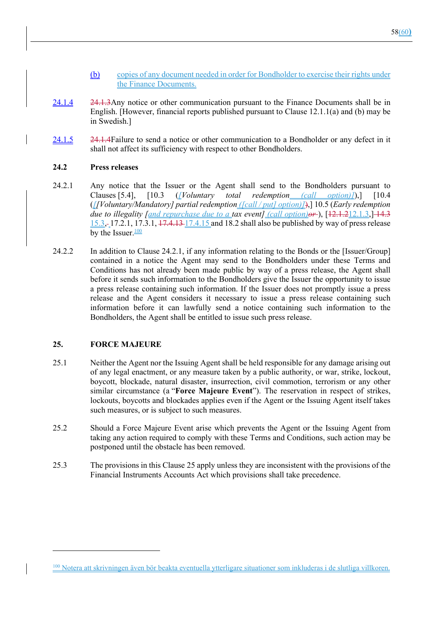- (b) copies of any document needed in order for Bondholder to exercise their rights under the Finance Documents.
- 24.1.4 24.1.3Any notice or other communication pursuant to the Finance Documents shall be in English. [However, financial reports published pursuant to Clause 12.1.1(a) and (b) may be in Swedish.]
- 24.1.5 24.1.4Failure to send a notice or other communication to a Bondholder or any defect in it shall not affect its sufficiency with respect to other Bondholders.

#### **24.2 Press releases**

- 24.2.1 Any notice that the Issuer or the Agent shall send to the Bondholders pursuant to Clauses [5.4], [10.3 (*[Voluntary total redemption (call option)]*),] [10.4 (*[[Voluntary/Mandatory] partial redemption ([call / put] option)]*),] 10.5 (*Early redemption due to illegality [and repurchase due to a tax event] (call option) or*), [12.1.212.1.3,] 14.3 15.3, 17.2.1, 17.3.1, 17.4.13 17.4.15 and 18.2 shall also be published by way of press release by the Issuer. $\frac{100}{100}$
- 24.2.2 In addition to Clause 24.2.1, if any information relating to the Bonds or the [Issuer/Group] contained in a notice the Agent may send to the Bondholders under these Terms and Conditions has not already been made public by way of a press release, the Agent shall before it sends such information to the Bondholders give the Issuer the opportunity to issue a press release containing such information. If the Issuer does not promptly issue a press release and the Agent considers it necessary to issue a press release containing such information before it can lawfully send a notice containing such information to the Bondholders, the Agent shall be entitled to issue such press release.

#### **25. FORCE MAJEURE**

- 25.1 Neither the Agent nor the Issuing Agent shall be held responsible for any damage arising out of any legal enactment, or any measure taken by a public authority, or war, strike, lockout, boycott, blockade, natural disaster, insurrection, civil commotion, terrorism or any other similar circumstance (a "**Force Majeure Event**"). The reservation in respect of strikes, lockouts, boycotts and blockades applies even if the Agent or the Issuing Agent itself takes such measures, or is subject to such measures.
- 25.2 Should a Force Majeure Event arise which prevents the Agent or the Issuing Agent from taking any action required to comply with these Terms and Conditions, such action may be postponed until the obstacle has been removed.
- 25.3 The provisions in this Clause 25 apply unless they are inconsistent with the provisions of the Financial Instruments Accounts Act which provisions shall take precedence.

<sup>100</sup> Notera att skrivningen även bör beakta eventuella ytterligare situationer som inkluderas i de slutliga villkoren.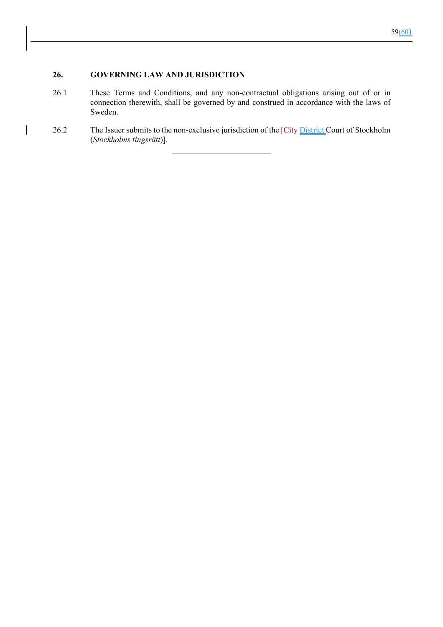#### **26. GOVERNING LAW AND JURISDICTION**

 $\overline{\phantom{a}}$ 

- 26.1 These Terms and Conditions, and any non-contractual obligations arising out of or in connection therewith, shall be governed by and construed in accordance with the laws of Sweden.
- 26.2 The Issuer submits to the non-exclusive jurisdiction of the [City District Court of Stockholm (*Stockholms tingsrätt*)].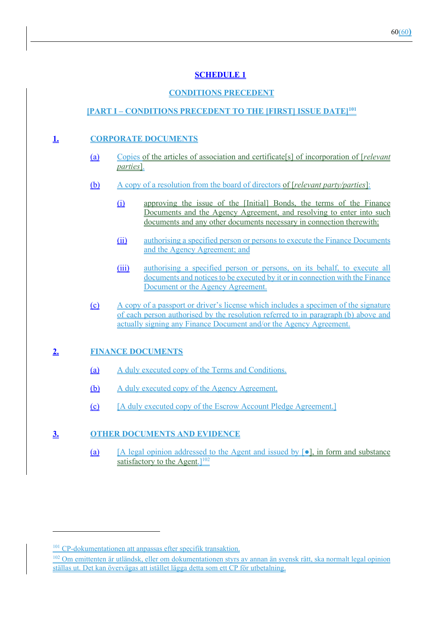# **SCHEDULE 1**

# **CONDITIONS PRECEDENT**

## **[PART I – CONDITIONS PRECEDENT TO THE [FIRST] ISSUE DATE]101**

## **1. CORPORATE DOCUMENTS**

- (a) Copies of the articles of association and certificate[s] of incorporation of [*relevant parties*].
- (b) A copy of a resolution from the board of directors of [*relevant party/parties*]:
	- (i) approving the issue of the [Initial] Bonds, the terms of the Finance Documents and the Agency Agreement, and resolving to enter into such documents and any other documents necessary in connection therewith;
	- (ii) authorising a specified person or persons to execute the Finance Documents and the Agency Agreement; and
	- (iii) authorising a specified person or persons, on its behalf, to execute all documents and notices to be executed by it or in connection with the Finance Document or the Agency Agreement.
- (c) A copy of a passport or driver's license which includes a specimen of the signature of each person authorised by the resolution referred to in paragraph (b) above and actually signing any Finance Document and/or the Agency Agreement.

### **2. FINANCE DOCUMENTS**

- (a) A duly executed copy of the Terms and Conditions.
- (b) A duly executed copy of the Agency Agreement.
- (c) [A duly executed copy of the Escrow Account Pledge Agreement.]

## **3. OTHER DOCUMENTS AND EVIDENCE**

(a)  $[A]$  [A legal opinion addressed to the Agent and issued by  $[•]$ , in form and substance satisfactory to the Agent. $]^{102}$ 

<sup>&</sup>lt;sup>101</sup> CP-dokumentationen att anpassas efter specifik transaktion.

<sup>102</sup> Om emittenten är utländsk, eller om dokumentationen styrs av annan än svensk rätt, ska normalt legal opinion ställas ut. Det kan övervägas att istället lägga detta som ett CP för utbetalning.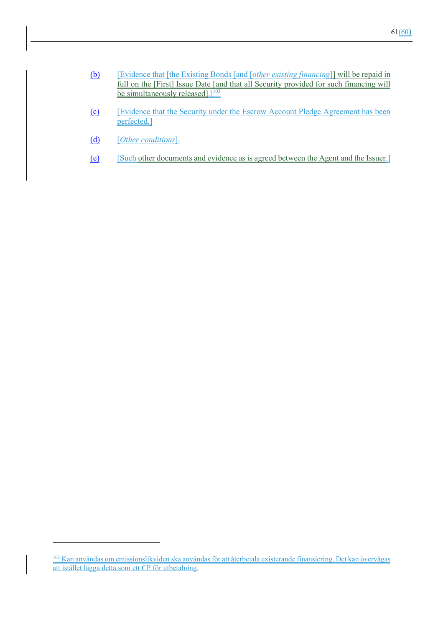| (b) | [Evidence that [the Existing Bonds [and <i>[other existing financing</i> ]] will be repaid in |
|-----|-----------------------------------------------------------------------------------------------|
|     | full on the [First] Issue Date [and that all Security provided for such financing will        |
|     | be simultaneously released]. $]^{103}$                                                        |

- (c) [Evidence that the Security under the Escrow Account Pledge Agreement has been perfected.]
- (d) [*Other conditions*].
- (e) [Such other documents and evidence as is agreed between the Agent and the Issuer.]

<sup>&</sup>lt;sup>103</sup> Kan användas om emissionslikviden ska användas för att återbetala existerande finansiering. Det kan övervägas att istället lägga detta som ett CP för utbetalning.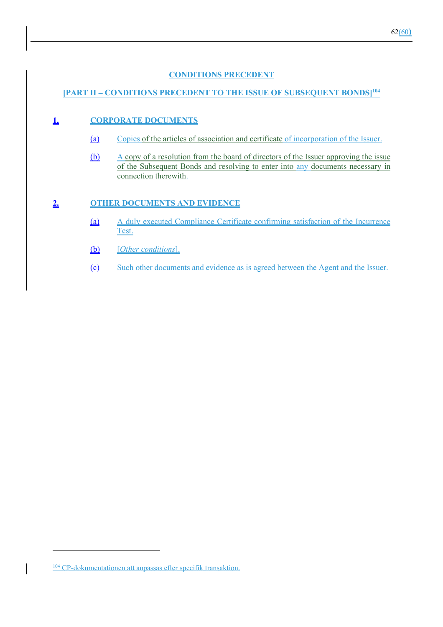# **CONDITIONS PRECEDENT**

# **[PART II – CONDITIONS PRECEDENT TO THE ISSUE OF SUBSEQUENT BONDS]104**

## **1. CORPORATE DOCUMENTS**

- (a) Copies of the articles of association and certificate of incorporation of the Issuer.
- (b) A copy of a resolution from the board of directors of the Issuer approving the issue of the Subsequent Bonds and resolving to enter into any documents necessary in connection therewith.

## **2. OTHER DOCUMENTS AND EVIDENCE**

- (a) A duly executed Compliance Certificate confirming satisfaction of the Incurrence Test.
- (b) [*Other conditions*].
- (c) Such other documents and evidence as is agreed between the Agent and the Issuer.

<sup>104</sup> CP-dokumentationen att anpassas efter specifik transaktion.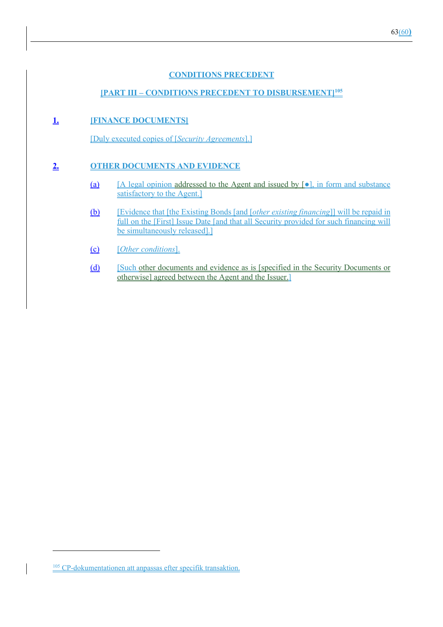# **CONDITIONS PRECEDENT**

# **[PART III – CONDITIONS PRECEDENT TO DISBURSEMENT]105**

## **1. [FINANCE DOCUMENTS]**

[Duly executed copies of [*Security Agreements*].]

## **2. OTHER DOCUMENTS AND EVIDENCE**

- (a)  $[A \text{ legal opinion addressed to the Agent and issued by } [0], \text{ in form and substance}$ satisfactory to the Agent.]
- (b) [Evidence that [the Existing Bonds [and [*other existing financing*]] will be repaid in full on the [First] Issue Date [and that all Security provided for such financing will be simultaneously released].]
- (c) [*Other conditions*].
- (d) [Such other documents and evidence as is [specified in the Security Documents or otherwise] agreed between the Agent and the Issuer.]

<sup>105</sup> CP-dokumentationen att anpassas efter specifik transaktion.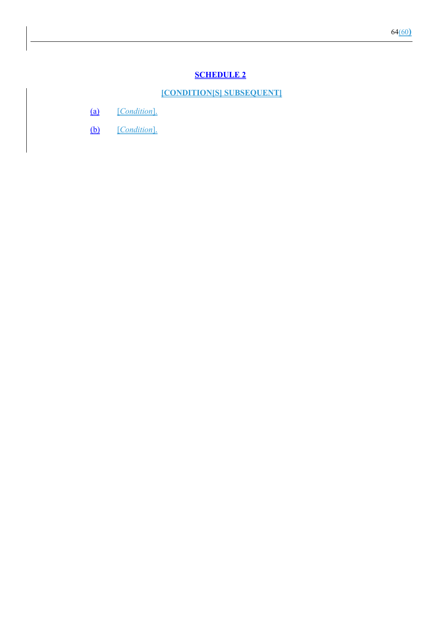# **SCHEDULE 2**

#### **[CONDITION[S] SUBSEQUENT]**

- (a) [*Condition*].
- (b) [*Condition*].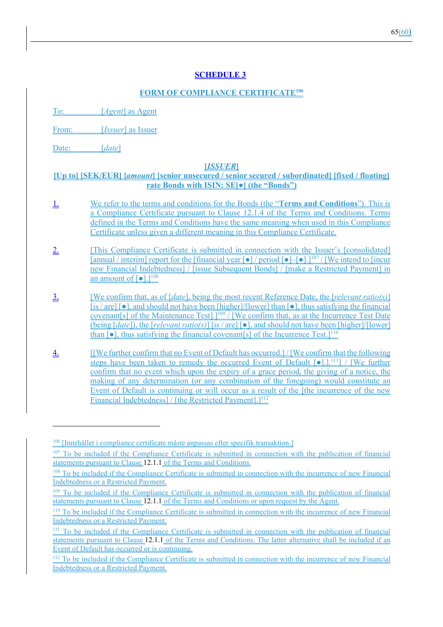# **SCHEDULE 3**

## **FORM OF COMPLIANCE CERTIFICATE106**

To: [*Agent*] as Agent

From: [*Issuer*] as Issuer

Date: [*date*]

#### **[***ISSUER***]**

## **[Up to] [SEK/EUR] [***amount***] [senior unsecured / senior secured / subordinated] [fixed / floating] rate Bonds with ISIN: SE[●] (the "Bonds")**

- 1. We refer to the terms and conditions for the Bonds (the "**Terms and Conditions**"). This is a Compliance Certificate pursuant to Clause 12.1.4 of the Terms and Conditions. Terms defined in the Terms and Conditions have the same meaning when used in this Compliance Certificate unless given a different meaning in this Compliance Certificate.
- 2. [This Compliance Certificate is submitted in connection with the Issuer's [consolidated] [annual / interim] report for the [financial year [●] / period [●]–[●].]107 / [We intend to [incur new Financial Indebtedness] / [issue Subsequent Bonds] / [make a Restricted Payment] in an amount of  $\lceil \bullet \rceil$ .]<sup>108</sup>
- 3. [We confirm that, as of [*date*], being the most recent Reference Date, the [*relevant ratio(s)*]  $[$ is / are]  $[$ •], and should not have been  $[$ higher]/ $[$ [lower] than  $[$ •], thus satisfying the financial covenant[s] of the Maintenance Test].]109 / [We confirm that, as at the Incurrence Test Date (being [*date*]), the [*relevant ratio(s)*] [is / are] [●], and should not have been [higher]/[lower] than  $\lceil \bullet \rceil$ , thus satisfying the financial covenant  $\lceil s \rceil$  of the Incurrence Test.  $\lceil \cdot \rceil^{110}$
- 4. [[We further confirm that no Event of Default has occurred.] / [We confirm that the following steps have been taken to remedy the occurred Event of Default  $\lceil \bullet \rceil$ .].<sup>111</sup>] / [We further confirm that no event which upon the expiry of a grace period, the giving of a notice, the making of any determination (or any combination of the foregoing) would constitute an Event of Default is continuing or will occur as a result of the [the incurrence of the new Financial Indebtedness] / [the Restricted Payment].]<sup>112</sup>

<sup>106 [</sup>Innehållet i compliance certificate måste anpassas efter specifik transaktion.]

<sup>107</sup> To be included if the Compliance Certificate is submitted in connection with the publication of financial statements pursuant to Clause 12.1.1 of the Terms and Conditions.

<sup>&</sup>lt;sup>108</sup> To be included if the Compliance Certificate is submitted in connection with the incurrence of new Financial Indebtedness or a Restricted Payment.

<sup>&</sup>lt;sup>109</sup> To be included if the Compliance Certificate is submitted in connection with the publication of financial statements pursuant to Clause 12.1.1 of the Terms and Conditions or upon request by the Agent.

<sup>110</sup> To be included if the Compliance Certificate is submitted in connection with the incurrence of new Financial Indebtedness or a Restricted Payment.

<sup>111</sup> To be included if the Compliance Certificate is submitted in connection with the publication of financial statements pursuant to Clause 12.1.1 of the Terms and Conditions. The latter alternative shall be included if an Event of Default has occurred or is continuing.

<sup>112</sup> To be included if the Compliance Certificate is submitted in connection with the incurrence of new Financial Indebtedness or a Restricted Payment.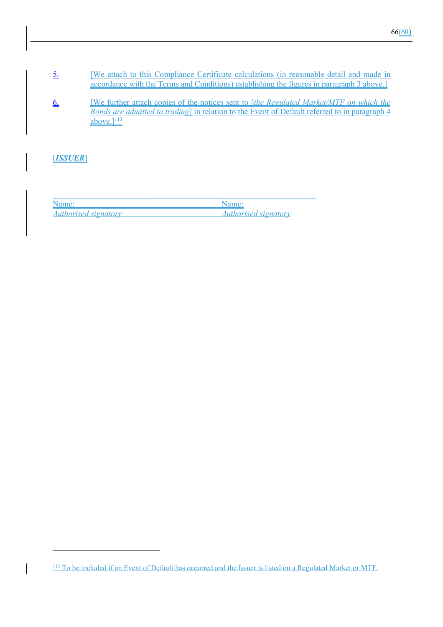- 5. **EXECUTE:** We attach to this Compliance Certificate calculations (in reasonable detail and made in accordance with the Terms and Conditions) establishing the figures in paragraph 3 above.]
- 6. [We further attach copies of the notices sent to [*the Regulated Market/MTF on which the Bonds are admitted to trading*] in relation to the Event of Default referred to in paragraph 4 above. $]$ <sup>113</sup>

[*ISSUER*]

| Name:                       |                             |
|-----------------------------|-----------------------------|
| <i>Authorised signatory</i> | <i>Authorised signatory</i> |

<sup>&</sup>lt;sup>113</sup> To be included if an Event of Default has occurred and the Issuer is listed on a Regulated Market or MTF.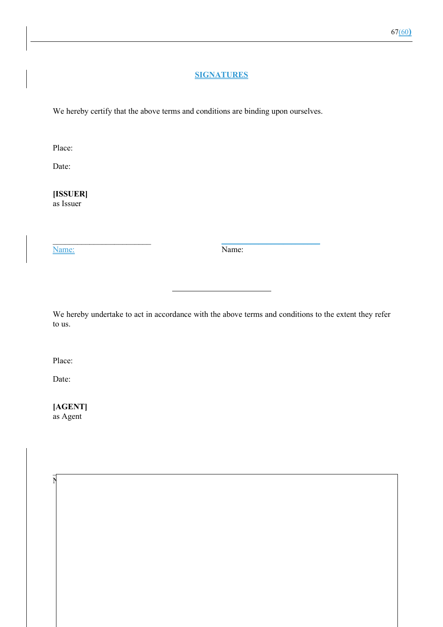## **SIGNATURES**

We hereby certify that the above terms and conditions are binding upon ourselves.

\_\_\_\_\_\_\_\_\_\_\_\_\_\_\_\_\_\_\_\_\_\_\_\_ \_\_\_\_\_\_\_\_\_\_\_\_\_\_\_\_\_\_\_\_\_\_\_\_

 $\overline{\phantom{a}}$  , and the set of the set of the set of the set of the set of the set of the set of the set of the set of the set of the set of the set of the set of the set of the set of the set of the set of the set of the s

 $N$ 

Place:

Date:

**[ISSUER]** as Issuer

Name: Name:

We hereby undertake to act in accordance with the above terms and conditions to the extent they refer to us.

Place:

Date:

**[AGENT]** as Agent